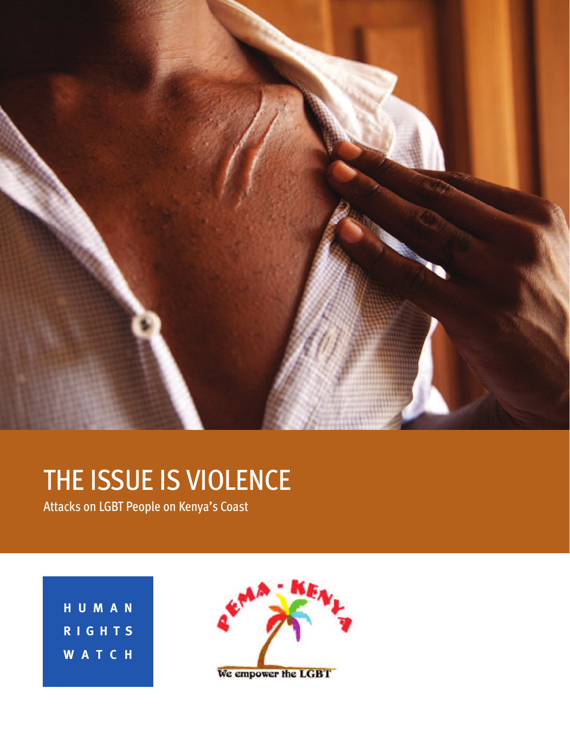

# THE ISSUE IS VIOLENCE

Attacks on LGBT People on Kenya's Coast

**H U M A N R I G H T S W A T C H**

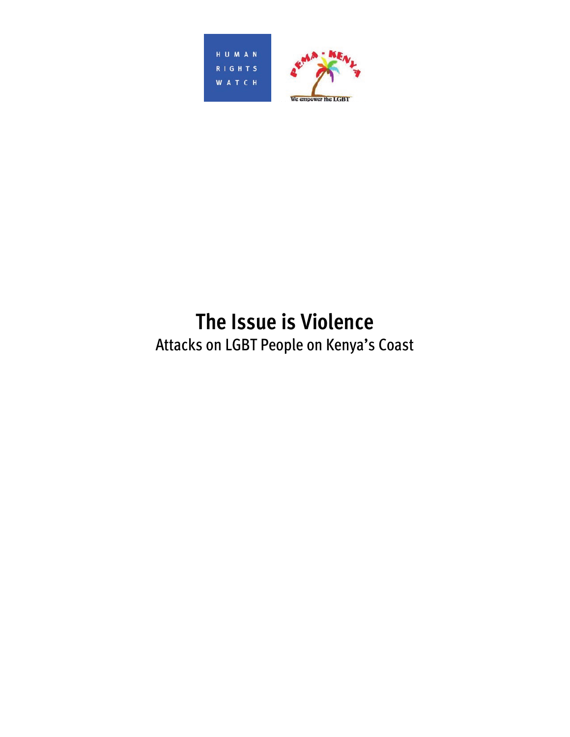



# **The Issue is Violence**

Attacks on LGBT People on Kenya's Coast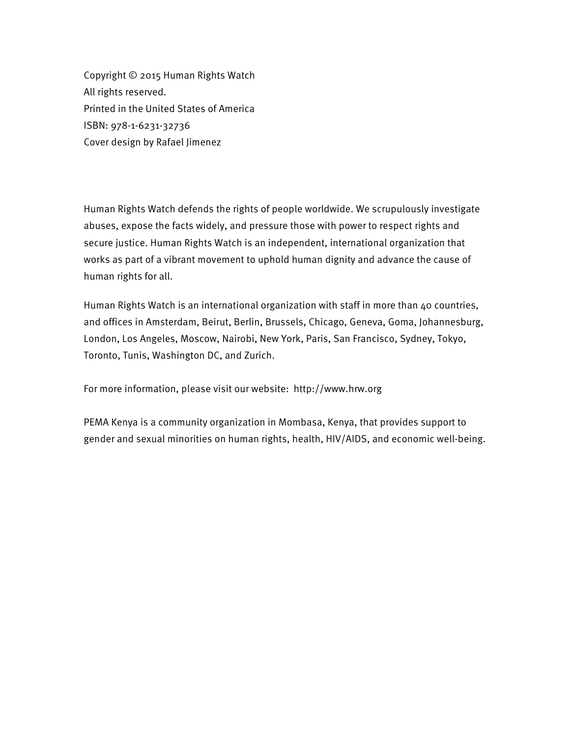Copyright © 2015 Human Rights Watch All rights reserved. Printed in the United States of America ISBN: 978-1-6231-32736 Cover design by Rafael Jimenez

Human Rights Watch defends the rights of people worldwide. We scrupulously investigate abuses, expose the facts widely, and pressure those with power to respect rights and secure justice. Human Rights Watch is an independent, international organization that works as part of a vibrant movement to uphold human dignity and advance the cause of human rights for all.

Human Rights Watch is an international organization with staff in more than 40 countries, and offices in Amsterdam, Beirut, Berlin, Brussels, Chicago, Geneva, Goma, Johannesburg, London, Los Angeles, Moscow, Nairobi, New York, Paris, San Francisco, Sydney, Tokyo, Toronto, Tunis, Washington DC, and Zurich.

For more information, please visit our website: http://www.hrw.org

PEMA Kenya is a community organization in Mombasa, Kenya, that provides support to gender and sexual minorities on human rights, health, HIV/AIDS, and economic well-being.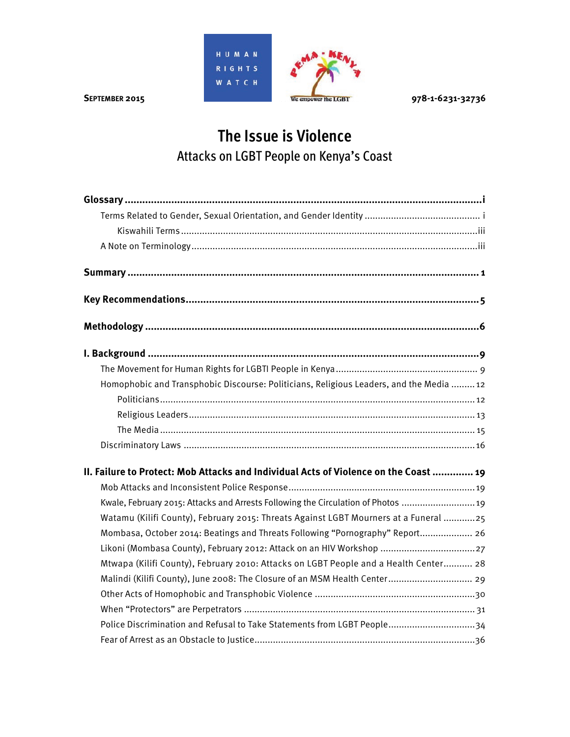

# **The Issue is Violence**  Attacks on LGBT People on Kenya's Coast

| Homophobic and Transphobic Discourse: Politicians, Religious Leaders, and the Media  12 |
|-----------------------------------------------------------------------------------------|
|                                                                                         |
|                                                                                         |
|                                                                                         |
|                                                                                         |
| II. Failure to Protect: Mob Attacks and Individual Acts of Violence on the Coast  19    |
|                                                                                         |
| Kwale, February 2015: Attacks and Arrests Following the Circulation of Photos  19       |
| Watamu (Kilifi County), February 2015: Threats Against LGBT Mourners at a Funeral 25    |
| Mombasa, October 2014: Beatings and Threats Following "Pornography" Report 26           |
| Likoni (Mombasa County), February 2012: Attack on an HIV Workshop 27                    |
| Mtwapa (Kilifi County), February 2010: Attacks on LGBT People and a Health Center 28    |
| Malindi (Kilifi County), June 2008: The Closure of an MSM Health Center 29              |
|                                                                                         |
|                                                                                         |
| Police Discrimination and Refusal to Take Statements from LGBT People 34                |
|                                                                                         |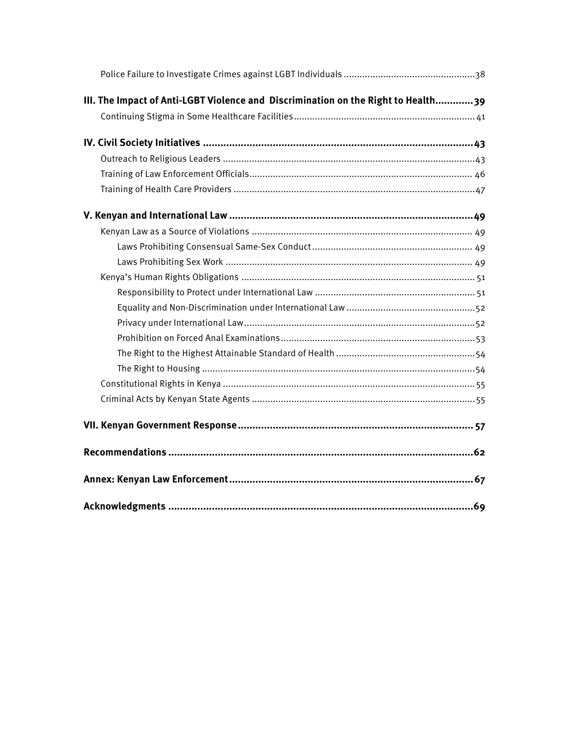| III. The Impact of Anti-LGBT Violence and Discrimination on the Right to Health39 |  |
|-----------------------------------------------------------------------------------|--|
|                                                                                   |  |
|                                                                                   |  |
|                                                                                   |  |
|                                                                                   |  |
|                                                                                   |  |
|                                                                                   |  |
|                                                                                   |  |
|                                                                                   |  |
|                                                                                   |  |
|                                                                                   |  |
|                                                                                   |  |
|                                                                                   |  |
|                                                                                   |  |
|                                                                                   |  |
|                                                                                   |  |
|                                                                                   |  |
|                                                                                   |  |
|                                                                                   |  |
|                                                                                   |  |
|                                                                                   |  |
|                                                                                   |  |
|                                                                                   |  |
|                                                                                   |  |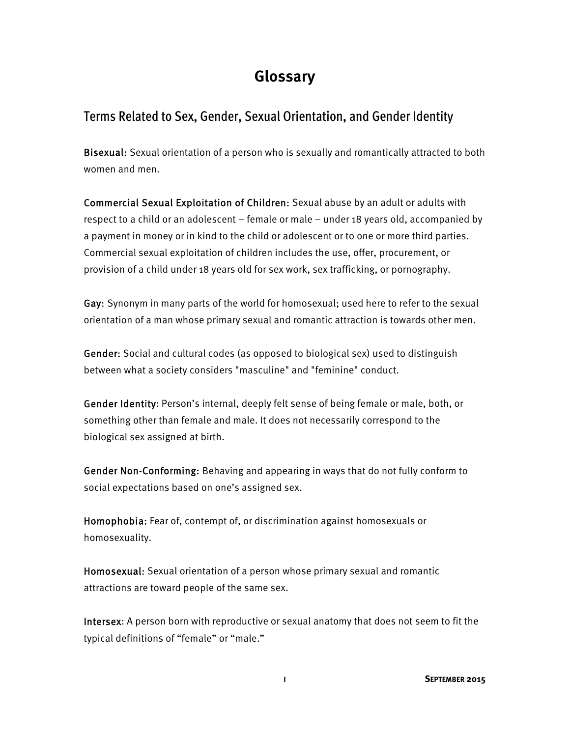# **Glossary**

#### Terms Related to Sex, Gender, Sexual Orientation, and Gender Identity

Bisexual: Sexual orientation of a person who is sexually and romantically attracted to both women and men.

Commercial Sexual Exploitation of Children: Sexual abuse by an adult or adults with respect to a child or an adolescent – female or male – under 18 years old, accompanied by a payment in money or in kind to the child or adolescent or to one or more third parties. Commercial sexual exploitation of children includes the use, offer, procurement, or provision of a child under 18 years old for sex work, sex trafficking, or pornography.

Gay: Synonym in many parts of the world for homosexual; used here to refer to the sexual orientation of a man whose primary sexual and romantic attraction is towards other men.

Gender: Social and cultural codes (as opposed to biological sex) used to distinguish between what a society considers "masculine" and "feminine" conduct.

Gender Identity: Person's internal, deeply felt sense of being female or male, both, or something other than female and male. It does not necessarily correspond to the biological sex assigned at birth.

Gender Non-Conforming: Behaving and appearing in ways that do not fully conform to social expectations based on one's assigned sex.

Homophobia: Fear of, contempt of, or discrimination against homosexuals or homosexuality.

Homosexual: Sexual orientation of a person whose primary sexual and romantic attractions are toward people of the same sex.

Intersex: A person born with reproductive or sexual anatomy that does not seem to fit the typical definitions of "female" or "male."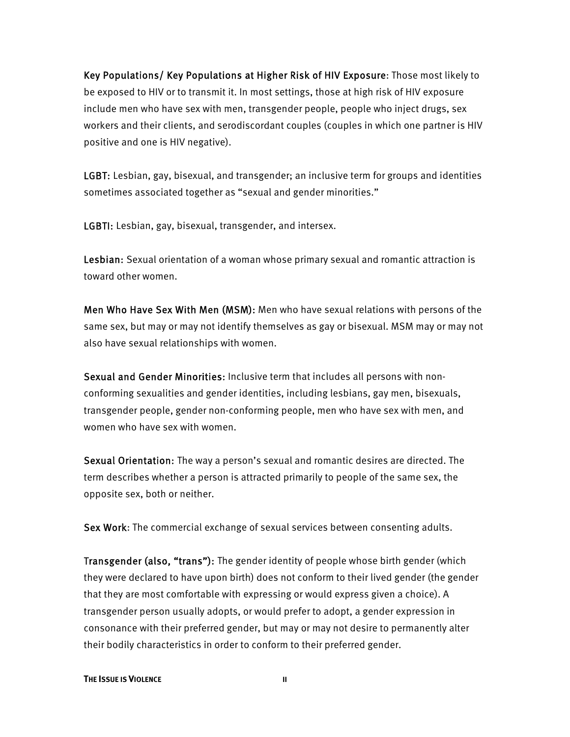Key Populations/ Key Populations at Higher Risk of HIV Exposure: Those most likely to be exposed to HIV or to transmit it. In most settings, those at high risk of HIV exposure include men who have sex with men, transgender people, people who inject drugs, sex workers and their clients, and serodiscordant couples (couples in which one partner is HIV positive and one is HIV negative).

LGBT: Lesbian, gay, bisexual, and transgender; an inclusive term for groups and identities sometimes associated together as "sexual and gender minorities."

LGBTI: Lesbian, gay, bisexual, transgender, and intersex.

Lesbian: Sexual orientation of a woman whose primary sexual and romantic attraction is toward other women.

Men Who Have Sex With Men (MSM): Men who have sexual relations with persons of the same sex, but may or may not identify themselves as gay or bisexual. MSM may or may not also have sexual relationships with women.

Sexual and Gender Minorities: Inclusive term that includes all persons with nonconforming sexualities and gender identities, including lesbians, gay men, bisexuals, transgender people, gender non-conforming people, men who have sex with men, and women who have sex with women.

Sexual Orientation: The way a person's sexual and romantic desires are directed. The term describes whether a person is attracted primarily to people of the same sex, the opposite sex, both or neither.

Sex Work: The commercial exchange of sexual services between consenting adults.

Transgender (also, "trans"): The gender identity of people whose birth gender (which they were declared to have upon birth) does not conform to their lived gender (the gender that they are most comfortable with expressing or would express given a choice). A transgender person usually adopts, or would prefer to adopt, a gender expression in consonance with their preferred gender, but may or may not desire to permanently alter their bodily characteristics in order to conform to their preferred gender.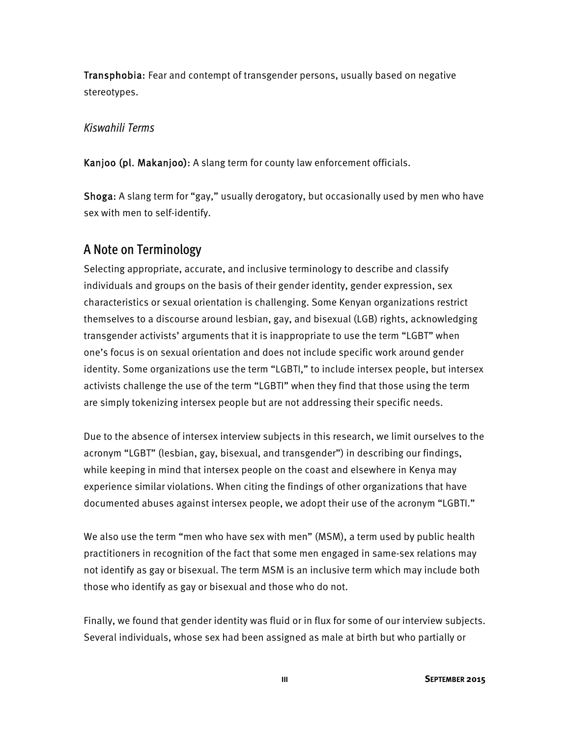Transphobia: Fear and contempt of transgender persons, usually based on negative stereotypes.

#### *Kiswahili Terms*

Kanjoo (pl. Makanjoo): A slang term for county law enforcement officials.

Shoga: A slang term for "gay," usually derogatory, but occasionally used by men who have sex with men to self-identify.

#### A Note on Terminology

Selecting appropriate, accurate, and inclusive terminology to describe and classify individuals and groups on the basis of their gender identity, gender expression, sex characteristics or sexual orientation is challenging. Some Kenyan organizations restrict themselves to a discourse around lesbian, gay, and bisexual (LGB) rights, acknowledging transgender activists' arguments that it is inappropriate to use the term "LGBT" when one's focus is on sexual orientation and does not include specific work around gender identity. Some organizations use the term "LGBTI," to include intersex people, but intersex activists challenge the use of the term "LGBTI" when they find that those using the term are simply tokenizing intersex people but are not addressing their specific needs.

Due to the absence of intersex interview subjects in this research, we limit ourselves to the acronym "LGBT" (lesbian, gay, bisexual, and transgender") in describing our findings, while keeping in mind that intersex people on the coast and elsewhere in Kenya may experience similar violations. When citing the findings of other organizations that have documented abuses against intersex people, we adopt their use of the acronym "LGBTI."

We also use the term "men who have sex with men" (MSM), a term used by public health practitioners in recognition of the fact that some men engaged in same-sex relations may not identify as gay or bisexual. The term MSM is an inclusive term which may include both those who identify as gay or bisexual and those who do not.

Finally, we found that gender identity was fluid or in flux for some of our interview subjects. Several individuals, whose sex had been assigned as male at birth but who partially or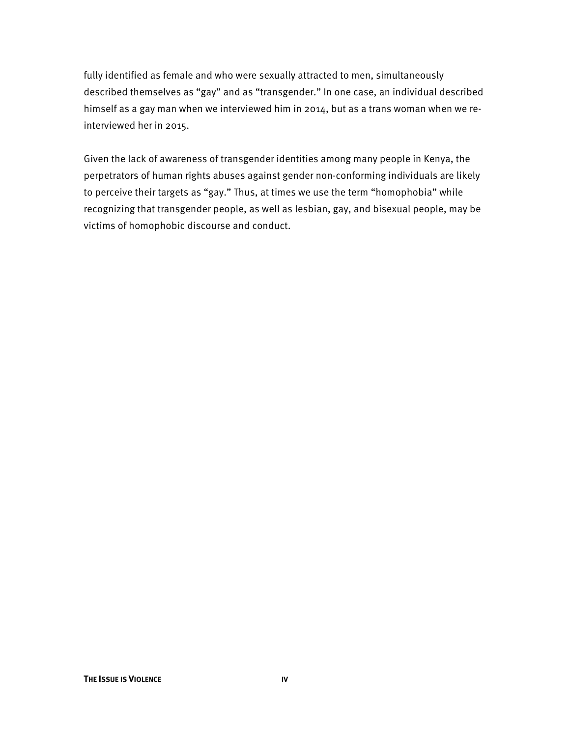fully identified as female and who were sexually attracted to men, simultaneously described themselves as "gay" and as "transgender." In one case, an individual described himself as a gay man when we interviewed him in 2014, but as a trans woman when we reinterviewed her in 2015.

Given the lack of awareness of transgender identities among many people in Kenya, the perpetrators of human rights abuses against gender non-conforming individuals are likely to perceive their targets as "gay." Thus, at times we use the term "homophobia" while recognizing that transgender people, as well as lesbian, gay, and bisexual people, may be victims of homophobic discourse and conduct.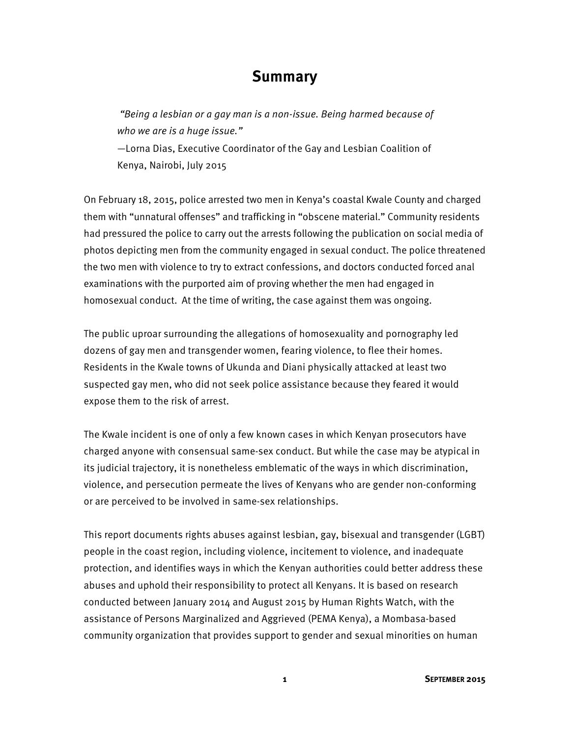## **Summary**

 "Being a lesbian or a gay man is a non-issue. Being harmed because of who we are is a huge issue."

—Lorna Dias, Executive Coordinator of the Gay and Lesbian Coalition of Kenya, Nairobi, July 2015

On February 18, 2015, police arrested two men in Kenya's coastal Kwale County and charged them with "unnatural offenses" and trafficking in "obscene material." Community residents had pressured the police to carry out the arrests following the publication on social media of photos depicting men from the community engaged in sexual conduct. The police threatened the two men with violence to try to extract confessions, and doctors conducted forced anal examinations with the purported aim of proving whether the men had engaged in homosexual conduct. At the time of writing, the case against them was ongoing.

The public uproar surrounding the allegations of homosexuality and pornography led dozens of gay men and transgender women, fearing violence, to flee their homes. Residents in the Kwale towns of Ukunda and Diani physically attacked at least two suspected gay men, who did not seek police assistance because they feared it would expose them to the risk of arrest.

The Kwale incident is one of only a few known cases in which Kenyan prosecutors have charged anyone with consensual same-sex conduct. But while the case may be atypical in its judicial trajectory, it is nonetheless emblematic of the ways in which discrimination, violence, and persecution permeate the lives of Kenyans who are gender non-conforming or are perceived to be involved in same-sex relationships.

This report documents rights abuses against lesbian, gay, bisexual and transgender (LGBT) people in the coast region, including violence, incitement to violence, and inadequate protection, and identifies ways in which the Kenyan authorities could better address these abuses and uphold their responsibility to protect all Kenyans. It is based on research conducted between January 2014 and August 2015 by Human Rights Watch, with the assistance of Persons Marginalized and Aggrieved (PEMA Kenya), a Mombasa-based community organization that provides support to gender and sexual minorities on human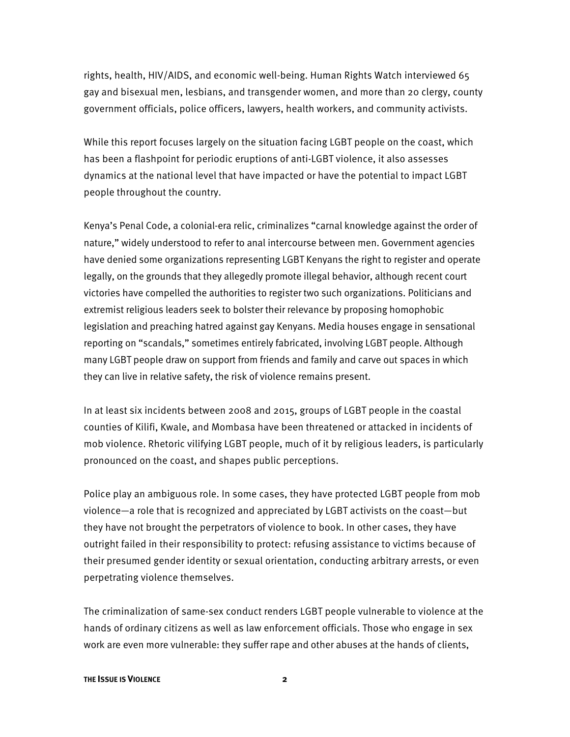rights, health, HIV/AIDS, and economic well-being. Human Rights Watch interviewed 65 gay and bisexual men, lesbians, and transgender women, and more than 20 clergy, county government officials, police officers, lawyers, health workers, and community activists.

While this report focuses largely on the situation facing LGBT people on the coast, which has been a flashpoint for periodic eruptions of anti-LGBT violence, it also assesses dynamics at the national level that have impacted or have the potential to impact LGBT people throughout the country.

Kenya's Penal Code, a colonial-era relic, criminalizes "carnal knowledge against the order of nature," widely understood to refer to anal intercourse between men. Government agencies have denied some organizations representing LGBT Kenyans the right to register and operate legally, on the grounds that they allegedly promote illegal behavior, although recent court victories have compelled the authorities to register two such organizations. Politicians and extremist religious leaders seek to bolster their relevance by proposing homophobic legislation and preaching hatred against gay Kenyans. Media houses engage in sensational reporting on "scandals," sometimes entirely fabricated, involving LGBT people. Although many LGBT people draw on support from friends and family and carve out spaces in which they can live in relative safety, the risk of violence remains present.

In at least six incidents between 2008 and 2015, groups of LGBT people in the coastal counties of Kilifi, Kwale, and Mombasa have been threatened or attacked in incidents of mob violence. Rhetoric vilifying LGBT people, much of it by religious leaders, is particularly pronounced on the coast, and shapes public perceptions.

Police play an ambiguous role. In some cases, they have protected LGBT people from mob violence—a role that is recognized and appreciated by LGBT activists on the coast—but they have not brought the perpetrators of violence to book. In other cases, they have outright failed in their responsibility to protect: refusing assistance to victims because of their presumed gender identity or sexual orientation, conducting arbitrary arrests, or even perpetrating violence themselves.

The criminalization of same-sex conduct renders LGBT people vulnerable to violence at the hands of ordinary citizens as well as law enforcement officials. Those who engage in sex work are even more vulnerable: they suffer rape and other abuses at the hands of clients,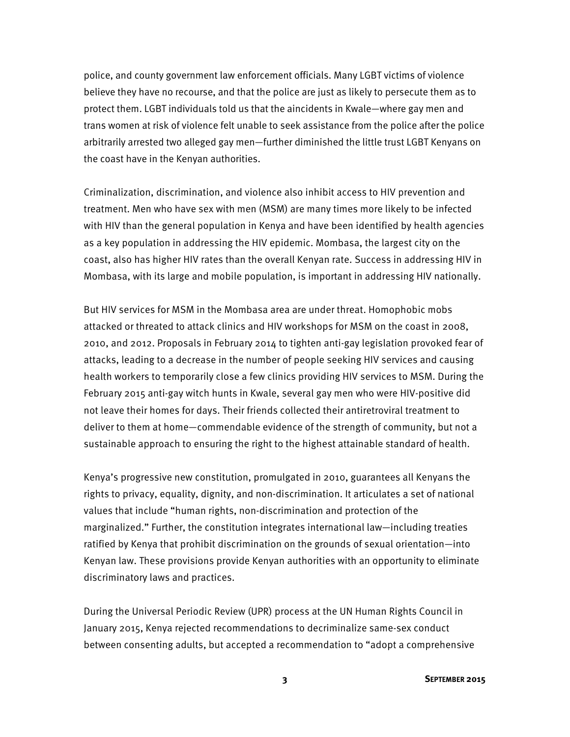police, and county government law enforcement officials. Many LGBT victims of violence believe they have no recourse, and that the police are just as likely to persecute them as to protect them. LGBT individuals told us that the aincidents in Kwale—where gay men and trans women at risk of violence felt unable to seek assistance from the police after the police arbitrarily arrested two alleged gay men—further diminished the little trust LGBT Kenyans on the coast have in the Kenyan authorities.

Criminalization, discrimination, and violence also inhibit access to HIV prevention and treatment. Men who have sex with men (MSM) are many times more likely to be infected with HIV than the general population in Kenya and have been identified by health agencies as a key population in addressing the HIV epidemic. Mombasa, the largest city on the coast, also has higher HIV rates than the overall Kenyan rate. Success in addressing HIV in Mombasa, with its large and mobile population, is important in addressing HIV nationally.

But HIV services for MSM in the Mombasa area are under threat. Homophobic mobs attacked or threated to attack clinics and HIV workshops for MSM on the coast in 2008, 2010, and 2012. Proposals in February 2014 to tighten anti-gay legislation provoked fear of attacks, leading to a decrease in the number of people seeking HIV services and causing health workers to temporarily close a few clinics providing HIV services to MSM. During the February 2015 anti-gay witch hunts in Kwale, several gay men who were HIV-positive did not leave their homes for days. Their friends collected their antiretroviral treatment to deliver to them at home—commendable evidence of the strength of community, but not a sustainable approach to ensuring the right to the highest attainable standard of health.

Kenya's progressive new constitution, promulgated in 2010, guarantees all Kenyans the rights to privacy, equality, dignity, and non-discrimination. It articulates a set of national values that include "human rights, non-discrimination and protection of the marginalized." Further, the constitution integrates international law—including treaties ratified by Kenya that prohibit discrimination on the grounds of sexual orientation—into Kenyan law. These provisions provide Kenyan authorities with an opportunity to eliminate discriminatory laws and practices.

During the Universal Periodic Review (UPR) process at the UN Human Rights Council in January 2015, Kenya rejected recommendations to decriminalize same-sex conduct between consenting adults, but accepted a recommendation to "adopt a comprehensive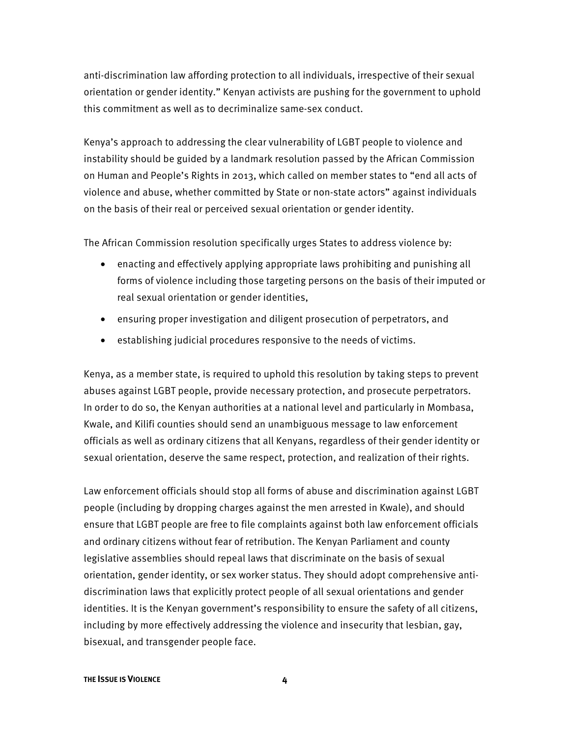anti-discrimination law affording protection to all individuals, irrespective of their sexual orientation or gender identity." Kenyan activists are pushing for the government to uphold this commitment as well as to decriminalize same-sex conduct.

Kenya's approach to addressing the clear vulnerability of LGBT people to violence and instability should be guided by a landmark resolution passed by the African Commission on Human and People's Rights in 2013, which called on member states to "end all acts of violence and abuse, whether committed by State or non-state actors" against individuals on the basis of their real or perceived sexual orientation or gender identity.

The African Commission resolution specifically urges States to address violence by:

- enacting and effectively applying appropriate laws prohibiting and punishing all forms of violence including those targeting persons on the basis of their imputed or real sexual orientation or gender identities,
- ensuring proper investigation and diligent prosecution of perpetrators, and
- establishing judicial procedures responsive to the needs of victims.

Kenya, as a member state, is required to uphold this resolution by taking steps to prevent abuses against LGBT people, provide necessary protection, and prosecute perpetrators. In order to do so, the Kenyan authorities at a national level and particularly in Mombasa, Kwale, and Kilifi counties should send an unambiguous message to law enforcement officials as well as ordinary citizens that all Kenyans, regardless of their gender identity or sexual orientation, deserve the same respect, protection, and realization of their rights.

Law enforcement officials should stop all forms of abuse and discrimination against LGBT people (including by dropping charges against the men arrested in Kwale), and should ensure that LGBT people are free to file complaints against both law enforcement officials and ordinary citizens without fear of retribution. The Kenyan Parliament and county legislative assemblies should repeal laws that discriminate on the basis of sexual orientation, gender identity, or sex worker status. They should adopt comprehensive antidiscrimination laws that explicitly protect people of all sexual orientations and gender identities. It is the Kenyan government's responsibility to ensure the safety of all citizens, including by more effectively addressing the violence and insecurity that lesbian, gay, bisexual, and transgender people face.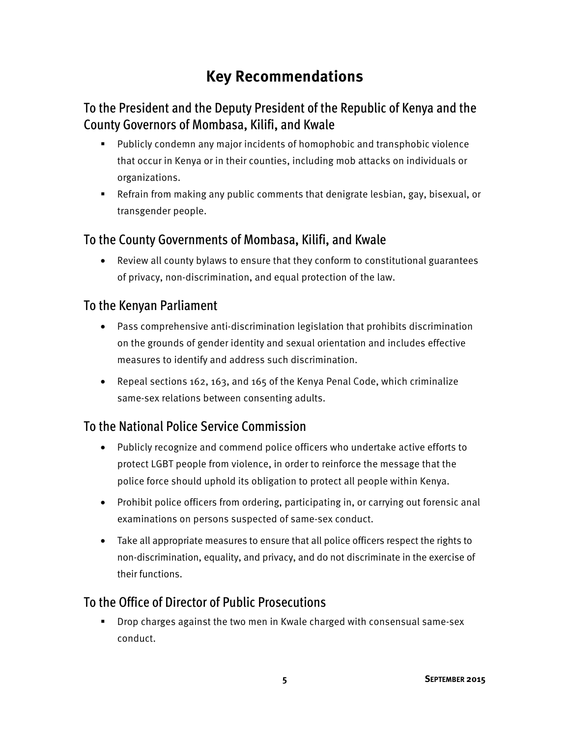# **Key Recommendations**

## To the President and the Deputy President of the Republic of Kenya and the County Governors of Mombasa, Kilifi, and Kwale

- Publicly condemn any major incidents of homophobic and transphobic violence that occur in Kenya or in their counties, including mob attacks on individuals or organizations.
- Refrain from making any public comments that denigrate lesbian, gay, bisexual, or transgender people.

#### To the County Governments of Mombasa, Kilifi, and Kwale

• Review all county bylaws to ensure that they conform to constitutional guarantees of privacy, non-discrimination, and equal protection of the law.

#### To the Kenyan Parliament

- Pass comprehensive anti-discrimination legislation that prohibits discrimination on the grounds of gender identity and sexual orientation and includes effective measures to identify and address such discrimination.
- Repeal sections 162, 163, and 165 of the Kenya Penal Code, which criminalize same-sex relations between consenting adults.

#### To the National Police Service Commission

- Publicly recognize and commend police officers who undertake active efforts to protect LGBT people from violence, in order to reinforce the message that the police force should uphold its obligation to protect all people within Kenya.
- Prohibit police officers from ordering, participating in, or carrying out forensic anal examinations on persons suspected of same-sex conduct.
- Take all appropriate measures to ensure that all police officers respect the rights to non-discrimination, equality, and privacy, and do not discriminate in the exercise of their functions.

#### To the Office of Director of Public Prosecutions

 Drop charges against the two men in Kwale charged with consensual same-sex conduct.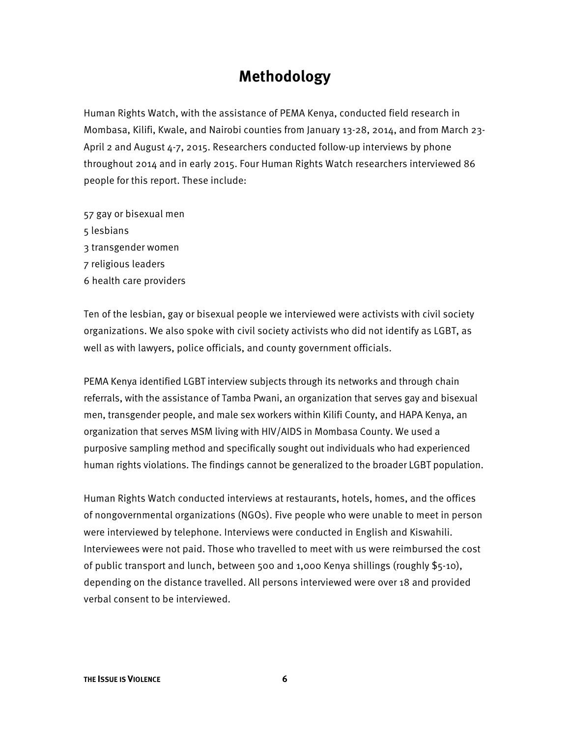# **Methodology**

Human Rights Watch, with the assistance of PEMA Kenya, conducted field research in Mombasa, Kilifi, Kwale, and Nairobi counties from January 13-28, 2014, and from March 23- April 2 and August 4-7, 2015. Researchers conducted follow-up interviews by phone throughout 2014 and in early 2015. Four Human Rights Watch researchers interviewed 86 people for this report. These include:

- 57 gay or bisexual men 5 lesbians
- 
- 3 transgender women
- 7 religious leaders
- 6 health care providers

Ten of the lesbian, gay or bisexual people we interviewed were activists with civil society organizations. We also spoke with civil society activists who did not identify as LGBT, as well as with lawyers, police officials, and county government officials.

PEMA Kenya identified LGBT interview subjects through its networks and through chain referrals, with the assistance of Tamba Pwani, an organization that serves gay and bisexual men, transgender people, and male sex workers within Kilifi County, and HAPA Kenya, an organization that serves MSM living with HIV/AIDS in Mombasa County. We used a purposive sampling method and specifically sought out individuals who had experienced human rights violations. The findings cannot be generalized to the broader LGBT population.

Human Rights Watch conducted interviews at restaurants, hotels, homes, and the offices of nongovernmental organizations (NGOs). Five people who were unable to meet in person were interviewed by telephone. Interviews were conducted in English and Kiswahili. Interviewees were not paid. Those who travelled to meet with us were reimbursed the cost of public transport and lunch, between 500 and 1,000 Kenya shillings (roughly \$5-10), depending on the distance travelled. All persons interviewed were over 18 and provided verbal consent to be interviewed.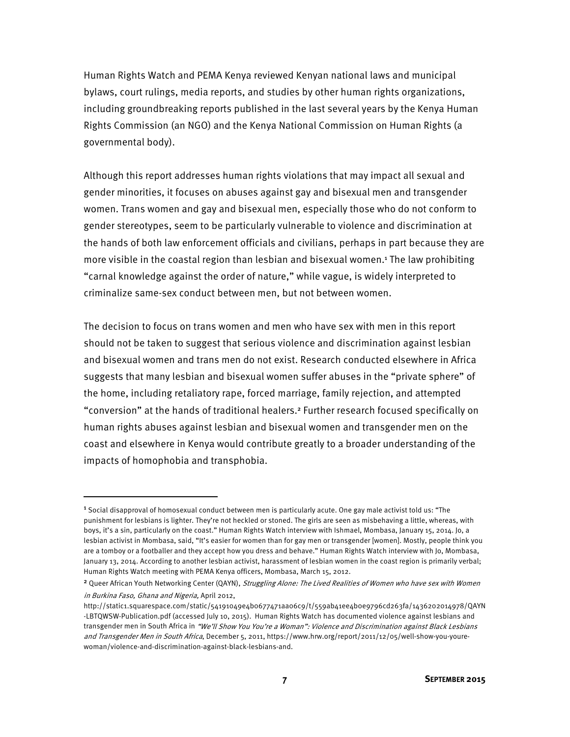Human Rights Watch and PEMA Kenya reviewed Kenyan national laws and municipal bylaws, court rulings, media reports, and studies by other human rights organizations, including groundbreaking reports published in the last several years by the Kenya Human Rights Commission (an NGO) and the Kenya National Commission on Human Rights (a governmental body).

Although this report addresses human rights violations that may impact all sexual and gender minorities, it focuses on abuses against gay and bisexual men and transgender women. Trans women and gay and bisexual men, especially those who do not conform to gender stereotypes, seem to be particularly vulnerable to violence and discrimination at the hands of both law enforcement officials and civilians, perhaps in part because they are more visible in the coastal region than lesbian and bisexual women.<sup>1</sup> The law prohibiting "carnal knowledge against the order of nature," while vague, is widely interpreted to criminalize same-sex conduct between men, but not between women.

The decision to focus on trans women and men who have sex with men in this report should not be taken to suggest that serious violence and discrimination against lesbian and bisexual women and trans men do not exist. Research conducted elsewhere in Africa suggests that many lesbian and bisexual women suffer abuses in the "private sphere" of the home, including retaliatory rape, forced marriage, family rejection, and attempted "conversion" at the hands of traditional healers.<sup>2</sup> Further research focused specifically on human rights abuses against lesbian and bisexual women and transgender men on the coast and elsewhere in Kenya would contribute greatly to a broader understanding of the impacts of homophobia and transphobia.

<sup>&</sup>lt;sup>1</sup> Social disapproval of homosexual conduct between men is particularly acute. One gay male activist told us: "The punishment for lesbians is lighter. They're not heckled or stoned. The girls are seen as misbehaving a little, whereas, with boys, it's a sin, particularly on the coast." Human Rights Watch interview with Ishmael, Mombasa, January 15, 2014. Jo, a lesbian activist in Mombasa, said, "It's easier for women than for gay men or transgender [women]. Mostly, people think you are a tomboy or a footballer and they accept how you dress and behave." Human Rights Watch interview with Jo, Mombasa, January 13, 2014. According to another lesbian activist, harassment of lesbian women in the coast region is primarily verbal; Human Rights Watch meeting with PEMA Kenya officers, Mombasa, March 15, 2012.

<sup>&</sup>lt;sup>2</sup> Queer African Youth Networking Center (QAYN), Struggling Alone: The Lived Realities of Women who have sex with Women in Burkina Faso, Ghana and Nigeria, April 2012,

http://static1.squarespace.com/static/54191049e4b0677471aa06c9/t/559ab41ee4b0e9796cd263fa/1436202014978/QAYN -LBTQWSW-Publication.pdf (accessed July 10, 2015). Human Rights Watch has documented violence against lesbians and transgender men in South Africa in "We'll Show You You're a Woman": Violence and Discrimination against Black Lesbians and Transgender Men in South Africa, December 5, 2011, https://www.hrw.org/report/2011/12/05/well-show-you-yourewoman/violence-and-discrimination-against-black-lesbians-and.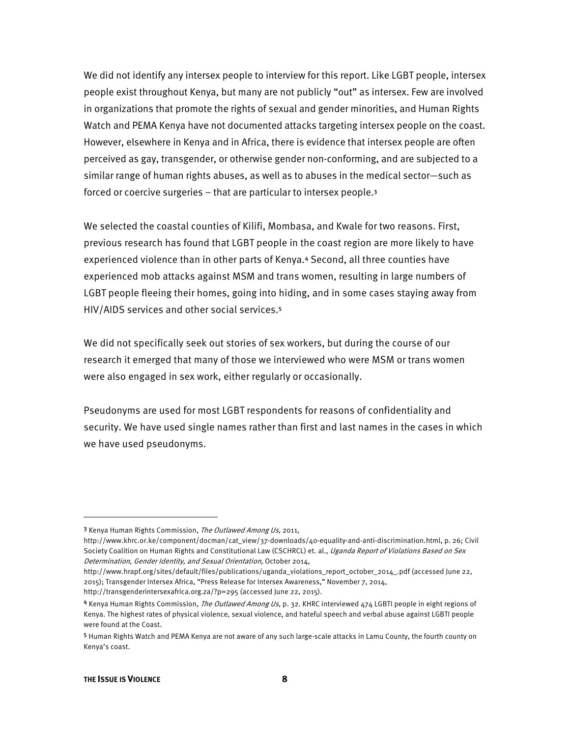We did not identify any intersex people to interview for this report. Like LGBT people, intersex people exist throughout Kenya, but many are not publicly "out" as intersex. Few are involved in organizations that promote the rights of sexual and gender minorities, and Human Rights Watch and PEMA Kenya have not documented attacks targeting intersex people on the coast. However, elsewhere in Kenya and in Africa, there is evidence that intersex people are often perceived as gay, transgender, or otherwise gender non-conforming, and are subjected to a similar range of human rights abuses, as well as to abuses in the medical sector—such as forced or coercive surgeries – that are particular to intersex people.<sup>3</sup>

We selected the coastal counties of Kilifi, Mombasa, and Kwale for two reasons. First, previous research has found that LGBT people in the coast region are more likely to have experienced violence than in other parts of Kenya.<sup>4</sup> Second, all three counties have experienced mob attacks against MSM and trans women, resulting in large numbers of LGBT people fleeing their homes, going into hiding, and in some cases staying away from HIV/AIDS services and other social services.<sup>5</sup>

We did not specifically seek out stories of sex workers, but during the course of our research it emerged that many of those we interviewed who were MSM or trans women were also engaged in sex work, either regularly or occasionally.

Pseudonyms are used for most LGBT respondents for reasons of confidentiality and security. We have used single names rather than first and last names in the cases in which we have used pseudonyms.

http://www.hrapf.org/sites/default/files/publications/uganda\_violations\_report\_october\_2014\_.pdf (accessed June 22, 2015); Transgender Intersex Africa, "Press Release for Intersex Awareness," November 7, 2014, http://transgenderintersexafrica.org.za/?p=295 (accessed June 22, 2015).

<sup>&</sup>lt;sup>3</sup> Kenya Human Rights Commission, The Outlawed Among Us, 2011,

http://www.khrc.or.ke/component/docman/cat\_view/37-downloads/40-equality-and-anti-discrimination.html, p. 26; Civil Society Coalition on Human Rights and Constitutional Law (CSCHRCL) et. al., Uganda Report of Violations Based on Sex Determination, Gender Identity, and Sexual Orientation, October 2014,

<sup>4</sup> Kenya Human Rights Commission, The Outlawed Among Us, p. 32. KHRC interviewed 474 LGBTI people in eight regions of Kenya. The highest rates of physical violence, sexual violence, and hateful speech and verbal abuse against LGBTI people were found at the Coast.

<sup>5</sup> Human Rights Watch and PEMA Kenya are not aware of any such large-scale attacks in Lamu County, the fourth county on Kenya's coast.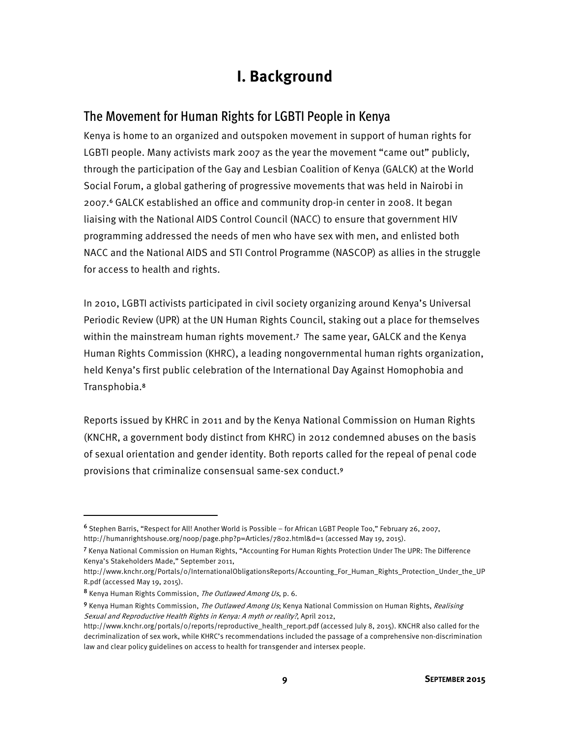# **I. Background**

#### The Movement for Human Rights for LGBTI People in Kenya

Kenya is home to an organized and outspoken movement in support of human rights for LGBTI people. Many activists mark 2007 as the year the movement "came out" publicly, through the participation of the Gay and Lesbian Coalition of Kenya (GALCK) at the World Social Forum, a global gathering of progressive movements that was held in Nairobi in 2007.<sup>6</sup> GALCK established an office and community drop-in center in 2008. It began liaising with the National AIDS Control Council (NACC) to ensure that government HIV programming addressed the needs of men who have sex with men, and enlisted both NACC and the National AIDS and STI Control Programme (NASCOP) as allies in the struggle for access to health and rights.

In 2010, LGBTI activists participated in civil society organizing around Kenya's Universal Periodic Review (UPR) at the UN Human Rights Council, staking out a place for themselves within the mainstream human rights movement.<sup>7</sup> The same year, GALCK and the Kenya Human Rights Commission (KHRC), a leading nongovernmental human rights organization, held Kenya's first public celebration of the International Day Against Homophobia and Transphobia.<sup>8</sup>

Reports issued by KHRC in 2011 and by the Kenya National Commission on Human Rights (KNCHR, a government body distinct from KHRC) in 2012 condemned abuses on the basis of sexual orientation and gender identity. Both reports called for the repeal of penal code provisions that criminalize consensual same-sex conduct.<sup>9</sup>

<sup>6</sup> Stephen Barris, "Respect for All! Another World is Possible – for African LGBT People Too," February 26, 2007, http://humanrightshouse.org/noop/page.php?p=Articles/7802.html&d=1 (accessed May 19, 2015).

<sup>7</sup> Kenya National Commission on Human Rights, "Accounting For Human Rights Protection Under The UPR: The Difference Kenya's Stakeholders Made," September 2011,

http://www.knchr.org/Portals/0/InternationalObligationsReports/Accounting\_For\_Human\_Rights\_Protection\_Under\_the\_UP R.pdf (accessed May 19, 2015).

<sup>8</sup> Kenya Human Rights Commission, The Outlawed Among Us, p. 6.

<sup>9</sup> Kenya Human Rights Commission, The Outlawed Among Us; Kenya National Commission on Human Rights, Realising Sexual and Reproductive Health Rights in Kenya: A myth or reality?, April 2012,

http://www.knchr.org/portals/0/reports/reproductive\_health\_report.pdf (accessed July 8, 2015). KNCHR also called for the decriminalization of sex work, while KHRC's recommendations included the passage of a comprehensive non-discrimination law and clear policy guidelines on access to health for transgender and intersex people.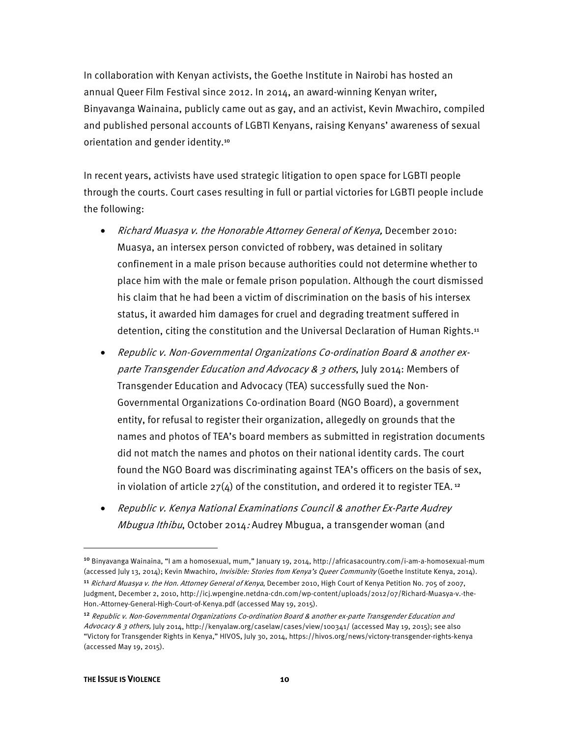In collaboration with Kenyan activists, the Goethe Institute in Nairobi has hosted an annual Queer Film Festival since 2012. In 2014, an award-winning Kenyan writer, Binyavanga Wainaina, publicly came out as gay, and an activist, Kevin Mwachiro, compiled and published personal accounts of LGBTI Kenyans, raising Kenyans' awareness of sexual orientation and gender identity.<sup>10</sup>

In recent years, activists have used strategic litigation to open space for LGBTI people through the courts. Court cases resulting in full or partial victories for LGBTI people include the following:

- Richard Muasya v. the Honorable Attorney General of Kenya, December 2010: Muasya, an intersex person convicted of robbery, was detained in solitary confinement in a male prison because authorities could not determine whether to place him with the male or female prison population. Although the court dismissed his claim that he had been a victim of discrimination on the basis of his intersex status, it awarded him damages for cruel and degrading treatment suffered in detention, citing the constitution and the Universal Declaration of Human Rights.<sup>11</sup>
- Republic v. Non-Governmental Organizations Co-ordination Board & another exparte Transgender Education and Advocacy & 3 others, July 2014: Members of Transgender Education and Advocacy (TEA) successfully sued the Non-Governmental Organizations Co-ordination Board (NGO Board), a government entity, for refusal to register their organization, allegedly on grounds that the names and photos of TEA's board members as submitted in registration documents did not match the names and photos on their national identity cards. The court found the NGO Board was discriminating against TEA's officers on the basis of sex, in violation of article  $27(4)$  of the constitution, and ordered it to register TEA.<sup>12</sup>
- Republic v. Kenya National Examinations Council & another Ex-Parte Audrey Mbugua Ithibu, October 2014: Audrey Mbugua, a transgender woman (and

<sup>10</sup> Binyavanga Wainaina, "I am a homosexual, mum," January 19, 2014, http://africasacountry.com/i-am-a-homosexual-mum (accessed July 13, 2014); Kevin Mwachiro, *Invisible: Stories from Kenya's Queer Community* (Goethe Institute Kenya, 2014).

<sup>&</sup>lt;sup>11</sup> Richard Muasya v. the Hon. Attorney General of Kenya, December 2010, High Court of Kenya Petition No. 705 of 2007, Judgment, December 2, 2010, http://icj.wpengine.netdna-cdn.com/wp-content/uploads/2012/07/Richard-Muasya-v.-the-Hon.-Attorney-General-High-Court-of-Kenya.pdf (accessed May 19, 2015).

<sup>12</sup> Republic v. Non-Governmental Organizations Co-ordination Board & another ex-parte Transgender Education and Advocacy & 3 others, July 2014, http://kenyalaw.org/caselaw/cases/view/100341/ (accessed May 19, 2015); see also "Victory for Transgender Rights in Kenya," HIVOS, July 30, 2014, https://hivos.org/news/victory-transgender-rights-kenya (accessed May 19, 2015).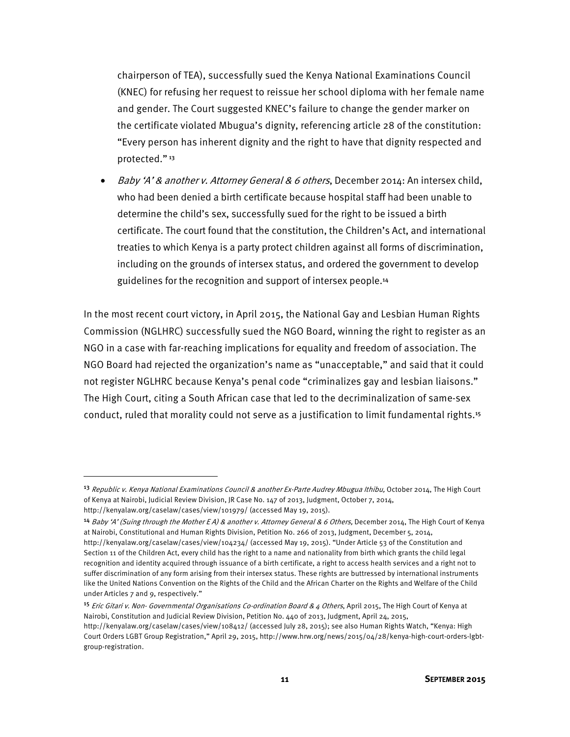chairperson of TEA), successfully sued the Kenya National Examinations Council (KNEC) for refusing her request to reissue her school diploma with her female name and gender. The Court suggested KNEC's failure to change the gender marker on the certificate violated Mbugua's dignity, referencing article 28 of the constitution: "Every person has inherent dignity and the right to have that dignity respected and protected."<sup>13</sup>

• Baby 'A' & another v. Attorney General & 6 others, December 2014: An intersex child, who had been denied a birth certificate because hospital staff had been unable to determine the child's sex, successfully sued for the right to be issued a birth certificate. The court found that the constitution, the Children's Act, and international treaties to which Kenya is a party protect children against all forms of discrimination, including on the grounds of intersex status, and ordered the government to develop guidelines for the recognition and support of intersex people.<sup>14</sup>

In the most recent court victory, in April 2015, the National Gay and Lesbian Human Rights Commission (NGLHRC) successfully sued the NGO Board, winning the right to register as an NGO in a case with far-reaching implications for equality and freedom of association. The NGO Board had rejected the organization's name as "unacceptable," and said that it could not register NGLHRC because Kenya's penal code "criminalizes gay and lesbian liaisons." The High Court, citing a South African case that led to the decriminalization of same-sex conduct, ruled that morality could not serve as a justification to limit fundamental rights.<sup>15</sup>

l

<sup>&</sup>lt;sup>13</sup> Republic v. Kenya National Examinations Council & another Ex-Parte Audrey Mbugua Ithibu, October 2014, The High Court of Kenya at Nairobi, Judicial Review Division, JR Case No. 147 of 2013, Judgment, October 7, 2014, http://kenyalaw.org/caselaw/cases/view/101979/ (accessed May 19, 2015).

<sup>&</sup>lt;sup>14</sup> Baby 'A' (Suing through the Mother EA) & another v. Attorney General & 6 Others, December 2014, The High Court of Kenya at Nairobi, Constitutional and Human Rights Division, Petition No. 266 of 2013, Judgment, December 5, 2014, http://kenyalaw.org/caselaw/cases/view/104234/ (accessed May 19, 2015). "Under Article 53 of the Constitution and Section 11 of the Children Act, every child has the right to a name and nationality from birth which grants the child legal recognition and identity acquired through issuance of a birth certificate, a right to access health services and a right not to suffer discrimination of any form arising from their intersex status. These rights are buttressed by international instruments like the United Nations Convention on the Rights of the Child and the African Charter on the Rights and Welfare of the Child under Articles 7 and 9, respectively."

<sup>&</sup>lt;sup>15</sup> Eric Gitari v. Non- Governmental Organisations Co-ordination Board & 4 Others, April 2015, The High Court of Kenya at Nairobi, Constitution and Judicial Review Division, Petition No. 440 of 2013, Judgment, April 24, 2015,

http://kenyalaw.org/caselaw/cases/view/108412/ (accessed July 28, 2015); see also Human Rights Watch, "Kenya: High Court Orders LGBT Group Registration," April 29, 2015, http://www.hrw.org/news/2015/04/28/kenya-high-court-orders-lgbtgroup-registration.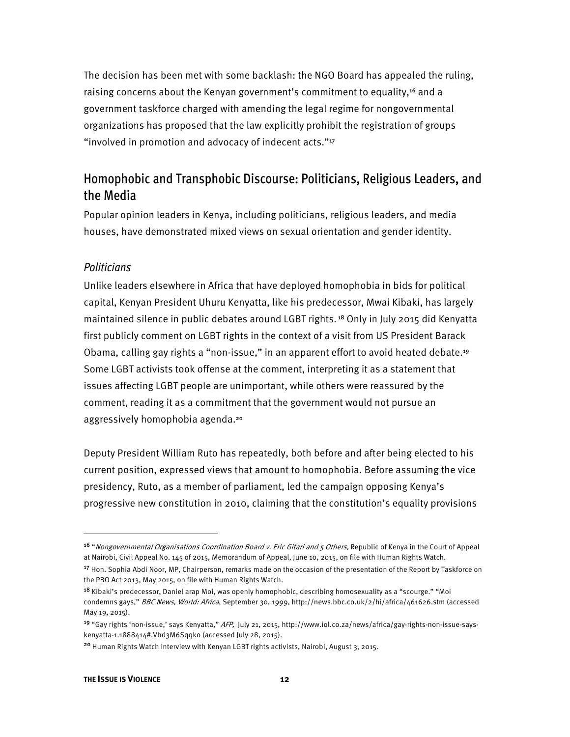The decision has been met with some backlash: the NGO Board has appealed the ruling, raising concerns about the Kenyan government's commitment to equality,<sup>16</sup> and a government taskforce charged with amending the legal regime for nongovernmental organizations has proposed that the law explicitly prohibit the registration of groups "involved in promotion and advocacy of indecent acts."<sup>17</sup>

#### Homophobic and Transphobic Discourse: Politicians, Religious Leaders, and the Media

Popular opinion leaders in Kenya, including politicians, religious leaders, and media houses, have demonstrated mixed views on sexual orientation and gender identity.

#### *Politicians*

Unlike leaders elsewhere in Africa that have deployed homophobia in bids for political capital, Kenyan President Uhuru Kenyatta, like his predecessor, Mwai Kibaki, has largely maintained silence in public debates around LGBT rights.<sup>18</sup> Only in July 2015 did Kenyatta first publicly comment on LGBT rights in the context of a visit from US President Barack Obama, calling gay rights a "non-issue," in an apparent effort to avoid heated debate.<sup>19</sup> Some LGBT activists took offense at the comment, interpreting it as a statement that issues affecting LGBT people are unimportant, while others were reassured by the comment, reading it as a commitment that the government would not pursue an aggressively homophobia agenda.<sup>20</sup>

Deputy President William Ruto has repeatedly, both before and after being elected to his current position, expressed views that amount to homophobia. Before assuming the vice presidency, Ruto, as a member of parliament, led the campaign opposing Kenya's progressive new constitution in 2010, claiming that the constitution's equality provisions

<sup>&</sup>lt;sup>16</sup> "Nongovernmental Organisations Coordination Board v. Eric Gitari and 5 Others, Republic of Kenya in the Court of Appeal at Nairobi, Civil Appeal No. 145 of 2015, Memorandum of Appeal, June 10, 2015, on file with Human Rights Watch.

<sup>&</sup>lt;sup>17</sup> Hon. Sophia Abdi Noor, MP, Chairperson, remarks made on the occasion of the presentation of the Report by Taskforce on the PBO Act 2013, May 2015, on file with Human Rights Watch.

<sup>18</sup> Kibaki's predecessor, Daniel arap Moi, was openly homophobic, describing homosexuality as a "scourge." "Moi condemns gays," BBC News, World: Africa, September 30, 1999, http://news.bbc.co.uk/2/hi/africa/461626.stm (accessed May 19, 2015).

<sup>19</sup> "Gay rights 'non-issue,' says Kenyatta," AFP, July 21, 2015, http://www.iol.co.za/news/africa/gay-rights-non-issue-sayskenyatta-1.1888414#.Vbd3M6Sqqko (accessed July 28, 2015).

<sup>20</sup> Human Rights Watch interview with Kenyan LGBT rights activists, Nairobi, August 3, 2015.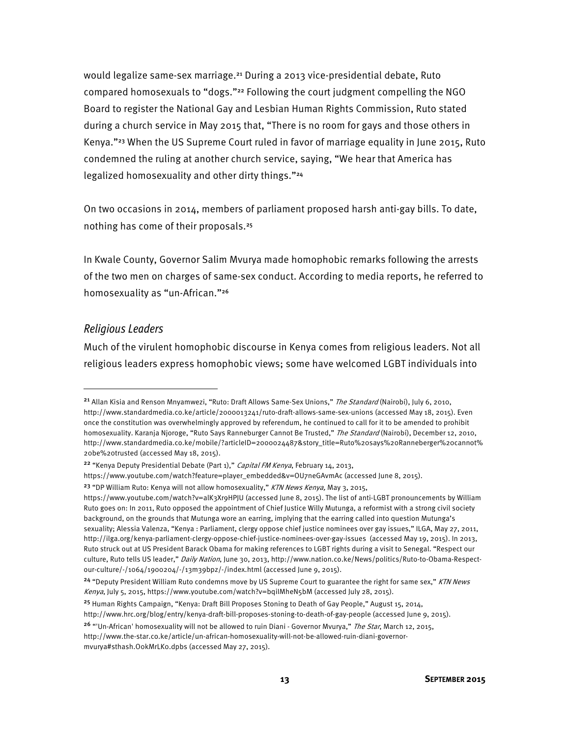would legalize same-sex marriage.<sup>21</sup> During a 2013 vice-presidential debate, Ruto compared homosexuals to "dogs."<sup>22</sup> Following the court judgment compelling the NGO Board to register the National Gay and Lesbian Human Rights Commission, Ruto stated during a church service in May 2015 that, "There is no room for gays and those others in Kenya."<sup>23</sup> When the US Supreme Court ruled in favor of marriage equality in June 2015, Ruto condemned the ruling at another church service, saying, "We hear that America has legalized homosexuality and other dirty things."<sup>24</sup>

On two occasions in 2014, members of parliament proposed harsh anti-gay bills. To date, nothing has come of their proposals.<sup>25</sup>

In Kwale County, Governor Salim Mvurya made homophobic remarks following the arrests of the two men on charges of same-sex conduct. According to media reports, he referred to homosexuality as "un-African."<sup>26</sup>

#### *Religious Leaders*

 $\overline{\phantom{a}}$ 

Much of the virulent homophobic discourse in Kenya comes from religious leaders. Not all religious leaders express homophobic views; some have welcomed LGBT individuals into

<sup>&</sup>lt;sup>21</sup> Allan Kisia and Renson Mnyamwezi, "Ruto: Draft Allows Same-Sex Unions," The Standard (Nairobi), July 6, 2010, http://www.standardmedia.co.ke/article/2000013241/ruto-draft-allows-same-sex-unions (accessed May 18, 2015). Even once the constitution was overwhelmingly approved by referendum, he continued to call for it to be amended to prohibit homosexuality. Karanja Njoroge, "Ruto Says Ranneburger Cannot Be Trusted," The Standard (Nairobi), December 12, 2010, http://www.standardmedia.co.ke/mobile/?articleID=2000024487&story\_title=Ruto%20says%20Ranneberger%20cannot% 20be%20trusted (accessed May 18, 2015).

<sup>&</sup>lt;sup>22</sup> "Kenya Deputy Presidential Debate (Part 1)," Capital FM Kenya, February 14, 2013,

https://www.youtube.com/watch?feature=player\_embedded&v=OU7neGAvmAc (accessed June 8, 2015).

<sup>&</sup>lt;sup>23</sup> "DP William Ruto: Kenya will not allow homosexuality," KTN News Kenya, May 3, 2015,

https://www.youtube.com/watch?v=alK3Xr9HPJU (accessed June 8, 2015). The list of anti-LGBT pronouncements by William Ruto goes on: In 2011, Ruto opposed the appointment of Chief Justice Willy Mutunga, a reformist with a strong civil society background, on the grounds that Mutunga wore an earring, implying that the earring called into question Mutunga's sexuality; Alessia Valenza, "Kenya : Parliament, clergy oppose chief justice nominees over gay issues," ILGA, May 27, 2011, http://ilga.org/kenya-parliament-clergy-oppose-chief-justice-nominees-over-gay-issues (accessed May 19, 2015). In 2013, Ruto struck out at US President Barack Obama for making references to LGBT rights during a visit to Senegal. "Respect our culture, Ruto tells US leader," Daily Nation, June 30, 2013, http://www.nation.co.ke/News/politics/Ruto-to-Obama-Respectour-culture/-/1064/1900204/-/13m39bpz/-/index.html (accessed June 9, 2015).

<sup>&</sup>lt;sup>24</sup> "Deputy President William Ruto condemns move by US Supreme Court to guarantee the right for same sex," KTN News Kenya, July 5, 2015, https://www.youtube.com/watch?v=bqiIMheN5bM (accessed July 28, 2015).

<sup>&</sup>lt;sup>25</sup> Human Rights Campaign, "Kenya: Draft Bill Proposes Stoning to Death of Gay People," August 15, 2014,

http://www.hrc.org/blog/entry/kenya-draft-bill-proposes-stoning-to-death-of-gay-people (accessed June 9, 2015).

<sup>&</sup>lt;sup>26</sup> "'Un-African' homosexuality will not be allowed to ruin Diani - Governor Mvurya," The Star, March 12, 2015, http://www.the-star.co.ke/article/un-african-homosexuality-will-not-be-allowed-ruin-diani-governor-

mvurya#sthash.O0kMrLK0.dpbs (accessed May 27, 2015).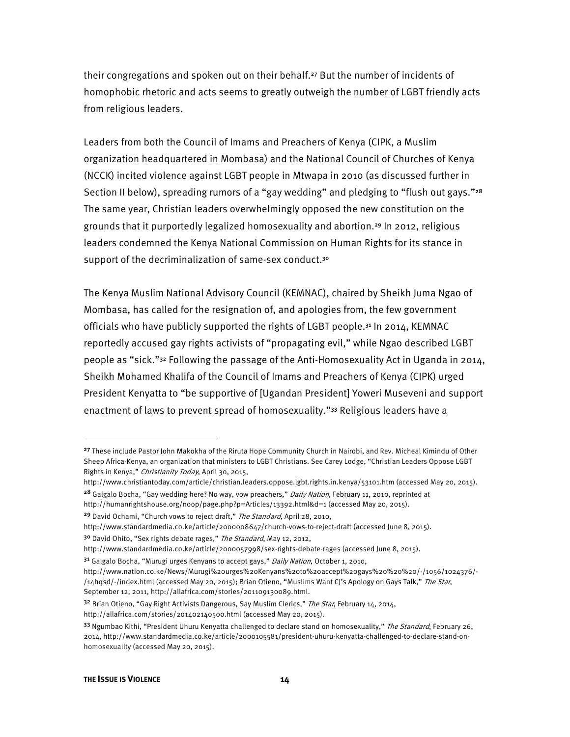their congregations and spoken out on their behalf.<sup>27</sup> But the number of incidents of homophobic rhetoric and acts seems to greatly outweigh the number of LGBT friendly acts from religious leaders.

Leaders from both the Council of Imams and Preachers of Kenya (CIPK, a Muslim organization headquartered in Mombasa) and the National Council of Churches of Kenya (NCCK) incited violence against LGBT people in Mtwapa in 2010 (as discussed further in Section II below), spreading rumors of a "gay wedding" and pledging to "flush out gays."<sup>28</sup> The same year, Christian leaders overwhelmingly opposed the new constitution on the grounds that it purportedly legalized homosexuality and abortion.<sup>29</sup> In 2012, religious leaders condemned the Kenya National Commission on Human Rights for its stance in support of the decriminalization of same-sex conduct.<sup>30</sup>

The Kenya Muslim National Advisory Council (KEMNAC), chaired by Sheikh Juma Ngao of Mombasa, has called for the resignation of, and apologies from, the few government officials who have publicly supported the rights of LGBT people.<sup>31</sup> In 2014, KEMNAC reportedly accused gay rights activists of "propagating evil," while Ngao described LGBT people as "sick."<sup>32</sup> Following the passage of the Anti-Homosexuality Act in Uganda in 2014, Sheikh Mohamed Khalifa of the Council of Imams and Preachers of Kenya (CIPK) urged President Kenyatta to "be supportive of [Ugandan President] Yoweri Museveni and support enactment of laws to prevent spread of homosexuality."<sup>33</sup> Religious leaders have a

http://humanrightshouse.org/noop/page.php?p=Articles/13392.html&d=1 (accessed May 20, 2015).

<sup>&</sup>lt;sup>27</sup> These include Pastor John Makokha of the Riruta Hope Community Church in Nairobi, and Rev. Micheal Kimindu of Other Sheep Africa-Kenya, an organization that ministers to LGBT Christians. See Carey Lodge, "Christian Leaders Oppose LGBT Rights in Kenya," Christianity Today, April 30, 2015,

http://www.christiantoday.com/article/christian.leaders.oppose.lgbt.rights.in.kenya/53101.htm (accessed May 20, 2015). <sup>28</sup> Galgalo Bocha, "Gay wedding here? No way, yow preachers," *Daily Nation*, February 11, 2010, reprinted at

<sup>&</sup>lt;sup>29</sup> David Ochami, "Church vows to reject draft," The Standard, April 28, 2010,

http://www.standardmedia.co.ke/article/2000008647/church-vows-to-reject-draft (accessed June 8, 2015).

<sup>&</sup>lt;sup>30</sup> David Ohito, "Sex rights debate rages," The Standard, May 12, 2012,

http://www.standardmedia.co.ke/article/2000057998/sex-rights-debate-rages (accessed June 8, 2015).

<sup>3&</sup>lt;sup>1</sup> Galgalo Bocha, "Murugi urges Kenyans to accept gays," Daily Nation, October 1, 2010,

http://www.nation.co.ke/News/Murugi%20urges%20Kenyans%20to%20accept%20gays%20%20%20/-/1056/1024376/- /14hqsd/-/index.html (accessed May 20, 2015); Brian Otieno, "Muslims Want CJ's Apology on Gays Talk," The Star, September 12, 2011, http://allafrica.com/stories/201109130089.html.

<sup>32</sup> Brian Otieno, "Gay Right Activists Dangerous, Say Muslim Clerics," The Star, February 14, 2014,

http://allafrica.com/stories/201402140500.html (accessed May 20, 2015).

<sup>33</sup> Ngumbao Kithi, "President Uhuru Kenyatta challenged to declare stand on homosexuality," The Standard, February 26, 2014, http://www.standardmedia.co.ke/article/2000105581/president-uhuru-kenyatta-challenged-to-declare-stand-onhomosexuality (accessed May 20, 2015).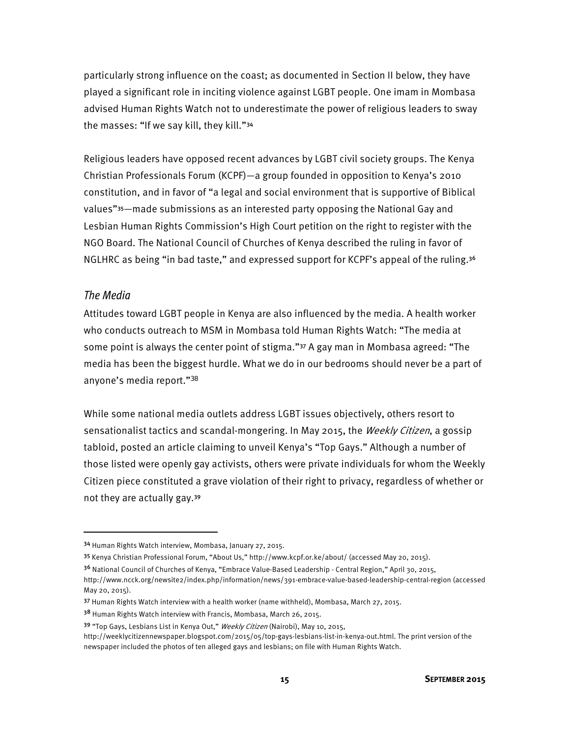particularly strong influence on the coast; as documented in Section II below, they have played a significant role in inciting violence against LGBT people. One imam in Mombasa advised Human Rights Watch not to underestimate the power of religious leaders to sway the masses: "If we say kill, they kill."<sup>34</sup>

Religious leaders have opposed recent advances by LGBT civil society groups. The Kenya Christian Professionals Forum (KCPF)—a group founded in opposition to Kenya's 2010 constitution, and in favor of "a legal and social environment that is supportive of Biblical values"<sup>35</sup>—made submissions as an interested party opposing the National Gay and Lesbian Human Rights Commission's High Court petition on the right to register with the NGO Board. The National Council of Churches of Kenya described the ruling in favor of NGLHRC as being "in bad taste," and expressed support for KCPF's appeal of the ruling.<sup>36</sup>

#### *The Media*

l

Attitudes toward LGBT people in Kenya are also influenced by the media. A health worker who conducts outreach to MSM in Mombasa told Human Rights Watch: "The media at some point is always the center point of stigma."<sup>37</sup> A gay man in Mombasa agreed: "The media has been the biggest hurdle. What we do in our bedrooms should never be a part of anyone's media report."<sup>38</sup>

While some national media outlets address LGBT issues objectively, others resort to sensationalist tactics and scandal-mongering. In May 2015, the Weekly Citizen, a gossip tabloid, posted an article claiming to unveil Kenya's "Top Gays." Although a number of those listed were openly gay activists, others were private individuals for whom the Weekly Citizen piece constituted a grave violation of their right to privacy, regardless of whether or not they are actually gay.<sup>39</sup>

<sup>34</sup> Human Rights Watch interview, Mombasa, January 27, 2015.

<sup>35</sup> Kenya Christian Professional Forum, "About Us," http://www.kcpf.or.ke/about/ (accessed May 20, 2015).

<sup>36</sup> National Council of Churches of Kenya, "Embrace Value-Based Leadership - Central Region," April 30, 2015, http://www.ncck.org/newsite2/index.php/information/news/391-embrace-value-based-leadership-central-region (accessed May 20, 2015).

<sup>37</sup> Human Rights Watch interview with a health worker (name withheld), Mombasa, March 27, 2015.

<sup>38</sup> Human Rights Watch interview with Francis, Mombasa, March 26, 2015.

<sup>39 &</sup>quot;Top Gays, Lesbians List in Kenya Out," Weekly Citizen (Nairobi), May 10, 2015,

http://weeklycitizennewspaper.blogspot.com/2015/05/top-gays-lesbians-list-in-kenya-out.html. The print version of the newspaper included the photos of ten alleged gays and lesbians; on file with Human Rights Watch.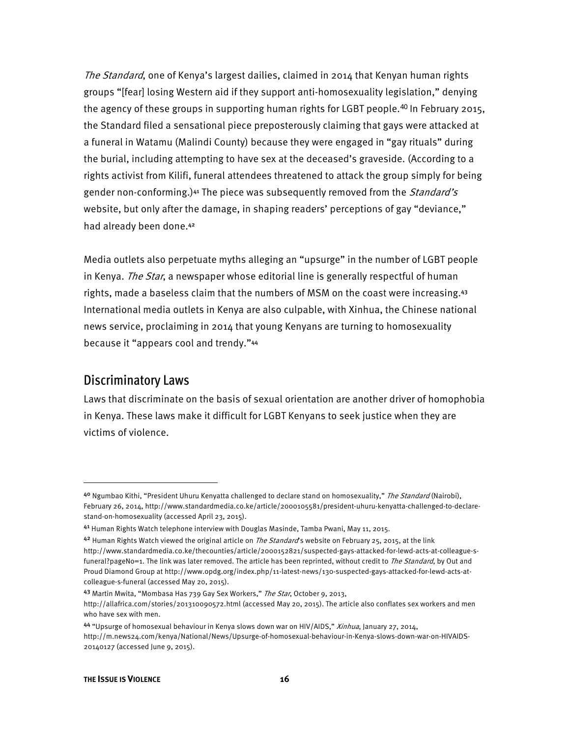The Standard, one of Kenya's largest dailies, claimed in 2014 that Kenyan human rights groups "[fear] losing Western aid if they support anti-homosexuality legislation," denying the agency of these groups in supporting human rights for LGBT people.<sup>40</sup> In February 2015, the Standard filed a sensational piece preposterously claiming that gays were attacked at a funeral in Watamu (Malindi County) because they were engaged in "gay rituals" during the burial, including attempting to have sex at the deceased's graveside. (According to a rights activist from Kilifi, funeral attendees threatened to attack the group simply for being gender non-conforming.)<sup>41</sup> The piece was subsequently removed from the *Standard's* website, but only after the damage, in shaping readers' perceptions of gay "deviance," had already been done.<sup>42</sup>

Media outlets also perpetuate myths alleging an "upsurge" in the number of LGBT people in Kenya. The Star, a newspaper whose editorial line is generally respectful of human rights, made a baseless claim that the numbers of MSM on the coast were increasing.<sup>43</sup> International media outlets in Kenya are also culpable, with Xinhua, the Chinese national news service, proclaiming in 2014 that young Kenyans are turning to homosexuality because it "appears cool and trendy."<sup>44</sup>

#### Discriminatory Laws

 $\overline{\phantom{a}}$ 

Laws that discriminate on the basis of sexual orientation are another driver of homophobia in Kenya. These laws make it difficult for LGBT Kenyans to seek justice when they are victims of violence.

44 "Upsurge of homosexual behaviour in Kenya slows down war on HIV/AIDS," Xinhua, January 27, 2014,

<sup>&</sup>lt;sup>40</sup> Ngumbao Kithi, "President Uhuru Kenyatta challenged to declare stand on homosexuality," *The Standard* (Nairobi), February 26, 2014, http://www.standardmedia.co.ke/article/2000105581/president-uhuru-kenyatta-challenged-to-declarestand-on-homosexuality (accessed April 23, 2015).

<sup>41</sup> Human Rights Watch telephone interview with Douglas Masinde, Tamba Pwani, May 11, 2015.

 $42$  Human Rights Watch viewed the original article on *The Standard*'s website on February 25, 2015, at the link http://www.standardmedia.co.ke/thecounties/article/2000152821/suspected-gays-attacked-for-lewd-acts-at-colleague-sfuneral?pageNo=1. The link was later removed. The article has been reprinted, without credit to The Standard, by Out and Proud Diamond Group at http://www.opdg.org/index.php/11-latest-news/130-suspected-gays-attacked-for-lewd-acts-atcolleague-s-funeral (accessed May 20, 2015).

<sup>43</sup> Martin Mwita, "Mombasa Has 739 Gay Sex Workers," The Star, October 9, 2013,

http://allafrica.com/stories/201310090572.html (accessed May 20, 2015). The article also conflates sex workers and men who have sex with men.

http://m.news24.com/kenya/National/News/Upsurge-of-homosexual-behaviour-in-Kenya-slows-down-war-on-HIVAIDS-20140127 (accessed June 9, 2015).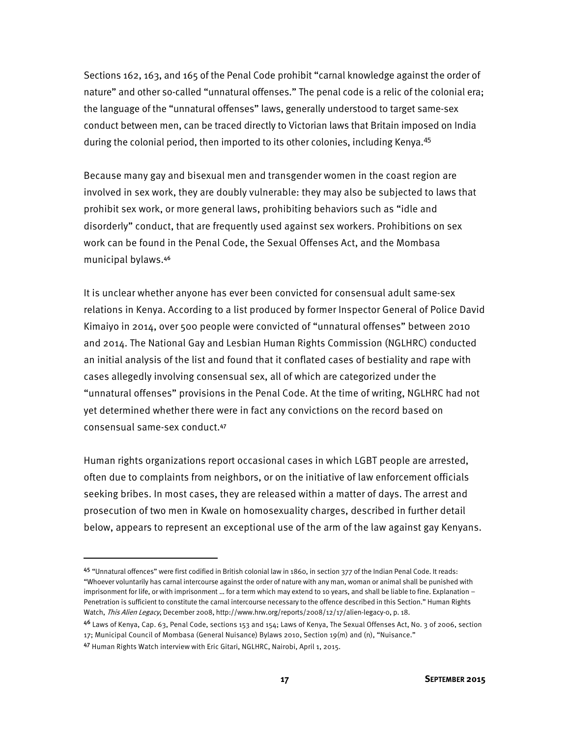Sections 162, 163, and 165 of the Penal Code prohibit "carnal knowledge against the order of nature" and other so-called "unnatural offenses." The penal code is a relic of the colonial era; the language of the "unnatural offenses" laws, generally understood to target same-sex conduct between men, can be traced directly to Victorian laws that Britain imposed on India during the colonial period, then imported to its other colonies, including Kenya.<sup>45</sup>

Because many gay and bisexual men and transgender women in the coast region are involved in sex work, they are doubly vulnerable: they may also be subjected to laws that prohibit sex work, or more general laws, prohibiting behaviors such as "idle and disorderly" conduct, that are frequently used against sex workers. Prohibitions on sex work can be found in the Penal Code, the Sexual Offenses Act, and the Mombasa municipal bylaws.<sup>46</sup>

It is unclear whether anyone has ever been convicted for consensual adult same-sex relations in Kenya. According to a list produced by former Inspector General of Police David Kimaiyo in 2014, over 500 people were convicted of "unnatural offenses" between 2010 and 2014. The National Gay and Lesbian Human Rights Commission (NGLHRC) conducted an initial analysis of the list and found that it conflated cases of bestiality and rape with cases allegedly involving consensual sex, all of which are categorized under the "unnatural offenses" provisions in the Penal Code. At the time of writing, NGLHRC had not yet determined whether there were in fact any convictions on the record based on consensual same-sex conduct.<sup>47</sup>

Human rights organizations report occasional cases in which LGBT people are arrested, often due to complaints from neighbors, or on the initiative of law enforcement officials seeking bribes. In most cases, they are released within a matter of days. The arrest and prosecution of two men in Kwale on homosexuality charges, described in further detail below, appears to represent an exceptional use of the arm of the law against gay Kenyans.

<sup>45 &</sup>quot;Unnatural offences" were first codified in British colonial law in 1860, in section 377 of the Indian Penal Code. It reads: "Whoever voluntarily has carnal intercourse against the order of nature with any man, woman or animal shall be punished with imprisonment for life, or with imprisonment … for a term which may extend to 10 years, and shall be liable to fine. Explanation – Penetration is sufficient to constitute the carnal intercourse necessary to the offence described in this Section." Human Rights Watch, This Alien Legacy, December 2008, http://www.hrw.org/reports/2008/12/17/alien-legacy-0, p. 18.

<sup>4&</sup>lt;sup>6</sup> Laws of Kenya, Cap. 63, Penal Code, sections 153 and 154; Laws of Kenya, The Sexual Offenses Act, No. 3 of 2006, section 17; Municipal Council of Mombasa (General Nuisance) Bylaws 2010, Section 19(m) and (n), "Nuisance."

<sup>47</sup> Human Rights Watch interview with Eric Gitari, NGLHRC, Nairobi, April 1, 2015.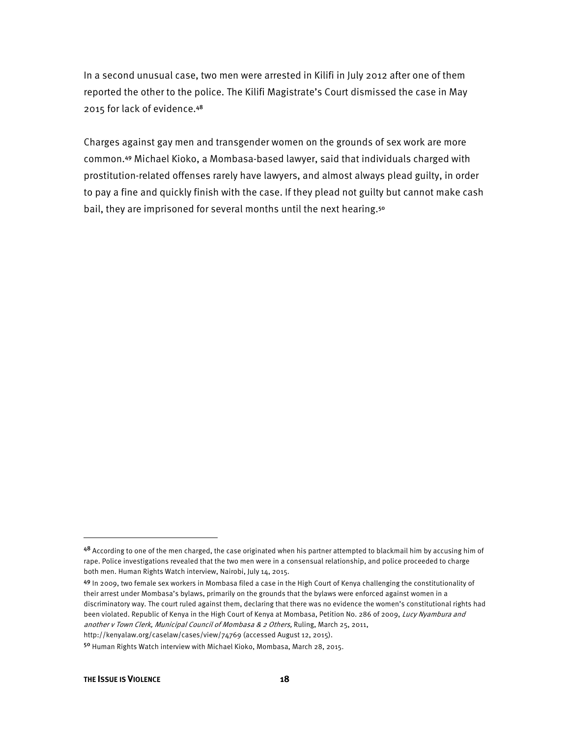In a second unusual case, two men were arrested in Kilifi in July 2012 after one of them reported the other to the police. The Kilifi Magistrate's Court dismissed the case in May 2015 for lack of evidence.<sup>48</sup>

Charges against gay men and transgender women on the grounds of sex work are more common.<sup>49</sup> Michael Kioko, a Mombasa-based lawyer, said that individuals charged with prostitution-related offenses rarely have lawyers, and almost always plead guilty, in order to pay a fine and quickly finish with the case. If they plead not guilty but cannot make cash bail, they are imprisoned for several months until the next hearing.<sup>50</sup>

<sup>48</sup> According to one of the men charged, the case originated when his partner attempted to blackmail him by accusing him of rape. Police investigations revealed that the two men were in a consensual relationship, and police proceeded to charge both men. Human Rights Watch interview, Nairobi, July 14, 2015.

<sup>49</sup> In 2009, two female sex workers in Mombasa filed a case in the High Court of Kenya challenging the constitutionality of their arrest under Mombasa's bylaws, primarily on the grounds that the bylaws were enforced against women in a discriminatory way. The court ruled against them, declaring that there was no evidence the women's constitutional rights had been violated. Republic of Kenya in the High Court of Kenya at Mombasa, Petition No. 286 of 2009, Lucy Nyambura and another v Town Clerk, Municipal Council of Mombasa & 2 Others, Ruling, March 25, 2011,

http://kenyalaw.org/caselaw/cases/view/74769 (accessed August 12, 2015).

<sup>50</sup> Human Rights Watch interview with Michael Kioko, Mombasa, March 28, 2015.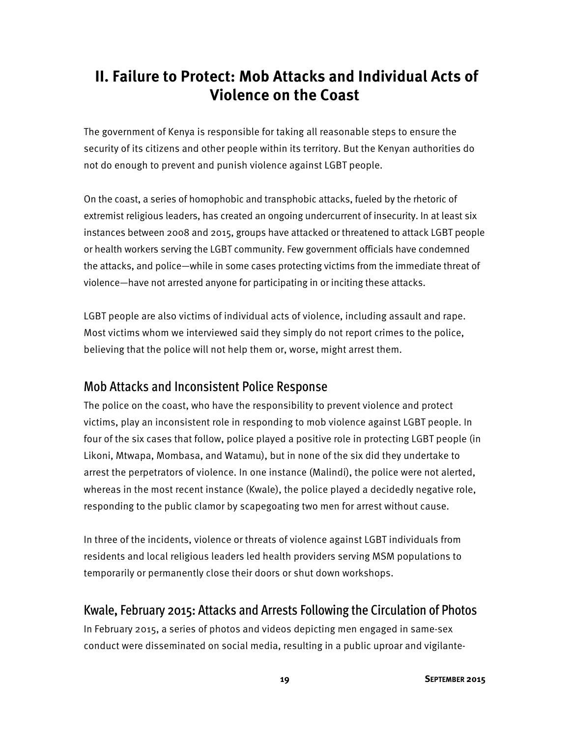# **II. Failure to Protect: Mob Attacks and Individual Acts of Violence on the Coast**

The government of Kenya is responsible for taking all reasonable steps to ensure the security of its citizens and other people within its territory. But the Kenyan authorities do not do enough to prevent and punish violence against LGBT people.

On the coast, a series of homophobic and transphobic attacks, fueled by the rhetoric of extremist religious leaders, has created an ongoing undercurrent of insecurity. In at least six instances between 2008 and 2015, groups have attacked or threatened to attack LGBT people or health workers serving the LGBT community. Few government officials have condemned the attacks, and police—while in some cases protecting victims from the immediate threat of violence—have not arrested anyone for participating in or inciting these attacks.

LGBT people are also victims of individual acts of violence, including assault and rape. Most victims whom we interviewed said they simply do not report crimes to the police, believing that the police will not help them or, worse, might arrest them.

#### Mob Attacks and Inconsistent Police Response

The police on the coast, who have the responsibility to prevent violence and protect victims, play an inconsistent role in responding to mob violence against LGBT people. In four of the six cases that follow, police played a positive role in protecting LGBT people (in Likoni, Mtwapa, Mombasa, and Watamu), but in none of the six did they undertake to arrest the perpetrators of violence. In one instance (Malindi), the police were not alerted, whereas in the most recent instance (Kwale), the police played a decidedly negative role, responding to the public clamor by scapegoating two men for arrest without cause.

In three of the incidents, violence or threats of violence against LGBT individuals from residents and local religious leaders led health providers serving MSM populations to temporarily or permanently close their doors or shut down workshops.

#### Kwale, February 2015: Attacks and Arrests Following the Circulation of Photos

In February 2015, a series of photos and videos depicting men engaged in same-sex conduct were disseminated on social media, resulting in a public uproar and vigilante-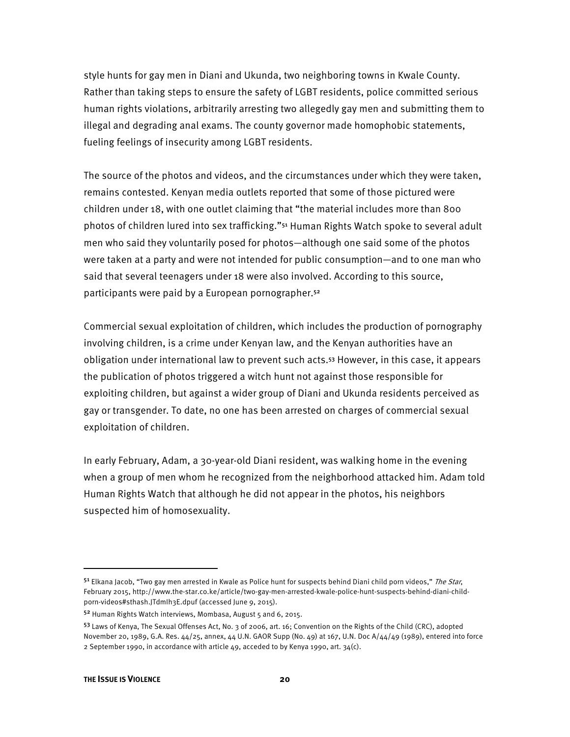style hunts for gay men in Diani and Ukunda, two neighboring towns in Kwale County. Rather than taking steps to ensure the safety of LGBT residents, police committed serious human rights violations, arbitrarily arresting two allegedly gay men and submitting them to illegal and degrading anal exams. The county governor made homophobic statements, fueling feelings of insecurity among LGBT residents.

The source of the photos and videos, and the circumstances under which they were taken, remains contested. Kenyan media outlets reported that some of those pictured were children under 18, with one outlet claiming that "the material includes more than 800 photos of children lured into sex trafficking."<sup>51</sup> Human Rights Watch spoke to several adult men who said they voluntarily posed for photos—although one said some of the photos were taken at a party and were not intended for public consumption—and to one man who said that several teenagers under 18 were also involved. According to this source, participants were paid by a European pornographer.<sup>52</sup>

Commercial sexual exploitation of children, which includes the production of pornography involving children, is a crime under Kenyan law, and the Kenyan authorities have an obligation under international law to prevent such acts.<sup>53</sup> However, in this case, it appears the publication of photos triggered a witch hunt not against those responsible for exploiting children, but against a wider group of Diani and Ukunda residents perceived as gay or transgender. To date, no one has been arrested on charges of commercial sexual exploitation of children.

In early February, Adam, a 30-year-old Diani resident, was walking home in the evening when a group of men whom he recognized from the neighborhood attacked him. Adam told Human Rights Watch that although he did not appear in the photos, his neighbors suspected him of homosexuality.

l

<sup>51</sup> Elkana Jacob, "Two gay men arrested in Kwale as Police hunt for suspects behind Diani child porn videos," The Star, February 2015, http://www.the-star.co.ke/article/two-gay-men-arrested-kwale-police-hunt-suspects-behind-diani-childporn-videos#sthash.JTdmIh3E.dpuf (accessed June 9, 2015).

<sup>52</sup> Human Rights Watch interviews, Mombasa, August 5 and 6, 2015.

<sup>53</sup> Laws of Kenya, The Sexual Offenses Act, No. 3 of 2006, art. 16; Convention on the Rights of the Child (CRC), adopted November 20, 1989, G.A. Res. 44/25, annex, 44 U.N. GAOR Supp (No. 49) at 167, U.N. Doc A/44/49 (1989), entered into force 2 September 1990, in accordance with article  $49$ , acceded to by Kenya 1990, art.  $34(c)$ .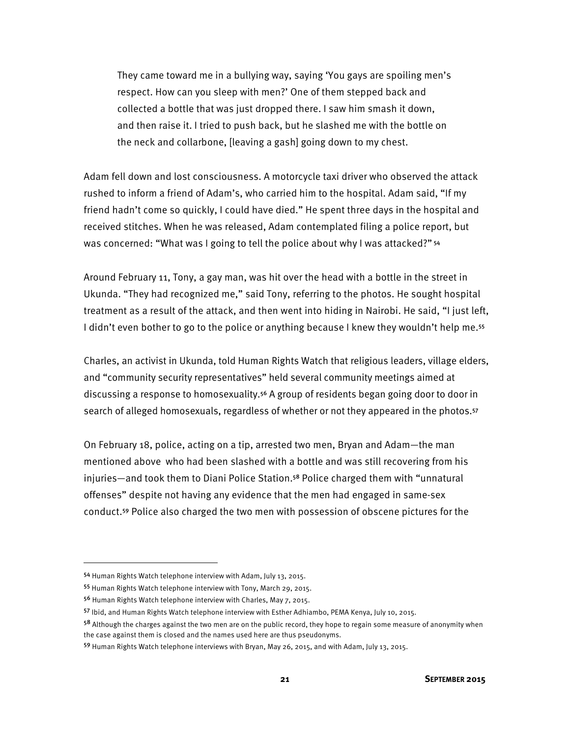They came toward me in a bullying way, saying 'You gays are spoiling men's respect. How can you sleep with men?' One of them stepped back and collected a bottle that was just dropped there. I saw him smash it down, and then raise it. I tried to push back, but he slashed me with the bottle on the neck and collarbone, [leaving a gash] going down to my chest.

Adam fell down and lost consciousness. A motorcycle taxi driver who observed the attack rushed to inform a friend of Adam's, who carried him to the hospital. Adam said, "If my friend hadn't come so quickly, I could have died." He spent three days in the hospital and received stitches. When he was released, Adam contemplated filing a police report, but was concerned: "What was I going to tell the police about why I was attacked?" 54

Around February 11, Tony, a gay man, was hit over the head with a bottle in the street in Ukunda. "They had recognized me," said Tony, referring to the photos. He sought hospital treatment as a result of the attack, and then went into hiding in Nairobi. He said, "I just left, I didn't even bother to go to the police or anything because I knew they wouldn't help me.<sup>55</sup>

Charles, an activist in Ukunda, told Human Rights Watch that religious leaders, village elders, and "community security representatives" held several community meetings aimed at discussing a response to homosexuality.<sup>56</sup> A group of residents began going door to door in search of alleged homosexuals, regardless of whether or not they appeared in the photos.<sup>57</sup>

On February 18, police, acting on a tip, arrested two men, Bryan and Adam—the man mentioned above who had been slashed with a bottle and was still recovering from his injuries—and took them to Diani Police Station.<sup>58</sup> Police charged them with "unnatural offenses" despite not having any evidence that the men had engaged in same-sex conduct.<sup>59</sup> Police also charged the two men with possession of obscene pictures for the

<sup>54</sup> Human Rights Watch telephone interview with Adam, July 13, 2015.

<sup>55</sup> Human Rights Watch telephone interview with Tony, March 29, 2015.

<sup>56</sup> Human Rights Watch telephone interview with Charles, May 7, 2015.

<sup>57</sup> Ibid, and Human Rights Watch telephone interview with Esther Adhiambo, PEMA Kenya, July 10, 2015.

<sup>&</sup>lt;sup>58</sup> Although the charges against the two men are on the public record, they hope to regain some measure of anonymity when the case against them is closed and the names used here are thus pseudonyms.

<sup>59</sup> Human Rights Watch telephone interviews with Bryan, May 26, 2015, and with Adam, July 13, 2015.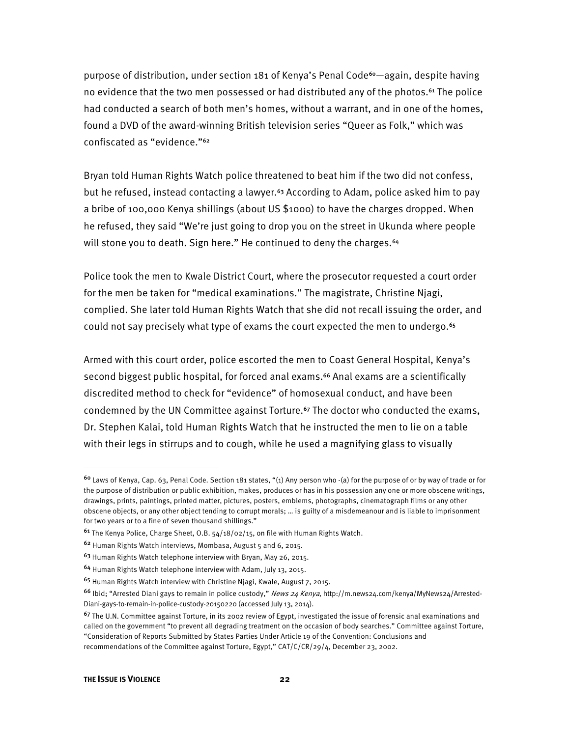purpose of distribution, under section 181 of Kenya's Penal Code<sup>60</sup>—again, despite having no evidence that the two men possessed or had distributed any of the photos.<sup>61</sup> The police had conducted a search of both men's homes, without a warrant, and in one of the homes, found a DVD of the award-winning British television series "Queer as Folk," which was confiscated as "evidence."<sup>62</sup>

Bryan told Human Rights Watch police threatened to beat him if the two did not confess, but he refused, instead contacting a lawyer.<sup>63</sup> According to Adam, police asked him to pay a bribe of 100,000 Kenya shillings (about US \$1000) to have the charges dropped. When he refused, they said "We're just going to drop you on the street in Ukunda where people will stone you to death. Sign here." He continued to deny the charges.<sup>64</sup>

Police took the men to Kwale District Court, where the prosecutor requested a court order for the men be taken for "medical examinations." The magistrate, Christine Njagi, complied. She later told Human Rights Watch that she did not recall issuing the order, and could not say precisely what type of exams the court expected the men to undergo.<sup>65</sup>

Armed with this court order, police escorted the men to Coast General Hospital, Kenya's second biggest public hospital, for forced anal exams.<sup>66</sup> Anal exams are a scientifically discredited method to check for "evidence" of homosexual conduct, and have been condemned by the UN Committee against Torture.<sup>67</sup> The doctor who conducted the exams, Dr. Stephen Kalai, told Human Rights Watch that he instructed the men to lie on a table with their legs in stirrups and to cough, while he used a magnifying glass to visually

<sup>60</sup> Laws of Kenya, Cap. 63, Penal Code. Section 181 states, "(1) Any person who -(a) for the purpose of or by way of trade or for the purpose of distribution or public exhibition, makes, produces or has in his possession any one or more obscene writings, drawings, prints, paintings, printed matter, pictures, posters, emblems, photographs, cinematograph films or any other obscene objects, or any other object tending to corrupt morals; … is guilty of a misdemeanour and is liable to imprisonment for two years or to a fine of seven thousand shillings."

<sup>61</sup> The Kenya Police, Charge Sheet, O.B. 54/18/02/15, on file with Human Rights Watch.

<sup>62</sup> Human Rights Watch interviews, Mombasa, August 5 and 6, 2015.

<sup>63</sup> Human Rights Watch telephone interview with Bryan, May 26, 2015.

<sup>64</sup> Human Rights Watch telephone interview with Adam, July 13, 2015.

<sup>65</sup> Human Rights Watch interview with Christine Njagi, Kwale, August 7, 2015.

<sup>&</sup>lt;sup>66</sup> Ibid; "Arrested Diani gays to remain in police custody," News 24 Kenya, http://m.news24.com/kenya/MyNews24/Arrested-Diani-gays-to-remain-in-police-custody-20150220 (accessed July 13, 2014).

 $67$  The U.N. Committee against Torture, in its 2002 review of Egypt, investigated the issue of forensic anal examinations and called on the government "to prevent all degrading treatment on the occasion of body searches." Committee against Torture, "Consideration of Reports Submitted by States Parties Under Article 19 of the Convention: Conclusions and recommendations of the Committee against Torture, Egypt," CAT/C/CR/29/4, December 23, 2002.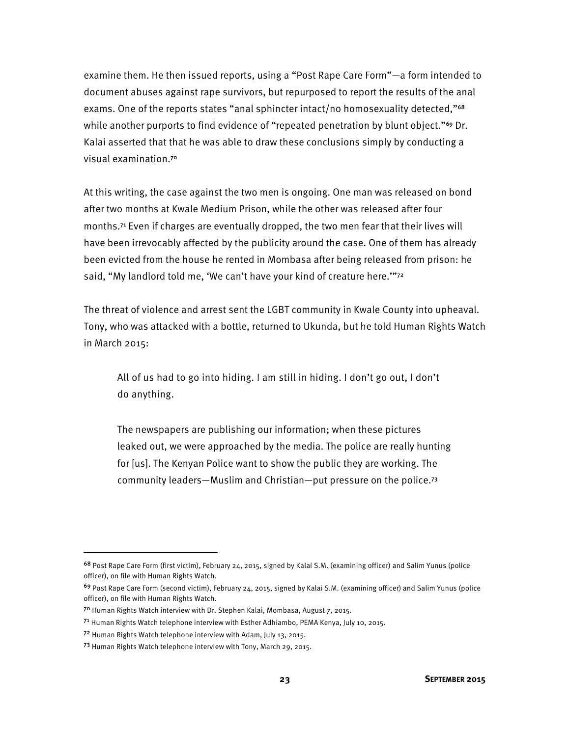examine them. He then issued reports, using a "Post Rape Care Form"—a form intended to document abuses against rape survivors, but repurposed to report the results of the anal exams. One of the reports states "anal sphincter intact/no homosexuality detected,"<sup>68</sup> while another purports to find evidence of "repeated penetration by blunt object."<sup>69</sup> Dr. Kalai asserted that that he was able to draw these conclusions simply by conducting a visual examination.<sup>70</sup>

At this writing, the case against the two men is ongoing. One man was released on bond after two months at Kwale Medium Prison, while the other was released after four months.<sup>71</sup> Even if charges are eventually dropped, the two men fear that their lives will have been irrevocably affected by the publicity around the case. One of them has already been evicted from the house he rented in Mombasa after being released from prison: he said, "My landlord told me, 'We can't have your kind of creature here.""72

The threat of violence and arrest sent the LGBT community in Kwale County into upheaval. Tony, who was attacked with a bottle, returned to Ukunda, but he told Human Rights Watch in March 2015:

All of us had to go into hiding. I am still in hiding. I don't go out, I don't do anything.

The newspapers are publishing our information; when these pictures leaked out, we were approached by the media. The police are really hunting for [us]. The Kenyan Police want to show the public they are working. The community leaders—Muslim and Christian—put pressure on the police.<sup>73</sup>

<sup>68</sup> Post Rape Care Form (first victim), February 24, 2015, signed by Kalai S.M. (examining officer) and Salim Yunus (police officer), on file with Human Rights Watch.

<sup>69</sup> Post Rape Care Form (second victim), February 24, 2015, signed by Kalai S.M. (examining officer) and Salim Yunus (police officer), on file with Human Rights Watch.

<sup>70</sup> Human Rights Watch interview with Dr. Stephen Kalai, Mombasa, August 7, 2015.

<sup>71</sup> Human Rights Watch telephone interview with Esther Adhiambo, PEMA Kenya, July 10, 2015.

<sup>72</sup> Human Rights Watch telephone interview with Adam, July 13, 2015.

<sup>73</sup> Human Rights Watch telephone interview with Tony, March 29, 2015.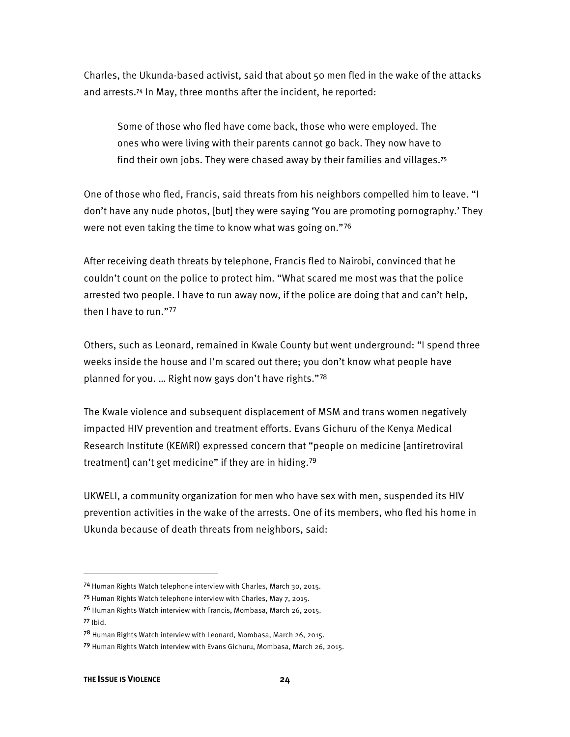Charles, the Ukunda-based activist, said that about 50 men fled in the wake of the attacks and arrests.<sup>74</sup> In May, three months after the incident, he reported:

Some of those who fled have come back, those who were employed. The ones who were living with their parents cannot go back. They now have to find their own jobs. They were chased away by their families and villages.<sup>75</sup>

One of those who fled, Francis, said threats from his neighbors compelled him to leave. "I don't have any nude photos, [but] they were saying 'You are promoting pornography.' They were not even taking the time to know what was going on."<sup>76</sup>

After receiving death threats by telephone, Francis fled to Nairobi, convinced that he couldn't count on the police to protect him. "What scared me most was that the police arrested two people. I have to run away now, if the police are doing that and can't help, then I have to run."<sup>77</sup>

Others, such as Leonard, remained in Kwale County but went underground: "I spend three weeks inside the house and I'm scared out there; you don't know what people have planned for you. … Right now gays don't have rights."<sup>78</sup>

The Kwale violence and subsequent displacement of MSM and trans women negatively impacted HIV prevention and treatment efforts. Evans Gichuru of the Kenya Medical Research Institute (KEMRI) expressed concern that "people on medicine [antiretroviral treatment] can't get medicine" if they are in hiding.<sup>79</sup>

UKWELI, a community organization for men who have sex with men, suspended its HIV prevention activities in the wake of the arrests. One of its members, who fled his home in Ukunda because of death threats from neighbors, said:

<sup>74</sup> Human Rights Watch telephone interview with Charles, March 30, 2015.

<sup>75</sup> Human Rights Watch telephone interview with Charles, May 7, 2015.

<sup>76</sup> Human Rights Watch interview with Francis, Mombasa, March 26, 2015. <sup>77</sup> Ibid.

<sup>78</sup> Human Rights Watch interview with Leonard, Mombasa, March 26, 2015.

<sup>79</sup> Human Rights Watch interview with Evans Gichuru, Mombasa, March 26, 2015.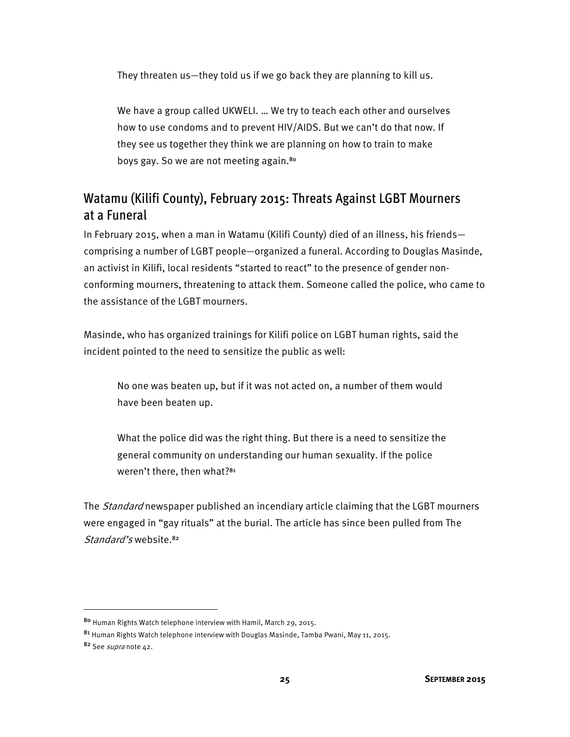They threaten us—they told us if we go back they are planning to kill us.

We have a group called UKWELI. … We try to teach each other and ourselves how to use condoms and to prevent HIV/AIDS. But we can't do that now. If they see us together they think we are planning on how to train to make boys gay. So we are not meeting again.<sup>80</sup>

#### Watamu (Kilifi County), February 2015: Threats Against LGBT Mourners at a Funeral

In February 2015, when a man in Watamu (Kilifi County) died of an illness, his friends comprising a number of LGBT people—organized a funeral. According to Douglas Masinde, an activist in Kilifi, local residents "started to react" to the presence of gender nonconforming mourners, threatening to attack them. Someone called the police, who came to the assistance of the LGBT mourners.

Masinde, who has organized trainings for Kilifi police on LGBT human rights, said the incident pointed to the need to sensitize the public as well:

No one was beaten up, but if it was not acted on, a number of them would have been beaten up.

What the police did was the right thing. But there is a need to sensitize the general community on understanding our human sexuality. If the police weren't there, then what?<sup>81</sup>

The *Standard* newspaper published an incendiary article claiming that the LGBT mourners were engaged in "gay rituals" at the burial. The article has since been pulled from The Standard's website.<sup>82</sup>

<sup>80</sup> Human Rights Watch telephone interview with Hamil, March 29, 2015.

<sup>81</sup> Human Rights Watch telephone interview with Douglas Masinde, Tamba Pwani, May 11, 2015. 82 See supranote 42.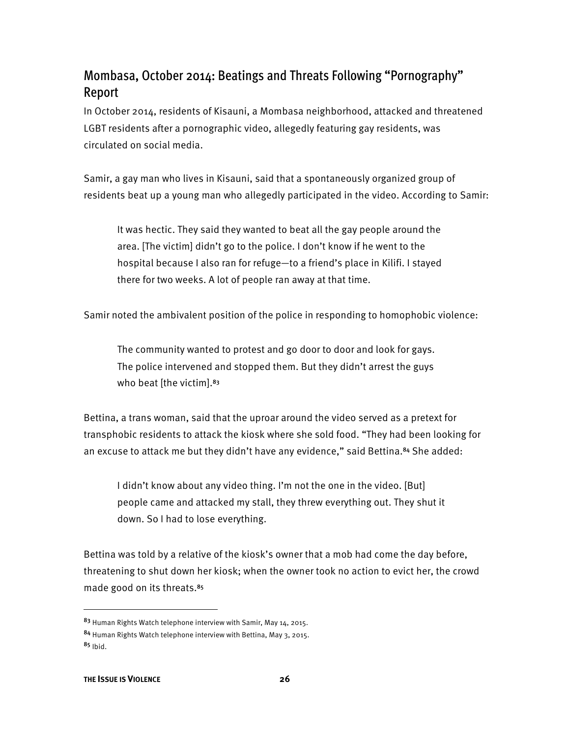## Mombasa, October 2014: Beatings and Threats Following "Pornography" Report

In October 2014, residents of Kisauni, a Mombasa neighborhood, attacked and threatened LGBT residents after a pornographic video, allegedly featuring gay residents, was circulated on social media.

Samir, a gay man who lives in Kisauni, said that a spontaneously organized group of residents beat up a young man who allegedly participated in the video. According to Samir:

It was hectic. They said they wanted to beat all the gay people around the area. [The victim] didn't go to the police. I don't know if he went to the hospital because I also ran for refuge—to a friend's place in Kilifi. I stayed there for two weeks. A lot of people ran away at that time.

Samir noted the ambivalent position of the police in responding to homophobic violence:

The community wanted to protest and go door to door and look for gays. The police intervened and stopped them. But they didn't arrest the guys who beat [the victim].<sup>83</sup>

Bettina, a trans woman, said that the uproar around the video served as a pretext for transphobic residents to attack the kiosk where she sold food. "They had been looking for an excuse to attack me but they didn't have any evidence," said Bettina.<sup>84</sup> She added:

I didn't know about any video thing. I'm not the one in the video. [But] people came and attacked my stall, they threw everything out. They shut it down. So I had to lose everything.

Bettina was told by a relative of the kiosk's owner that a mob had come the day before, threatening to shut down her kiosk; when the owner took no action to evict her, the crowd made good on its threats.<sup>85</sup>

<sup>83</sup> Human Rights Watch telephone interview with Samir, May 14, 2015.

<sup>84</sup> Human Rights Watch telephone interview with Bettina, May 3, 2015.  $85$  Ibid.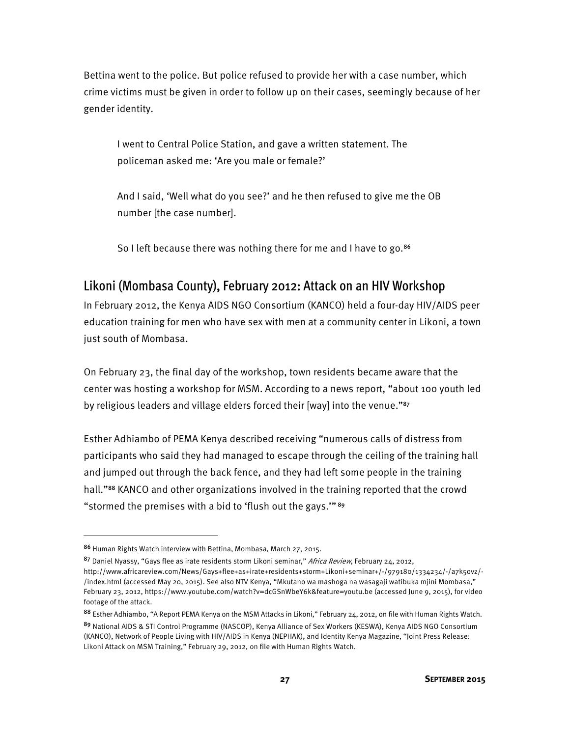Bettina went to the police. But police refused to provide her with a case number, which crime victims must be given in order to follow up on their cases, seemingly because of her gender identity.

I went to Central Police Station, and gave a written statement. The policeman asked me: 'Are you male or female?'

And I said, 'Well what do you see?' and he then refused to give me the OB number [the case number].

So I left because there was nothing there for me and I have to go.<sup>86</sup>

#### Likoni (Mombasa County), February 2012: Attack on an HIV Workshop

In February 2012, the Kenya AIDS NGO Consortium (KANCO) held a four-day HIV/AIDS peer education training for men who have sex with men at a community center in Likoni, a town just south of Mombasa.

On February 23, the final day of the workshop, town residents became aware that the center was hosting a workshop for MSM. According to a news report, "about 100 youth led by religious leaders and village elders forced their [way] into the venue."<sup>87</sup>

Esther Adhiambo of PEMA Kenya described receiving "numerous calls of distress from participants who said they had managed to escape through the ceiling of the training hall and jumped out through the back fence, and they had left some people in the training hall."<sup>88</sup> KANCO and other organizations involved in the training reported that the crowd "stormed the premises with a bid to 'flush out the gays.'"<sup>89</sup>

<sup>86</sup> Human Rights Watch interview with Bettina, Mombasa, March 27, 2015.

<sup>87</sup> Daniel Nyassy, "Gays flee as irate residents storm Likoni seminar," Africa Review, February 24, 2012, http://www.africareview.com/News/Gays+flee+as+irate+residents+storm+Likoni+seminar+/-/979180/1334234/-/a7k5ovz/- /index.html (accessed May 20, 2015). See also NTV Kenya, "Mkutano wa mashoga na wasagaji watibuka mjini Mombasa," February 23, 2012, https://www.youtube.com/watch?v=dcGSnWbeY6k&feature=youtu.be (accessed June 9, 2015), for video footage of the attack.

<sup>88</sup> Esther Adhiambo, "A Report PEMA Kenya on the MSM Attacks in Likoni," February 24, 2012, on file with Human Rights Watch. <sup>89</sup> National AIDS & STI Control Programme (NASCOP), Kenya Alliance of Sex Workers (KESWA), Kenya AIDS NGO Consortium (KANCO), Network of People Living with HIV/AIDS in Kenya (NEPHAK), and Identity Kenya Magazine, "Joint Press Release: Likoni Attack on MSM Training," February 29, 2012, on file with Human Rights Watch.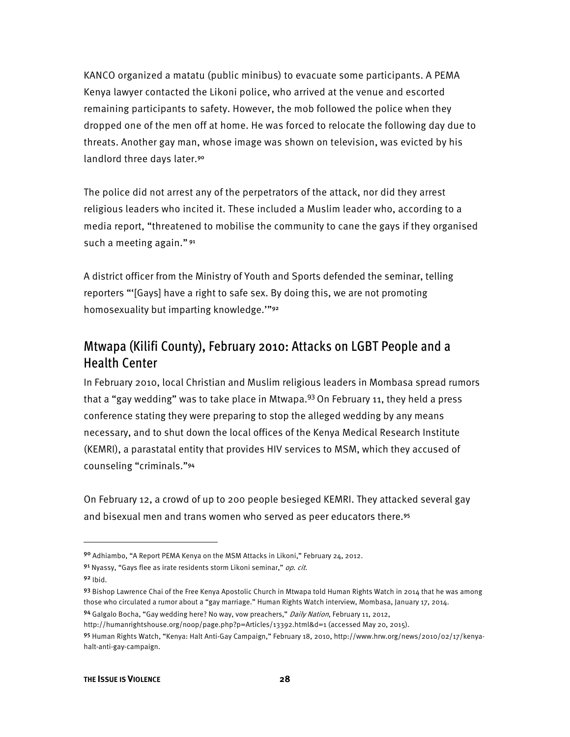KANCO organized a matatu (public minibus) to evacuate some participants. A PEMA Kenya lawyer contacted the Likoni police, who arrived at the venue and escorted remaining participants to safety. However, the mob followed the police when they dropped one of the men off at home. He was forced to relocate the following day due to threats. Another gay man, whose image was shown on television, was evicted by his landlord three days later.<sup>90</sup>

The police did not arrest any of the perpetrators of the attack, nor did they arrest religious leaders who incited it. These included a Muslim leader who, according to a media report, "threatened to mobilise the community to cane the gays if they organised such a meeting again."<sup>91</sup>

A district officer from the Ministry of Youth and Sports defended the seminar, telling reporters "'[Gays] have a right to safe sex. By doing this, we are not promoting homosexuality but imparting knowledge.'"<sup>92</sup>

### Mtwapa (Kilifi County), February 2010: Attacks on LGBT People and a Health Center

In February 2010, local Christian and Muslim religious leaders in Mombasa spread rumors that a "gay wedding" was to take place in Mtwapa. $93$  On February 11, they held a press conference stating they were preparing to stop the alleged wedding by any means necessary, and to shut down the local offices of the Kenya Medical Research Institute (KEMRI), a parastatal entity that provides HIV services to MSM, which they accused of counseling "criminals."<sup>94</sup>

On February 12, a crowd of up to 200 people besieged KEMRI. They attacked several gay and bisexual men and trans women who served as peer educators there.<sup>95</sup>

**.** 

94 Galgalo Bocha, "Gay wedding here? No way, vow preachers," Daily Nation, February 11, 2012,

<sup>90</sup> Adhiambo, "A Report PEMA Kenya on the MSM Attacks in Likoni," February 24, 2012.

<sup>91</sup> Nyassy, "Gays flee as irate residents storm Likoni seminar," op. cit.

 $92$  Ibid.

<sup>93</sup> Bishop Lawrence Chai of the Free Kenya Apostolic Church in Mtwapa told Human Rights Watch in 2014 that he was among those who circulated a rumor about a "gay marriage." Human Rights Watch interview, Mombasa, January 17, 2014.

http://humanrightshouse.org/noop/page.php?p=Articles/13392.html&d=1 (accessed May 20, 2015).

<sup>95</sup> Human Rights Watch, "Kenya: Halt Anti-Gay Campaign," February 18, 2010, http://www.hrw.org/news/2010/02/17/kenyahalt-anti-gay-campaign.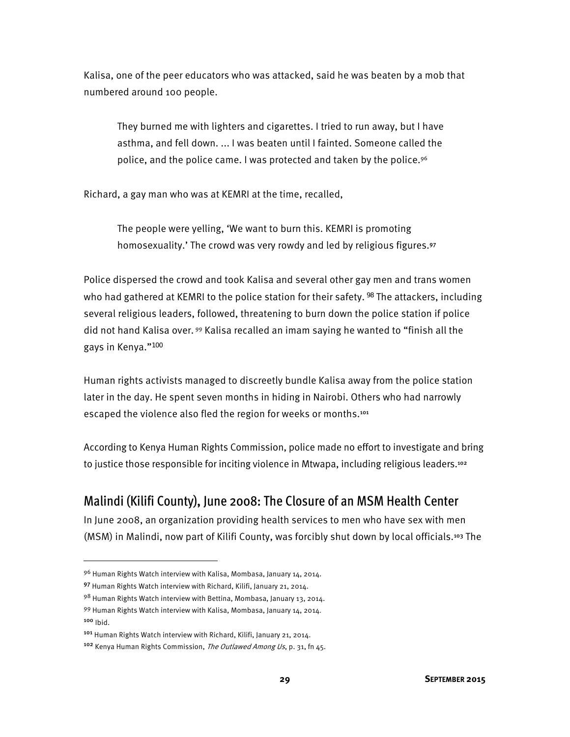Kalisa, one of the peer educators who was attacked, said he was beaten by a mob that numbered around 100 people.

They burned me with lighters and cigarettes. I tried to run away, but I have asthma, and fell down. ... I was beaten until I fainted. Someone called the police, and the police came. I was protected and taken by the police.96

Richard, a gay man who was at KEMRI at the time, recalled,

The people were yelling, 'We want to burn this. KEMRI is promoting homosexuality.' The crowd was very rowdy and led by religious figures.<sup>97</sup>

Police dispersed the crowd and took Kalisa and several other gay men and trans women who had gathered at KEMRI to the police station for their safety.<sup>98</sup> The attackers, including several religious leaders, followed, threatening to burn down the police station if police did not hand Kalisa over. 99 Kalisa recalled an imam saying he wanted to "finish all the gays in Kenya."<sup>100</sup>

Human rights activists managed to discreetly bundle Kalisa away from the police station later in the day. He spent seven months in hiding in Nairobi. Others who had narrowly escaped the violence also fled the region for weeks or months.<sup>101</sup>

According to Kenya Human Rights Commission, police made no effort to investigate and bring to justice those responsible for inciting violence in Mtwapa, including religious leaders.<sup>102</sup>

### Malindi (Kilifi County), June 2008: The Closure of an MSM Health Center

In June 2008, an organization providing health services to men who have sex with men (MSM) in Malindi, now part of Kilifi County, was forcibly shut down by local officials.<sup>103</sup> The

<sup>100</sup> Ibid.

<sup>96</sup> Human Rights Watch interview with Kalisa, Mombasa, January 14, 2014.

<sup>97</sup> Human Rights Watch interview with Richard, Kilifi, January 21, 2014.

<sup>98</sup> Human Rights Watch interview with Bettina, Mombasa, January 13, 2014. 99 Human Rights Watch interview with Kalisa, Mombasa, January 14, 2014.

<sup>101</sup> Human Rights Watch interview with Richard, Kilifi, January 21, 2014.

<sup>&</sup>lt;sup>102</sup> Kenva Human Rights Commission, The Outlawed Among Us, p. 31, fn 45.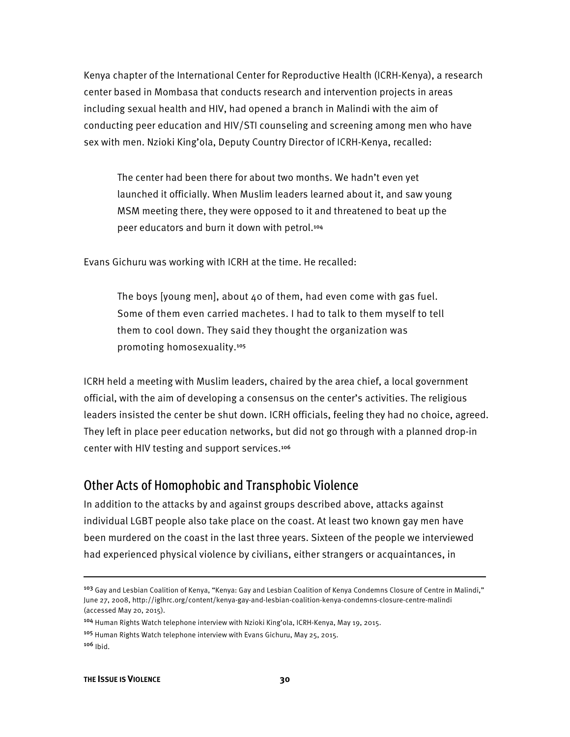Kenya chapter of the International Center for Reproductive Health (ICRH-Kenya), a research center based in Mombasa that conducts research and intervention projects in areas including sexual health and HIV, had opened a branch in Malindi with the aim of conducting peer education and HIV/STI counseling and screening among men who have sex with men. Nzioki King'ola, Deputy Country Director of ICRH-Kenya, recalled:

The center had been there for about two months. We hadn't even yet launched it officially. When Muslim leaders learned about it, and saw young MSM meeting there, they were opposed to it and threatened to beat up the peer educators and burn it down with petrol.<sup>104</sup>

Evans Gichuru was working with ICRH at the time. He recalled:

The boys [young men], about 40 of them, had even come with gas fuel. Some of them even carried machetes. I had to talk to them myself to tell them to cool down. They said they thought the organization was promoting homosexuality.<sup>105</sup>

ICRH held a meeting with Muslim leaders, chaired by the area chief, a local government official, with the aim of developing a consensus on the center's activities. The religious leaders insisted the center be shut down. ICRH officials, feeling they had no choice, agreed. They left in place peer education networks, but did not go through with a planned drop-in center with HIV testing and support services.<sup>106</sup>

#### Other Acts of Homophobic and Transphobic Violence

In addition to the attacks by and against groups described above, attacks against individual LGBT people also take place on the coast. At least two known gay men have been murdered on the coast in the last three years. Sixteen of the people we interviewed had experienced physical violence by civilians, either strangers or acquaintances, in

<sup>105</sup> Human Rights Watch telephone interview with Evans Gichuru, May 25, 2015. <sup>106</sup> Ibid.

l

<sup>&</sup>lt;sup>103</sup> Gay and Lesbian Coalition of Kenya, "Kenya: Gay and Lesbian Coalition of Kenya Condemns Closure of Centre in Malindi," June 27, 2008, http://iglhrc.org/content/kenya-gay-and-lesbian-coalition-kenya-condemns-closure-centre-malindi (accessed May 20, 2015).

<sup>104</sup> Human Rights Watch telephone interview with Nzioki King'ola, ICRH-Kenya, May 19, 2015.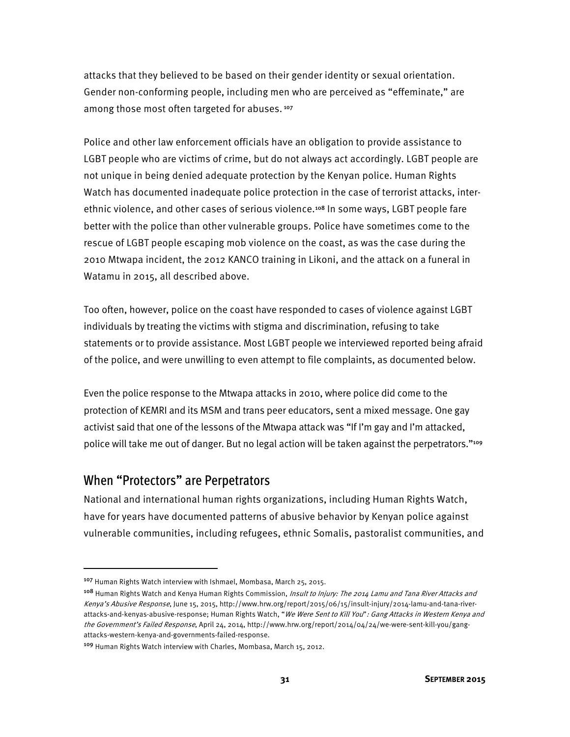attacks that they believed to be based on their gender identity or sexual orientation. Gender non-conforming people, including men who are perceived as "effeminate," are among those most often targeted for abuses.<sup>107</sup>

Police and other law enforcement officials have an obligation to provide assistance to LGBT people who are victims of crime, but do not always act accordingly. LGBT people are not unique in being denied adequate protection by the Kenyan police. Human Rights Watch has documented inadequate police protection in the case of terrorist attacks, interethnic violence, and other cases of serious violence.<sup>108</sup> In some ways, LGBT people fare better with the police than other vulnerable groups. Police have sometimes come to the rescue of LGBT people escaping mob violence on the coast, as was the case during the 2010 Mtwapa incident, the 2012 KANCO training in Likoni, and the attack on a funeral in Watamu in 2015, all described above.

Too often, however, police on the coast have responded to cases of violence against LGBT individuals by treating the victims with stigma and discrimination, refusing to take statements or to provide assistance. Most LGBT people we interviewed reported being afraid of the police, and were unwilling to even attempt to file complaints, as documented below.

Even the police response to the Mtwapa attacks in 2010, where police did come to the protection of KEMRI and its MSM and trans peer educators, sent a mixed message. One gay activist said that one of the lessons of the Mtwapa attack was "If I'm gay and I'm attacked, police will take me out of danger. But no legal action will be taken against the perpetrators."<sup>109</sup>

## When "Protectors" are Perpetrators

l

National and international human rights organizations, including Human Rights Watch, have for years have documented patterns of abusive behavior by Kenyan police against vulnerable communities, including refugees, ethnic Somalis, pastoralist communities, and

<sup>107</sup> Human Rights Watch interview with Ishmael, Mombasa, March 25, 2015.

<sup>&</sup>lt;sup>108</sup> Human Rights Watch and Kenya Human Rights Commission, *Insult to Injury: The 2014 Lamu and Tana River Attacks and* Kenya's Abusive Response, June 15, 2015, http://www.hrw.org/report/2015/06/15/insult-injury/2014-lamu-and-tana-riverattacks-and-kenyas-abusive-response; Human Rights Watch, "We Were Sent to Kill You": Gang Attacks in Western Kenya and the Government's Failed Response, April 24, 2014, http://www.hrw.org/report/2014/04/24/we-were-sent-kill-you/gangattacks-western-kenya-and-governments-failed-response.

<sup>109</sup> Human Rights Watch interview with Charles, Mombasa, March 15, 2012.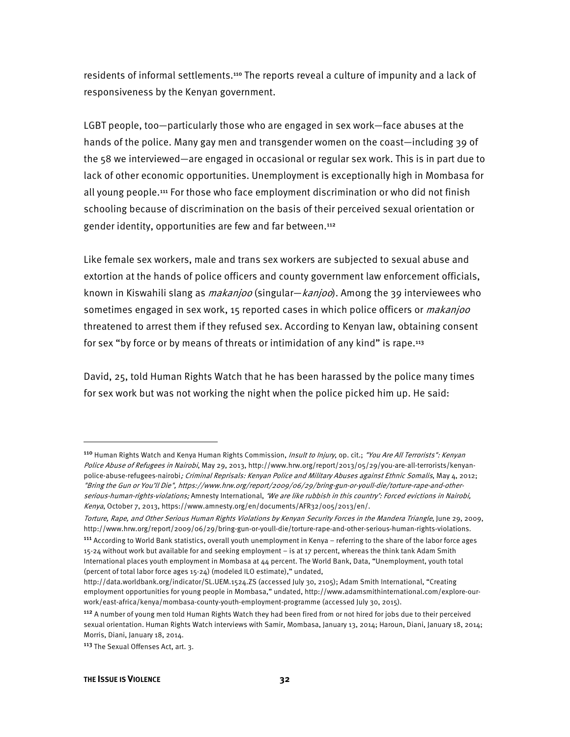residents of informal settlements.<sup>110</sup> The reports reveal a culture of impunity and a lack of responsiveness by the Kenyan government.

LGBT people, too—particularly those who are engaged in sex work—face abuses at the hands of the police. Many gay men and transgender women on the coast—including 39 of the 58 we interviewed—are engaged in occasional or regular sex work. This is in part due to lack of other economic opportunities. Unemployment is exceptionally high in Mombasa for all young people.<sup>111</sup> For those who face employment discrimination or who did not finish schooling because of discrimination on the basis of their perceived sexual orientation or gender identity, opportunities are few and far between.<sup>112</sup>

Like female sex workers, male and trans sex workers are subjected to sexual abuse and extortion at the hands of police officers and county government law enforcement officials, known in Kiswahili slang as *makanjoo* (singular—*kanjoo*). Among the 39 interviewees who sometimes engaged in sex work, 15 reported cases in which police officers or *makanjoo* threatened to arrest them if they refused sex. According to Kenyan law, obtaining consent for sex "by force or by means of threats or intimidation of any kind" is rape.<sup>113</sup>

David, 25, told Human Rights Watch that he has been harassed by the police many times for sex work but was not working the night when the police picked him up. He said:

<sup>110</sup> Human Rights Watch and Kenya Human Rights Commission, *Insult to Injury*, op. cit.; "You Are All Terrorists": Kenyan Police Abuse of Refugees in Nairobi, May 29, 2013, http://www.hrw.org/report/2013/05/29/you-are-all-terrorists/kenyanpolice-abuse-refugees-nairobi; Criminal Reprisals: Kenyan Police and Military Abuses against Ethnic Somalis, May 4, 2012; "Bring the Gun or You'll Die", https://www.hrw.org/report/2009/06/29/bring-gun-or-youll-die/torture-rape-and-otherserious-human-rights-violations; Amnesty International, 'We are like rubbish in this country': Forced evictions in Nairobi, Kenya, October 7, 2013, https://www.amnesty.org/en/documents/AFR32/005/2013/en/.

Torture, Rape, and Other Serious Human Rights Violations by Kenyan Security Forces in the Mandera Triangle, June 29, 2009, http://www.hrw.org/report/2009/06/29/bring-gun-or-youll-die/torture-rape-and-other-serious-human-rights-violations.

<sup>111</sup> According to World Bank statistics, overall youth unemployment in Kenya – referring to the share of the labor force ages 15-24 without work but available for and seeking employment – is at 17 percent, whereas the think tank Adam Smith International places youth employment in Mombasa at 44 percent. The World Bank, Data, "Unemployment, youth total (percent of total labor force ages 15-24) (modeled ILO estimate)," undated,

http://data.worldbank.org/indicator/SL.UEM.1524.ZS (accessed July 30, 2105); Adam Smith International, "Creating employment opportunities for young people in Mombasa," undated, http://www.adamsmithinternational.com/explore-ourwork/east-africa/kenya/mombasa-county-youth-employment-programme (accessed July 30, 2015).

<sup>112</sup> A number of young men told Human Rights Watch they had been fired from or not hired for jobs due to their perceived sexual orientation. Human Rights Watch interviews with Samir, Mombasa, January 13, 2014; Haroun, Diani, January 18, 2014; Morris, Diani, January 18, 2014.

<sup>113</sup> The Sexual Offenses Act, art. 3.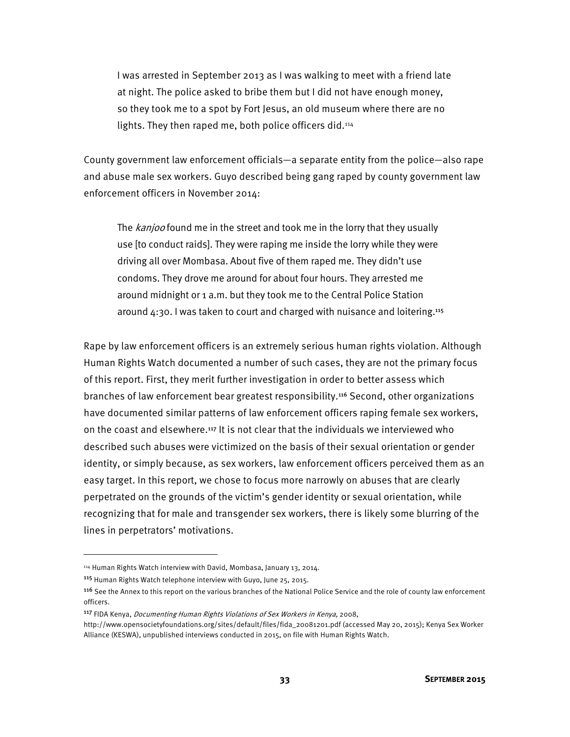I was arrested in September 2013 as I was walking to meet with a friend late at night. The police asked to bribe them but I did not have enough money, so they took me to a spot by Fort Jesus, an old museum where there are no lights. They then raped me, both police officers did.<sup>114</sup>

County government law enforcement officials—a separate entity from the police—also rape and abuse male sex workers. Guyo described being gang raped by county government law enforcement officers in November 2014:

The *kanjoo* found me in the street and took me in the lorry that they usually use [to conduct raids]. They were raping me inside the lorry while they were driving all over Mombasa. About five of them raped me. They didn't use condoms. They drove me around for about four hours. They arrested me around midnight or 1 a.m. but they took me to the Central Police Station around  $4:30$ . I was taken to court and charged with nuisance and loitering.<sup>115</sup>

Rape by law enforcement officers is an extremely serious human rights violation. Although Human Rights Watch documented a number of such cases, they are not the primary focus of this report. First, they merit further investigation in order to better assess which branches of law enforcement bear greatest responsibility.<sup>116</sup> Second, other organizations have documented similar patterns of law enforcement officers raping female sex workers, on the coast and elsewhere.<sup>117</sup> It is not clear that the individuals we interviewed who described such abuses were victimized on the basis of their sexual orientation or gender identity, or simply because, as sex workers, law enforcement officers perceived them as an easy target. In this report, we chose to focus more narrowly on abuses that are clearly perpetrated on the grounds of the victim's gender identity or sexual orientation, while recognizing that for male and transgender sex workers, there is likely some blurring of the lines in perpetrators' motivations.

 $\overline{a}$ 

<sup>114</sup> Human Rights Watch interview with David, Mombasa, January 13, 2014.

<sup>115</sup> Human Rights Watch telephone interview with Guyo, June 25, 2015.

<sup>&</sup>lt;sup>116</sup> See the Annex to this report on the various branches of the National Police Service and the role of county law enforcement officers.

<sup>&</sup>lt;sup>117</sup> FIDA Kenya, *Documenting Human Rights Violations of Sex Workers in Kenya*, 2008,

http://www.opensocietyfoundations.org/sites/default/files/fida\_20081201.pdf (accessed May 20, 2015); Kenya Sex Worker Alliance (KESWA), unpublished interviews conducted in 2015, on file with Human Rights Watch.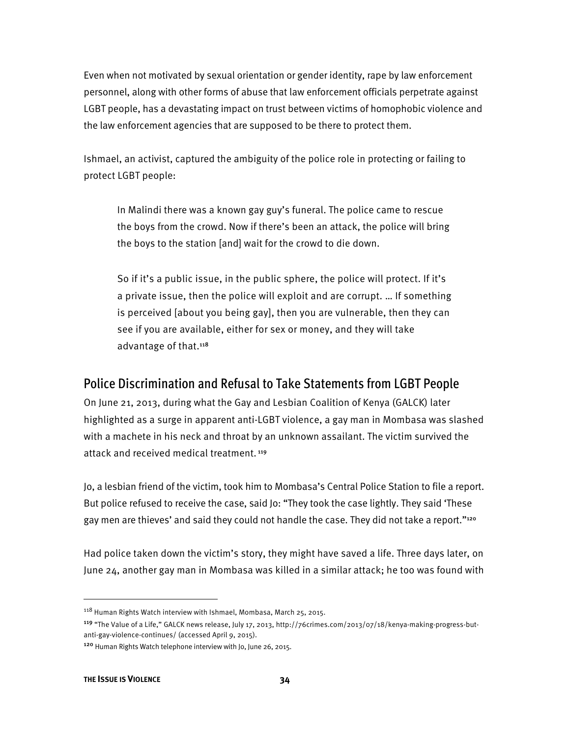Even when not motivated by sexual orientation or gender identity, rape by law enforcement personnel, along with other forms of abuse that law enforcement officials perpetrate against LGBT people, has a devastating impact on trust between victims of homophobic violence and the law enforcement agencies that are supposed to be there to protect them.

Ishmael, an activist, captured the ambiguity of the police role in protecting or failing to protect LGBT people:

In Malindi there was a known gay guy's funeral. The police came to rescue the boys from the crowd. Now if there's been an attack, the police will bring the boys to the station [and] wait for the crowd to die down.

So if it's a public issue, in the public sphere, the police will protect. If it's a private issue, then the police will exploit and are corrupt. … If something is perceived [about you being gay], then you are vulnerable, then they can see if you are available, either for sex or money, and they will take advantage of that.<sup>118</sup>

### Police Discrimination and Refusal to Take Statements from LGBT People

On June 21, 2013, during what the Gay and Lesbian Coalition of Kenya (GALCK) later highlighted as a surge in apparent anti-LGBT violence, a gay man in Mombasa was slashed with a machete in his neck and throat by an unknown assailant. The victim survived the attack and received medical treatment.<sup>119</sup>

Jo, a lesbian friend of the victim, took him to Mombasa's Central Police Station to file a report. But police refused to receive the case, said Jo: "They took the case lightly. They said 'These gay men are thieves' and said they could not handle the case. They did not take a report."<sup>120</sup>

Had police taken down the victim's story, they might have saved a life. Three days later, on June 24, another gay man in Mombasa was killed in a similar attack; he too was found with

 $\overline{a}$ 

<sup>118</sup> Human Rights Watch interview with Ishmael, Mombasa, March 25, 2015.

<sup>119</sup> "The Value of a Life," GALCK news release, July 17, 2013, http://76crimes.com/2013/07/18/kenya-making-progress-butanti-gay-violence-continues/ (accessed April 9, 2015).

<sup>120</sup> Human Rights Watch telephone interview with Jo, June 26, 2015.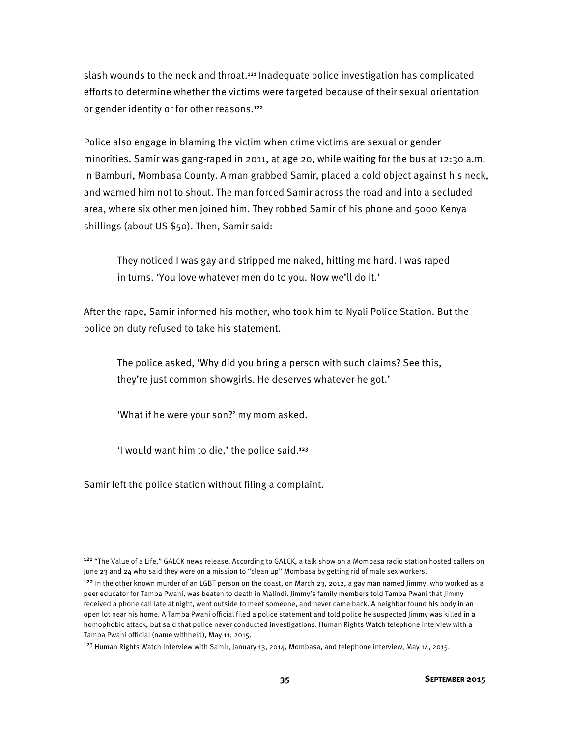slash wounds to the neck and throat.<sup>121</sup> Inadequate police investigation has complicated efforts to determine whether the victims were targeted because of their sexual orientation or gender identity or for other reasons.<sup>122</sup>

Police also engage in blaming the victim when crime victims are sexual or gender minorities. Samir was gang-raped in 2011, at age 20, while waiting for the bus at 12:30 a.m. in Bamburi, Mombasa County. A man grabbed Samir, placed a cold object against his neck, and warned him not to shout. The man forced Samir across the road and into a secluded area, where six other men joined him. They robbed Samir of his phone and 5000 Kenya shillings (about US \$50). Then, Samir said:

They noticed I was gay and stripped me naked, hitting me hard. I was raped in turns. 'You love whatever men do to you. Now we'll do it.'

After the rape, Samir informed his mother, who took him to Nyali Police Station. But the police on duty refused to take his statement.

The police asked, 'Why did you bring a person with such claims? See this, they're just common showgirls. He deserves whatever he got.'

'What if he were your son?' my mom asked.

'I would want him to die,' the police said.<sup>123</sup>

Samir left the police station without filing a complaint.

<sup>&</sup>lt;sup>121</sup> "The Value of a Life," GALCK news release. According to GALCK, a talk show on a Mombasa radio station hosted callers on June 23 and 24 who said they were on a mission to "clean up" Mombasa by getting rid of male sex workers.

<sup>&</sup>lt;sup>122</sup> In the other known murder of an LGBT person on the coast, on March 23, 2012, a gay man named Jimmy, who worked as a peer educator for Tamba Pwani, was beaten to death in Malindi. Jimmy's family members told Tamba Pwani that Jimmy received a phone call late at night, went outside to meet someone, and never came back. A neighbor found his body in an open lot near his home. A Tamba Pwani official filed a police statement and told police he suspected Jimmy was killed in a homophobic attack, but said that police never conducted investigations. Human Rights Watch telephone interview with a Tamba Pwani official (name withheld), May 11, 2015.

<sup>&</sup>lt;sup>123</sup> Human Rights Watch interview with Samir, January 13, 2014, Mombasa, and telephone interview, May 14, 2015.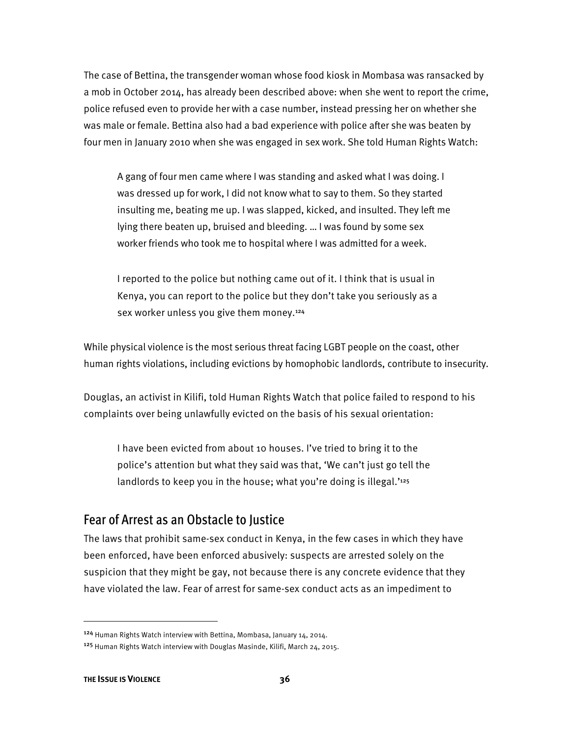The case of Bettina, the transgender woman whose food kiosk in Mombasa was ransacked by a mob in October 2014, has already been described above: when she went to report the crime, police refused even to provide her with a case number, instead pressing her on whether she was male or female. Bettina also had a bad experience with police after she was beaten by four men in January 2010 when she was engaged in sex work. She told Human Rights Watch:

A gang of four men came where I was standing and asked what I was doing. I was dressed up for work, I did not know what to say to them. So they started insulting me, beating me up. I was slapped, kicked, and insulted. They left me lying there beaten up, bruised and bleeding. … I was found by some sex worker friends who took me to hospital where I was admitted for a week.

I reported to the police but nothing came out of it. I think that is usual in Kenya, you can report to the police but they don't take you seriously as a sex worker unless you give them money.<sup>124</sup>

While physical violence is the most serious threat facing LGBT people on the coast, other human rights violations, including evictions by homophobic landlords, contribute to insecurity.

Douglas, an activist in Kilifi, told Human Rights Watch that police failed to respond to his complaints over being unlawfully evicted on the basis of his sexual orientation:

I have been evicted from about 10 houses. I've tried to bring it to the police's attention but what they said was that, 'We can't just go tell the landlords to keep you in the house; what you're doing is illegal.'<sup>125</sup>

### Fear of Arrest as an Obstacle to Justice

The laws that prohibit same-sex conduct in Kenya, in the few cases in which they have been enforced, have been enforced abusively: suspects are arrested solely on the suspicion that they might be gay, not because there is any concrete evidence that they have violated the law. Fear of arrest for same-sex conduct acts as an impediment to

l

<sup>124</sup> Human Rights Watch interview with Bettina, Mombasa, January 14, 2014.

<sup>125</sup> Human Rights Watch interview with Douglas Masinde, Kilifi, March 24, 2015.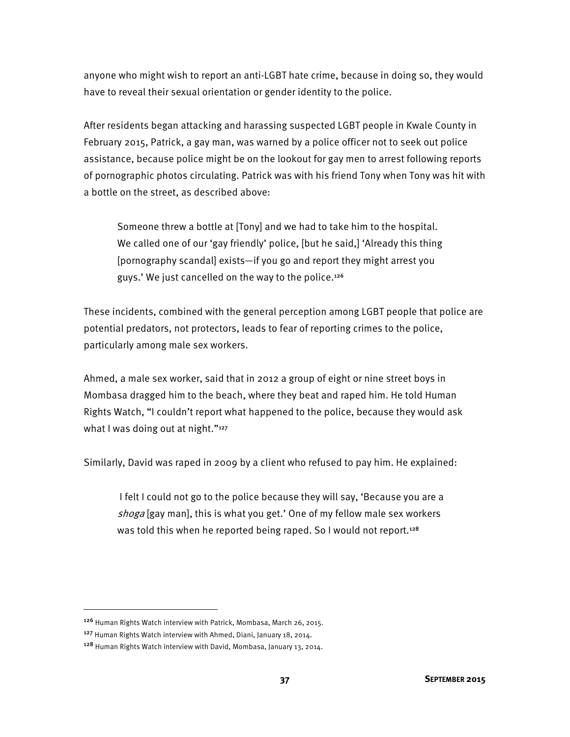anyone who might wish to report an anti-LGBT hate crime, because in doing so, they would have to reveal their sexual orientation or gender identity to the police.

After residents began attacking and harassing suspected LGBT people in Kwale County in February 2015, Patrick, a gay man, was warned by a police officer not to seek out police assistance, because police might be on the lookout for gay men to arrest following reports of pornographic photos circulating. Patrick was with his friend Tony when Tony was hit with a bottle on the street, as described above:

Someone threw a bottle at [Tony] and we had to take him to the hospital. We called one of our 'gay friendly' police, [but he said,] 'Already this thing [pornography scandal] exists—if you go and report they might arrest you guys.' We just cancelled on the way to the police.<sup>126</sup>

These incidents, combined with the general perception among LGBT people that police are potential predators, not protectors, leads to fear of reporting crimes to the police, particularly among male sex workers.

Ahmed, a male sex worker, said that in 2012 a group of eight or nine street boys in Mombasa dragged him to the beach, where they beat and raped him. He told Human Rights Watch, "I couldn't report what happened to the police, because they would ask what I was doing out at night."<sup>127</sup>

Similarly, David was raped in 2009 by a client who refused to pay him. He explained:

 I felt I could not go to the police because they will say, 'Because you are a shoga [gay man], this is what you get.' One of my fellow male sex workers was told this when he reported being raped. So I would not report.<sup>128</sup>

<sup>126</sup> Human Rights Watch interview with Patrick, Mombasa, March 26, 2015.

<sup>127</sup> Human Rights Watch interview with Ahmed, Diani, January 18, 2014.

<sup>128</sup> Human Rights Watch interview with David, Mombasa, January 13, 2014.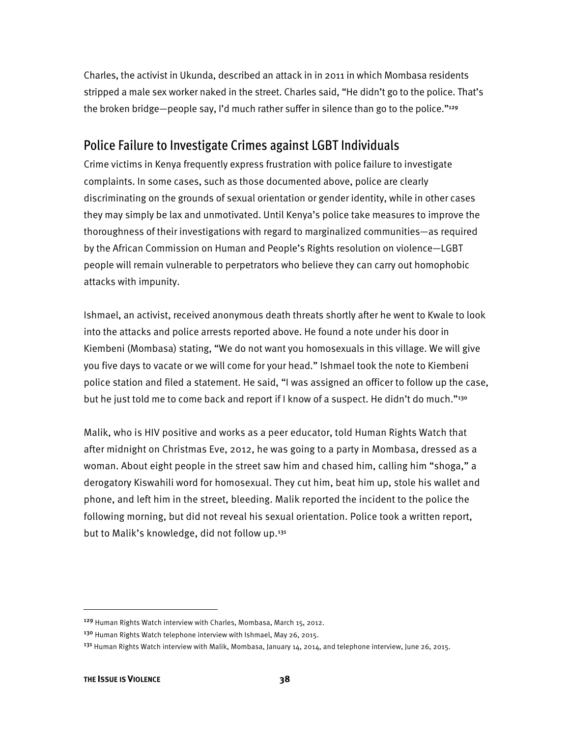Charles, the activist in Ukunda, described an attack in in 2011 in which Mombasa residents stripped a male sex worker naked in the street. Charles said, "He didn't go to the police. That's the broken bridge—people say, I'd much rather suffer in silence than go to the police."<sup>129</sup>

### Police Failure to Investigate Crimes against LGBT Individuals

Crime victims in Kenya frequently express frustration with police failure to investigate complaints. In some cases, such as those documented above, police are clearly discriminating on the grounds of sexual orientation or gender identity, while in other cases they may simply be lax and unmotivated. Until Kenya's police take measures to improve the thoroughness of their investigations with regard to marginalized communities—as required by the African Commission on Human and People's Rights resolution on violence—LGBT people will remain vulnerable to perpetrators who believe they can carry out homophobic attacks with impunity.

Ishmael, an activist, received anonymous death threats shortly after he went to Kwale to look into the attacks and police arrests reported above. He found a note under his door in Kiembeni (Mombasa) stating, "We do not want you homosexuals in this village. We will give you five days to vacate or we will come for your head." Ishmael took the note to Kiembeni police station and filed a statement. He said, "I was assigned an officer to follow up the case, but he just told me to come back and report if I know of a suspect. He didn't do much."130

Malik, who is HIV positive and works as a peer educator, told Human Rights Watch that after midnight on Christmas Eve, 2012, he was going to a party in Mombasa, dressed as a woman. About eight people in the street saw him and chased him, calling him "shoga," a derogatory Kiswahili word for homosexual. They cut him, beat him up, stole his wallet and phone, and left him in the street, bleeding. Malik reported the incident to the police the following morning, but did not reveal his sexual orientation. Police took a written report, but to Malik's knowledge, did not follow up.<sup>131</sup>

<sup>129</sup> Human Rights Watch interview with Charles, Mombasa, March 15, 2012.

<sup>&</sup>lt;sup>130</sup> Human Rights Watch telephone interview with Ishmael, May 26, 2015.

<sup>&</sup>lt;sup>131</sup> Human Rights Watch interview with Malik, Mombasa, January 14, 2014, and telephone interview, June 26, 2015.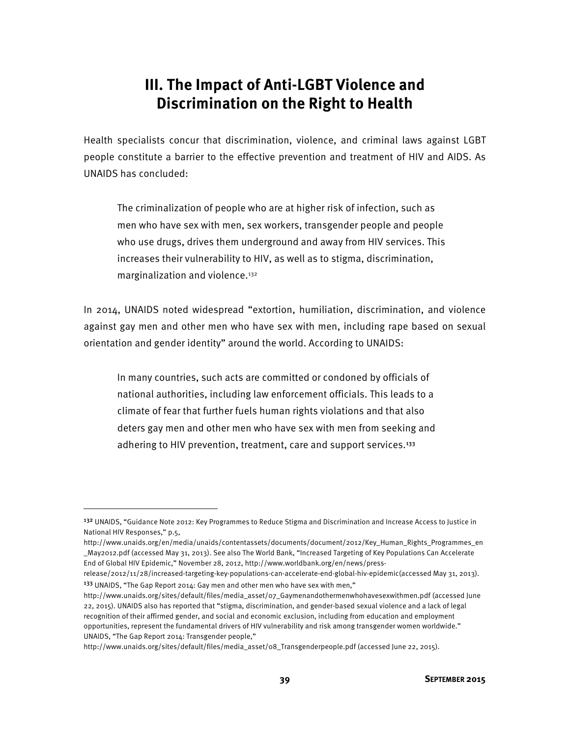# **III. The Impact of Anti-LGBT Violence and Discrimination on the Right to Health**

Health specialists concur that discrimination, violence, and criminal laws against LGBT people constitute a barrier to the effective prevention and treatment of HIV and AIDS. As UNAIDS has concluded:

The criminalization of people who are at higher risk of infection, such as men who have sex with men, sex workers, transgender people and people who use drugs, drives them underground and away from HIV services. This increases their vulnerability to HIV, as well as to stigma, discrimination, marginalization and violence.132

In 2014, UNAIDS noted widespread "extortion, humiliation, discrimination, and violence against gay men and other men who have sex with men, including rape based on sexual orientation and gender identity" around the world. According to UNAIDS:

In many countries, such acts are committed or condoned by officials of national authorities, including law enforcement officials. This leads to a climate of fear that further fuels human rights violations and that also deters gay men and other men who have sex with men from seeking and adhering to HIV prevention, treatment, care and support services.<sup>133</sup>

**.** 

release/2012/11/28/increased-targeting-key-populations-can-accelerate-end-global-hiv-epidemic(accessed May 31, 2013). <sup>133</sup> UNAIDS, "The Gap Report 2014: Gay men and other men who have sex with men,"

http://www.unaids.org/sites/default/files/media\_asset/08\_Transgenderpeople.pdf (accessed June 22, 2015).

<sup>132</sup> UNAIDS, "Guidance Note 2012: Key Programmes to Reduce Stigma and Discrimination and Increase Access to Justice in National HIV Responses," p.5,

http://www.unaids.org/en/media/unaids/contentassets/documents/document/2012/Key\_Human\_Rights\_Programmes\_en \_May2012.pdf (accessed May 31, 2013). See also The World Bank, "Increased Targeting of Key Populations Can Accelerate End of Global HIV Epidemic," November 28, 2012, http://www.worldbank.org/en/news/press-

http://www.unaids.org/sites/default/files/media\_asset/07\_Gaymenandothermenwhohavesexwithmen.pdf (accessed June 22, 2015). UNAIDS also has reported that "stigma, discrimination, and gender-based sexual violence and a lack of legal recognition of their affirmed gender, and social and economic exclusion, including from education and employment opportunities, represent the fundamental drivers of HIV vulnerability and risk among transgender women worldwide." UNAIDS, "The Gap Report 2014: Transgender people,"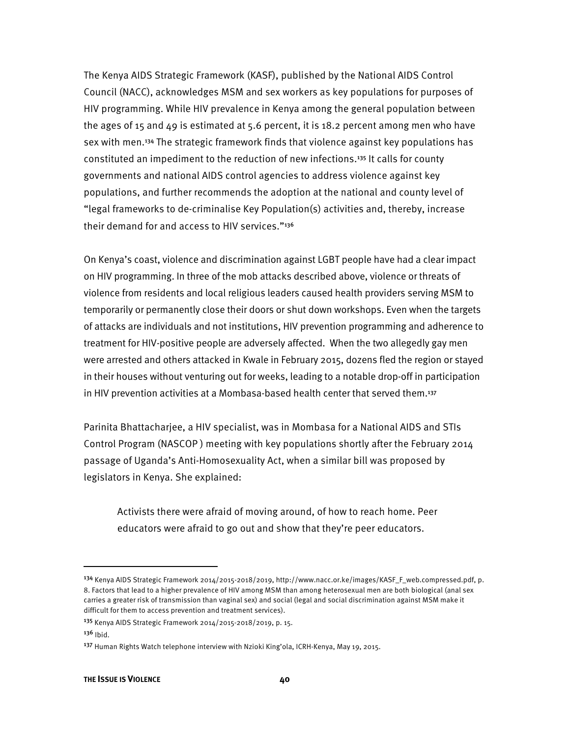The Kenya AIDS Strategic Framework (KASF), published by the National AIDS Control Council (NACC), acknowledges MSM and sex workers as key populations for purposes of HIV programming. While HIV prevalence in Kenya among the general population between the ages of 15 and 49 is estimated at 5.6 percent, it is 18.2 percent among men who have sex with men.<sup>134</sup> The strategic framework finds that violence against key populations has constituted an impediment to the reduction of new infections.<sup>135</sup> It calls for county governments and national AIDS control agencies to address violence against key populations, and further recommends the adoption at the national and county level of "legal frameworks to de-criminalise Key Population(s) activities and, thereby, increase their demand for and access to HIV services."<sup>136</sup>

On Kenya's coast, violence and discrimination against LGBT people have had a clear impact on HIV programming. In three of the mob attacks described above, violence or threats of violence from residents and local religious leaders caused health providers serving MSM to temporarily or permanently close their doors or shut down workshops. Even when the targets of attacks are individuals and not institutions, HIV prevention programming and adherence to treatment for HIV-positive people are adversely affected. When the two allegedly gay men were arrested and others attacked in Kwale in February 2015, dozens fled the region or stayed in their houses without venturing out for weeks, leading to a notable drop-off in participation in HIV prevention activities at a Mombasa-based health center that served them.<sup>137</sup>

Parinita Bhattacharjee, a HIV specialist, was in Mombasa for a National AIDS and STIs Control Program (NASCOP ) meeting with key populations shortly after the February 2014 passage of Uganda's Anti-Homosexuality Act, when a similar bill was proposed by legislators in Kenya. She explained:

Activists there were afraid of moving around, of how to reach home. Peer educators were afraid to go out and show that they're peer educators.

<sup>&</sup>lt;sup>134</sup> Kenya AIDS Strategic Framework 2014/2015-2018/2019, http://www.nacc.or.ke/images/KASF\_F\_web.compressed.pdf, p. 8. Factors that lead to a higher prevalence of HIV among MSM than among heterosexual men are both biological (anal sex carries a greater risk of transmission than vaginal sex) and social (legal and social discrimination against MSM make it difficult for them to access prevention and treatment services).

<sup>135</sup> Kenya AIDS Strategic Framework 2014/2015-2018/2019, p. 15.

 $136$  Ibid.

<sup>137</sup> Human Rights Watch telephone interview with Nzioki King'ola, ICRH-Kenya, May 19, 2015.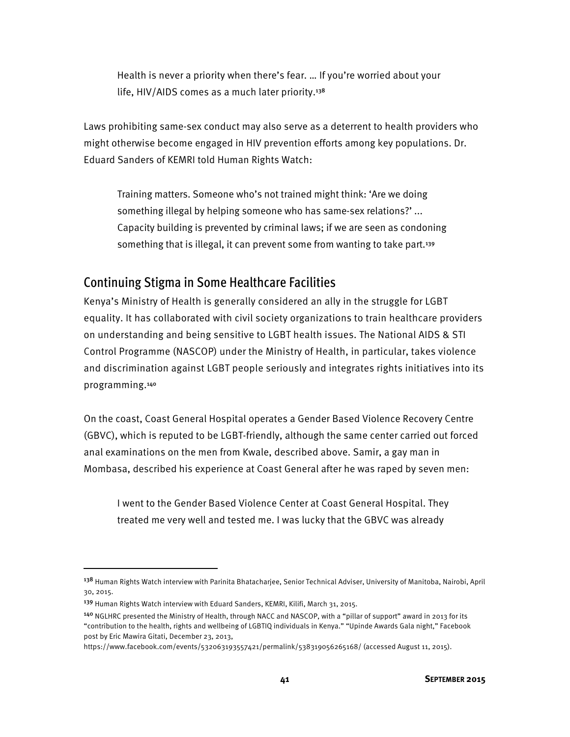Health is never a priority when there's fear. … If you're worried about your life, HIV/AIDS comes as a much later priority.<sup>138</sup>

Laws prohibiting same-sex conduct may also serve as a deterrent to health providers who might otherwise become engaged in HIV prevention efforts among key populations. Dr. Eduard Sanders of KEMRI told Human Rights Watch:

Training matters. Someone who's not trained might think: 'Are we doing something illegal by helping someone who has same-sex relations?' ... Capacity building is prevented by criminal laws; if we are seen as condoning something that is illegal, it can prevent some from wanting to take part.<sup>139</sup>

#### Continuing Stigma in Some Healthcare Facilities

Kenya's Ministry of Health is generally considered an ally in the struggle for LGBT equality. It has collaborated with civil society organizations to train healthcare providers on understanding and being sensitive to LGBT health issues. The National AIDS & STI Control Programme (NASCOP) under the Ministry of Health, in particular, takes violence and discrimination against LGBT people seriously and integrates rights initiatives into its programming.<sup>140</sup>

On the coast, Coast General Hospital operates a Gender Based Violence Recovery Centre (GBVC), which is reputed to be LGBT-friendly, although the same center carried out forced anal examinations on the men from Kwale, described above. Samir, a gay man in Mombasa, described his experience at Coast General after he was raped by seven men:

I went to the Gender Based Violence Center at Coast General Hospital. They treated me very well and tested me. I was lucky that the GBVC was already

 $\overline{a}$ 

https://www.facebook.com/events/532063193557421/permalink/538319056265168/ (accessed August 11, 2015).

<sup>&</sup>lt;sup>138</sup> Human Rights Watch interview with Parinita Bhatacharjee, Senior Technical Adviser, University of Manitoba, Nairobi, April 30, 2015.

<sup>139</sup> Human Rights Watch interview with Eduard Sanders, KEMRI, Kilifi, March 31, 2015.

<sup>140</sup> NGLHRC presented the Ministry of Health, through NACC and NASCOP, with a "pillar of support" award in 2013 for its "contribution to the health, rights and wellbeing of LGBTIQ individuals in Kenya." "Upinde Awards Gala night," Facebook post by Eric Mawira Gitati, December 23, 2013,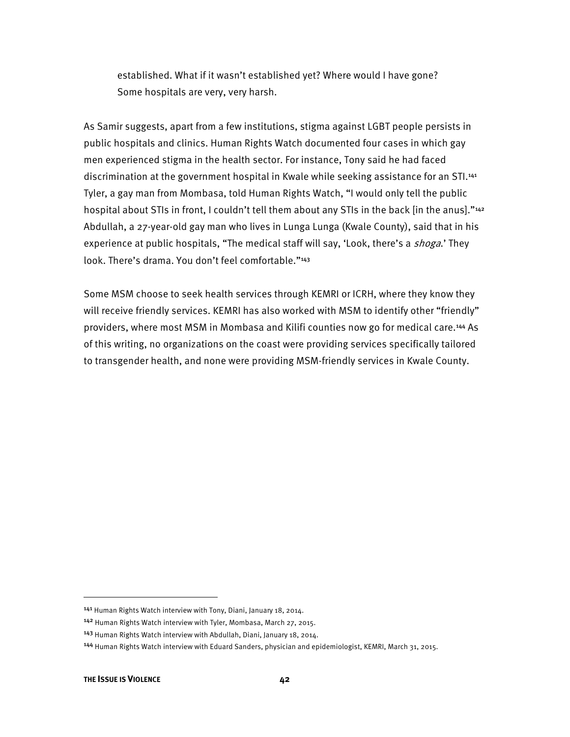established. What if it wasn't established yet? Where would I have gone? Some hospitals are very, very harsh.

As Samir suggests, apart from a few institutions, stigma against LGBT people persists in public hospitals and clinics. Human Rights Watch documented four cases in which gay men experienced stigma in the health sector. For instance, Tony said he had faced discrimination at the government hospital in Kwale while seeking assistance for an STI.<sup>441</sup> Tyler, a gay man from Mombasa, told Human Rights Watch, "I would only tell the public hospital about STIs in front, I couldn't tell them about any STIs in the back [in the anus]."<sup>142</sup> Abdullah, a 27-year-old gay man who lives in Lunga Lunga (Kwale County), said that in his experience at public hospitals, "The medical staff will say, 'Look, there's a *shoga*.' They look. There's drama. You don't feel comfortable."<sup>143</sup>

Some MSM choose to seek health services through KEMRI or ICRH, where they know they will receive friendly services. KEMRI has also worked with MSM to identify other "friendly" providers, where most MSM in Mombasa and Kilifi counties now go for medical care.<sup>144</sup> As of this writing, no organizations on the coast were providing services specifically tailored to transgender health, and none were providing MSM-friendly services in Kwale County.

<sup>141</sup> Human Rights Watch interview with Tony, Diani, January 18, 2014.

<sup>142</sup> Human Rights Watch interview with Tyler, Mombasa, March 27, 2015.

<sup>143</sup> Human Rights Watch interview with Abdullah, Diani, January 18, 2014.

<sup>144</sup> Human Rights Watch interview with Eduard Sanders, physician and epidemiologist, KEMRI, March 31, 2015.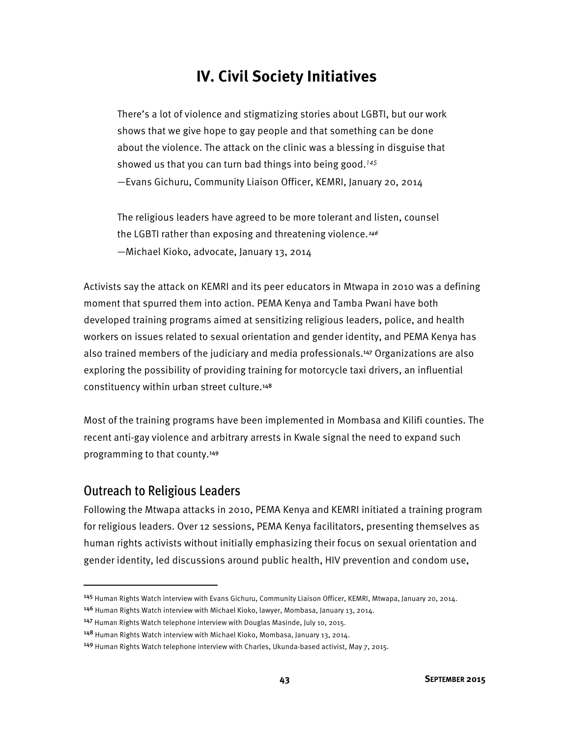# **IV. Civil Society Initiatives**

There's a lot of violence and stigmatizing stories about LGBTI, but our work shows that we give hope to gay people and that something can be done about the violence. The attack on the clinic was a blessing in disguise that showed us that you can turn bad things into being good.*<sup>145</sup>* —Evans Gichuru, Community Liaison Officer, KEMRI, January 20, 2014

The religious leaders have agreed to be more tolerant and listen, counsel the LGBTI rather than exposing and threatening violence.<sup>146</sup> —Michael Kioko, advocate, January 13, 2014

Activists say the attack on KEMRI and its peer educators in Mtwapa in 2010 was a defining moment that spurred them into action. PEMA Kenya and Tamba Pwani have both developed training programs aimed at sensitizing religious leaders, police, and health workers on issues related to sexual orientation and gender identity, and PEMA Kenya has also trained members of the judiciary and media professionals.<sup>147</sup> Organizations are also exploring the possibility of providing training for motorcycle taxi drivers, an influential constituency within urban street culture.<sup>148</sup>

Most of the training programs have been implemented in Mombasa and Kilifi counties. The recent anti-gay violence and arbitrary arrests in Kwale signal the need to expand such programming to that county.<sup>149</sup>

### Outreach to Religious Leaders

l

Following the Mtwapa attacks in 2010, PEMA Kenya and KEMRI initiated a training program for religious leaders. Over 12 sessions, PEMA Kenya facilitators, presenting themselves as human rights activists without initially emphasizing their focus on sexual orientation and gender identity, led discussions around public health, HIV prevention and condom use,

<sup>145</sup> Human Rights Watch interview with Evans Gichuru, Community Liaison Officer, KEMRI, Mtwapa, January 20, 2014.

<sup>146</sup> Human Rights Watch interview with Michael Kioko, lawyer, Mombasa, January 13, 2014.

<sup>147</sup> Human Rights Watch telephone interview with Douglas Masinde, July 10, 2015.

<sup>148</sup> Human Rights Watch interview with Michael Kioko, Mombasa, January 13, 2014.

<sup>149</sup> Human Rights Watch telephone interview with Charles, Ukunda-based activist, May 7, 2015.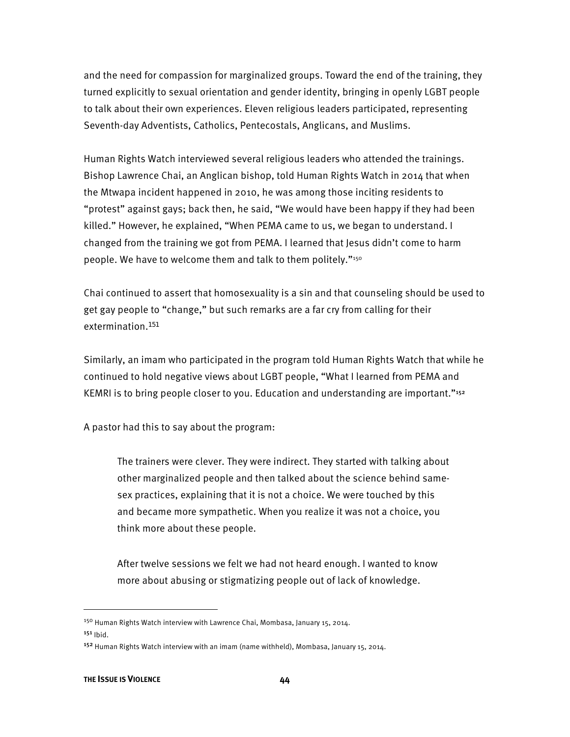and the need for compassion for marginalized groups. Toward the end of the training, they turned explicitly to sexual orientation and gender identity, bringing in openly LGBT people to talk about their own experiences. Eleven religious leaders participated, representing Seventh-day Adventists, Catholics, Pentecostals, Anglicans, and Muslims.

Human Rights Watch interviewed several religious leaders who attended the trainings. Bishop Lawrence Chai, an Anglican bishop, told Human Rights Watch in 2014 that when the Mtwapa incident happened in 2010, he was among those inciting residents to "protest" against gays; back then, he said, "We would have been happy if they had been killed." However, he explained, "When PEMA came to us, we began to understand. I changed from the training we got from PEMA. I learned that Jesus didn't come to harm people. We have to welcome them and talk to them politely."150

Chai continued to assert that homosexuality is a sin and that counseling should be used to get gay people to "change," but such remarks are a far cry from calling for their extermination.<sup>151</sup>

Similarly, an imam who participated in the program told Human Rights Watch that while he continued to hold negative views about LGBT people, "What I learned from PEMA and KEMRI is to bring people closer to you. Education and understanding are important."<sup>152</sup>

A pastor had this to say about the program:

The trainers were clever. They were indirect. They started with talking about other marginalized people and then talked about the science behind samesex practices, explaining that it is not a choice. We were touched by this and became more sympathetic. When you realize it was not a choice, you think more about these people.

After twelve sessions we felt we had not heard enough. I wanted to know more about abusing or stigmatizing people out of lack of knowledge.

<sup>&</sup>lt;sup>150</sup> Human Rights Watch interview with Lawrence Chai, Mombasa, January 15, 2014.

 $151$  Ibid.

<sup>152</sup> Human Rights Watch interview with an imam (name withheld), Mombasa, January 15, 2014.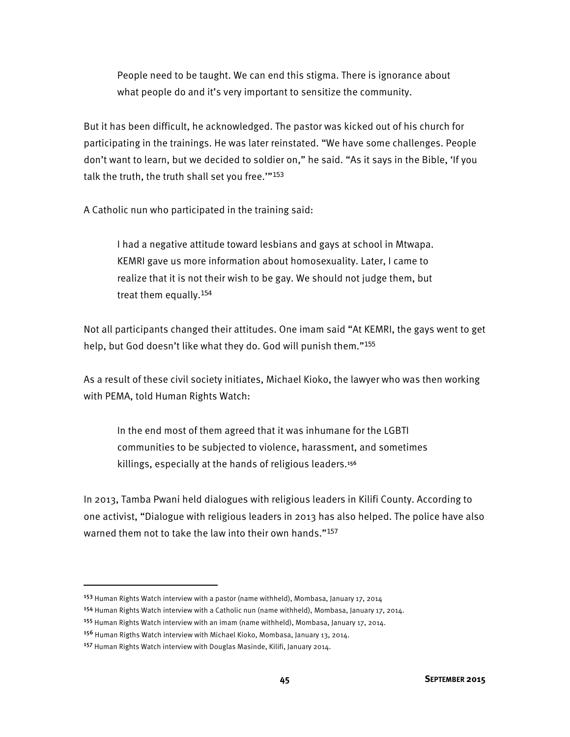People need to be taught. We can end this stigma. There is ignorance about what people do and it's very important to sensitize the community.

But it has been difficult, he acknowledged. The pastor was kicked out of his church for participating in the trainings. He was later reinstated. "We have some challenges. People don't want to learn, but we decided to soldier on," he said. "As it says in the Bible, 'If you talk the truth, the truth shall set you free.'"<sup>153</sup>

A Catholic nun who participated in the training said:

I had a negative attitude toward lesbians and gays at school in Mtwapa. KEMRI gave us more information about homosexuality. Later, I came to realize that it is not their wish to be gay. We should not judge them, but treat them equally.<sup>154</sup>

Not all participants changed their attitudes. One imam said "At KEMRI, the gays went to get help, but God doesn't like what they do. God will punish them."<sup>155</sup>

As a result of these civil society initiates, Michael Kioko, the lawyer who was then working with PEMA, told Human Rights Watch:

In the end most of them agreed that it was inhumane for the LGBTI communities to be subjected to violence, harassment, and sometimes killings, especially at the hands of religious leaders.<sup>156</sup>

In 2013, Tamba Pwani held dialogues with religious leaders in Kilifi County. According to one activist, "Dialogue with religious leaders in 2013 has also helped. The police have also warned them not to take the law into their own hands."<sup>157</sup>

l

<sup>&</sup>lt;sup>153</sup> Human Rights Watch interview with a pastor (name withheld), Mombasa, January 17, 2014

<sup>154</sup> Human Rights Watch interview with a Catholic nun (name withheld), Mombasa, January 17, 2014.

<sup>155</sup> Human Rights Watch interview with an imam (name withheld), Mombasa, January 17, 2014.

<sup>156</sup> Human Rigths Watch interview with Michael Kioko, Mombasa, January 13, 2014.

<sup>157</sup> Human Rights Watch interview with Douglas Masinde, Kilifi, January 2014.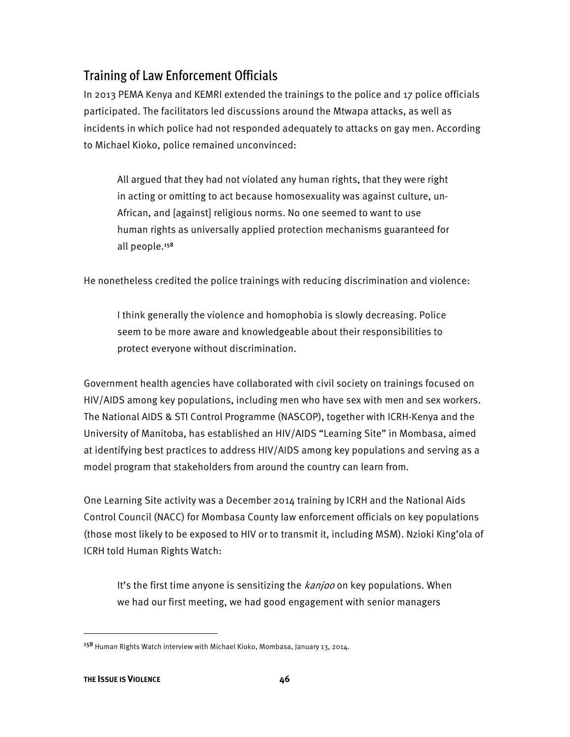## Training of Law Enforcement Officials

In 2013 PEMA Kenya and KEMRI extended the trainings to the police and 17 police officials participated. The facilitators led discussions around the Mtwapa attacks, as well as incidents in which police had not responded adequately to attacks on gay men. According to Michael Kioko, police remained unconvinced:

All argued that they had not violated any human rights, that they were right in acting or omitting to act because homosexuality was against culture, un-African, and [against] religious norms. No one seemed to want to use human rights as universally applied protection mechanisms guaranteed for all people.<sup>158</sup>

He nonetheless credited the police trainings with reducing discrimination and violence:

I think generally the violence and homophobia is slowly decreasing. Police seem to be more aware and knowledgeable about their responsibilities to protect everyone without discrimination.

Government health agencies have collaborated with civil society on trainings focused on HIV/AIDS among key populations, including men who have sex with men and sex workers. The National AIDS & STI Control Programme (NASCOP), together with ICRH-Kenya and the University of Manitoba, has established an HIV/AIDS "Learning Site" in Mombasa, aimed at identifying best practices to address HIV/AIDS among key populations and serving as a model program that stakeholders from around the country can learn from.

One Learning Site activity was a December 2014 training by ICRH and the National Aids Control Council (NACC) for Mombasa County law enforcement officials on key populations (those most likely to be exposed to HIV or to transmit it, including MSM). Nzioki King'ola of ICRH told Human Rights Watch:

It's the first time anyone is sensitizing the kanjoo on key populations. When we had our first meeting, we had good engagement with senior managers

<sup>158</sup> Human Rights Watch interview with Michael Kioko, Mombasa, January 13, 2014.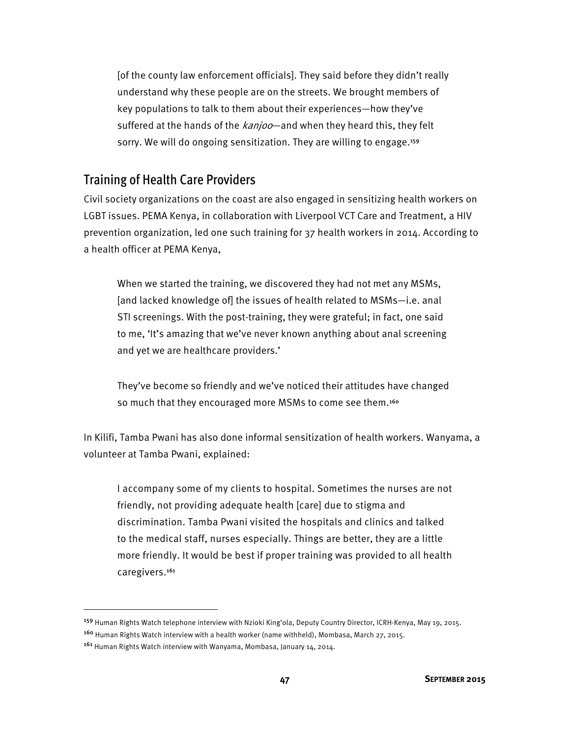[of the county law enforcement officials]. They said before they didn't really understand why these people are on the streets. We brought members of key populations to talk to them about their experiences—how they've suffered at the hands of the *kanjoo*—and when they heard this, they felt sorry. We will do ongoing sensitization. They are willing to engage.<sup>159</sup>

#### Training of Health Care Providers

Civil society organizations on the coast are also engaged in sensitizing health workers on LGBT issues. PEMA Kenya, in collaboration with Liverpool VCT Care and Treatment, a HIV prevention organization, led one such training for 37 health workers in 2014. According to a health officer at PEMA Kenya,

When we started the training, we discovered they had not met any MSMs, [and lacked knowledge of] the issues of health related to MSMs—i.e. anal STI screenings. With the post-training, they were grateful; in fact, one said to me, 'It's amazing that we've never known anything about anal screening and yet we are healthcare providers.'

They've become so friendly and we've noticed their attitudes have changed so much that they encouraged more MSMs to come see them.<sup>160</sup>

In Kilifi, Tamba Pwani has also done informal sensitization of health workers. Wanyama, a volunteer at Tamba Pwani, explained:

I accompany some of my clients to hospital. Sometimes the nurses are not friendly, not providing adequate health [care] due to stigma and discrimination. Tamba Pwani visited the hospitals and clinics and talked to the medical staff, nurses especially. Things are better, they are a little more friendly. It would be best if proper training was provided to all health caregivers.<sup>161</sup>

<sup>159</sup> Human Rights Watch telephone interview with Nzioki King'ola, Deputy Country Director, ICRH-Kenya, May 19, 2015.

<sup>160</sup> Human Rights Watch interview with a health worker (name withheld), Mombasa, March 27, 2015.

<sup>161</sup> Human Rights Watch interview with Wanyama, Mombasa, January 14, 2014.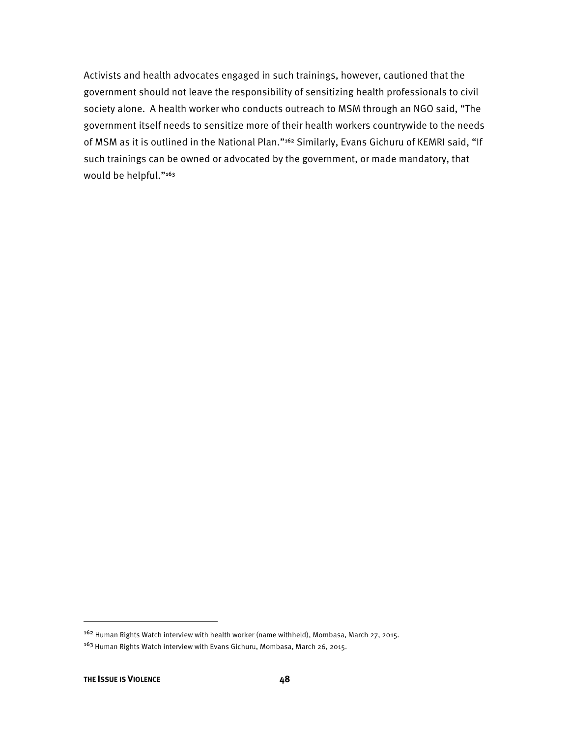Activists and health advocates engaged in such trainings, however, cautioned that the government should not leave the responsibility of sensitizing health professionals to civil society alone. A health worker who conducts outreach to MSM through an NGO said, "The government itself needs to sensitize more of their health workers countrywide to the needs of MSM as it is outlined in the National Plan."<sup>162</sup> Similarly, Evans Gichuru of KEMRI said, "If such trainings can be owned or advocated by the government, or made mandatory, that would be helpful."<sup>163</sup>

 $\overline{a}$ 

<sup>162</sup> Human Rights Watch interview with health worker (name withheld), Mombasa, March 27, 2015. <sup>163</sup> Human Rights Watch interview with Evans Gichuru, Mombasa, March 26, 2015.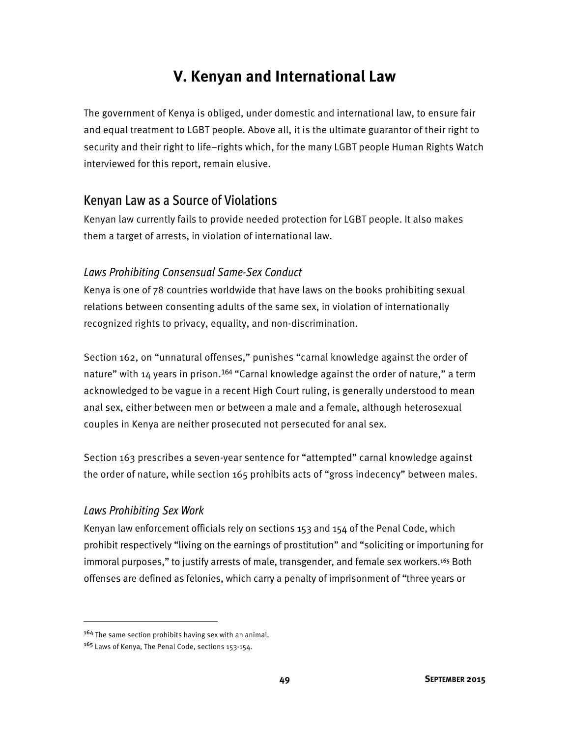# **V. Kenyan and International Law**

The government of Kenya is obliged, under domestic and international law, to ensure fair and equal treatment to LGBT people. Above all, it is the ultimate guarantor of their right to security and their right to life–rights which, for the many LGBT people Human Rights Watch interviewed for this report, remain elusive.

### Kenyan Law as a Source of Violations

Kenyan law currently fails to provide needed protection for LGBT people. It also makes them a target of arrests, in violation of international law.

### *Laws Prohibiting Consensual Same-Sex Conduct*

Kenya is one of 78 countries worldwide that have laws on the books prohibiting sexual relations between consenting adults of the same sex, in violation of internationally recognized rights to privacy, equality, and non-discrimination.

Section 162, on "unnatural offenses," punishes "carnal knowledge against the order of nature" with 14 years in prison.<sup>164</sup> "Carnal knowledge against the order of nature," a term acknowledged to be vague in a recent High Court ruling, is generally understood to mean anal sex, either between men or between a male and a female, although heterosexual couples in Kenya are neither prosecuted not persecuted for anal sex.

Section 163 prescribes a seven-year sentence for "attempted" carnal knowledge against the order of nature, while section 165 prohibits acts of "gross indecency" between males.

### *Laws Prohibiting Sex Work*

 $\overline{a}$ 

Kenyan law enforcement officials rely on sections 153 and 154 of the Penal Code, which prohibit respectively "living on the earnings of prostitution" and "soliciting or importuning for immoral purposes," to justify arrests of male, transgender, and female sex workers.<sup>165</sup> Both offenses are defined as felonies, which carry a penalty of imprisonment of "three years or

<sup>164</sup> The same section prohibits having sex with an animal.

<sup>165</sup> Laws of Kenya, The Penal Code, sections 153-154.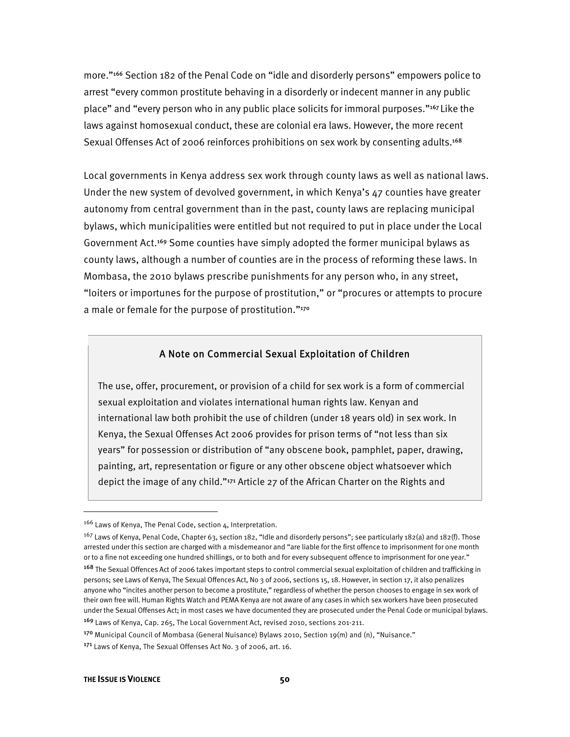more."<sup>166</sup> Section 182 of the Penal Code on "idle and disorderly persons" empowers police to arrest "every common prostitute behaving in a disorderly or indecent manner in any public place" and "every person who in any public place solicits for immoral purposes."<sup>167</sup>Like the laws against homosexual conduct, these are colonial era laws. However, the more recent Sexual Offenses Act of 2006 reinforces prohibitions on sex work by consenting adults.<sup>168</sup>

Local governments in Kenya address sex work through county laws as well as national laws. Under the new system of devolved government, in which Kenya's 47 counties have greater autonomy from central government than in the past, county laws are replacing municipal bylaws, which municipalities were entitled but not required to put in place under the Local Government Act.<sup>169</sup> Some counties have simply adopted the former municipal bylaws as county laws, although a number of counties are in the process of reforming these laws. In Mombasa, the 2010 bylaws prescribe punishments for any person who, in any street, "loiters or importunes for the purpose of prostitution," or "procures or attempts to procure a male or female for the purpose of prostitution."<sup>170</sup>

#### A Note on Commercial Sexual Exploitation of Children

The use, offer, procurement, or provision of a child for sex work is a form of commercial sexual exploitation and violates international human rights law. Kenyan and international law both prohibit the use of children (under 18 years old) in sex work. In Kenya, the Sexual Offenses Act 2006 provides for prison terms of "not less than six years" for possession or distribution of "any obscene book, pamphlet, paper, drawing, painting, art, representation or figure or any other obscene object whatsoever which depict the image of any child."<sup>171</sup> Article 27 of the African Charter on the Rights and

<sup>169</sup> Laws of Kenya, Cap. 265, The Local Government Act, revised 2010, sections 201-211.

<sup>170</sup> Municipal Council of Mombasa (General Nuisance) Bylaws 2010, Section 19(m) and (n), "Nuisance."

<sup>&</sup>lt;sup>166</sup> Laws of Kenya, The Penal Code, section 4, Interpretation.

<sup>&</sup>lt;sup>167</sup> Laws of Kenya, Penal Code, Chapter 63, section 182, "Idle and disorderly persons"; see particularly 182(a) and 182(f). Those arrested under this section are charged with a misdemeanor and "are liable for the first offence to imprisonment for one month or to a fine not exceeding one hundred shillings, or to both and for every subsequent offence to imprisonment for one year."

<sup>168</sup> The Sexual Offences Act of 2006 takes important steps to control commercial sexual exploitation of children and trafficking in persons; see Laws of Kenya, The Sexual Offences Act, No 3 of 2006, sections 15, 18. However, in section 17, it also penalizes anyone who "incites another person to become a prostitute," regardless of whether the person chooses to engage in sex work of their own free will. Human Rights Watch and PEMA Kenya are not aware of any cases in which sex workers have been prosecuted under the Sexual Offenses Act; in most cases we have documented they are prosecuted under the Penal Code or municipal bylaws.

<sup>171</sup> Laws of Kenya, The Sexual Offenses Act No. 3 of 2006, art. 16.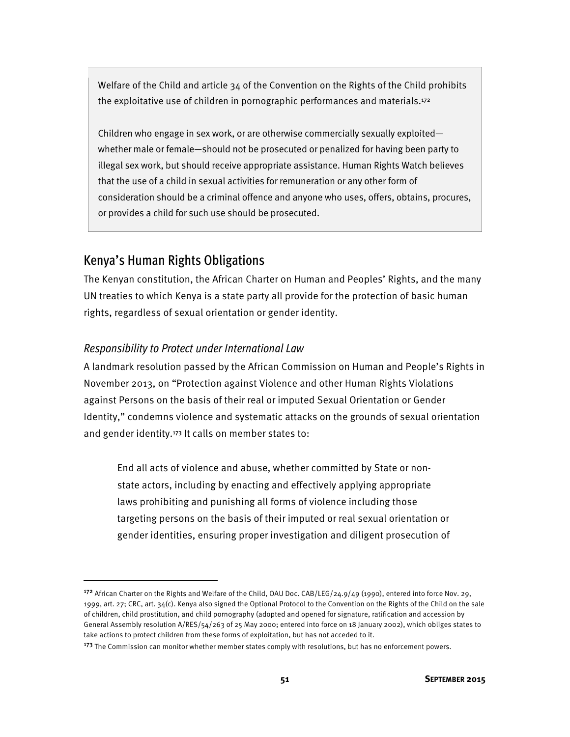Welfare of the Child and article 34 of the Convention on the Rights of the Child prohibits the exploitative use of children in pornographic performances and materials.<sup>172</sup>

Children who engage in sex work, or are otherwise commercially sexually exploited whether male or female—should not be prosecuted or penalized for having been party to illegal sex work, but should receive appropriate assistance. Human Rights Watch believes that the use of a child in sexual activities for remuneration or any other form of consideration should be a criminal offence and anyone who uses, offers, obtains, procures, or provides a child for such use should be prosecuted.

## Kenya's Human Rights Obligations

 $\overline{\phantom{a}}$ 

The Kenyan constitution, the African Charter on Human and Peoples' Rights, and the many UN treaties to which Kenya is a state party all provide for the protection of basic human rights, regardless of sexual orientation or gender identity.

#### *Responsibility to Protect under International Law*

A landmark resolution passed by the African Commission on Human and People's Rights in November 2013, on "Protection against Violence and other Human Rights Violations against Persons on the basis of their real or imputed Sexual Orientation or Gender Identity," condemns violence and systematic attacks on the grounds of sexual orientation and gender identity.<sup>173</sup> It calls on member states to:

End all acts of violence and abuse, whether committed by State or nonstate actors, including by enacting and effectively applying appropriate laws prohibiting and punishing all forms of violence including those targeting persons on the basis of their imputed or real sexual orientation or gender identities, ensuring proper investigation and diligent prosecution of

<sup>&</sup>lt;sup>172</sup> African Charter on the Rights and Welfare of the Child, OAU Doc. CAB/LEG/24.9/49 (1990), entered into force Nov. 29, 1999, art. 27; CRC, art. 34(c). Kenya also signed the Optional Protocol to the Convention on the Rights of the Child on the sale of children, child prostitution, and child pornography (adopted and opened for signature, ratification and accession by General Assembly resolution A/RES/54/263 of 25 May 2000; entered into force on 18 January 2002), which obliges states to take actions to protect children from these forms of exploitation, but has not acceded to it.

<sup>&</sup>lt;sup>173</sup> The Commission can monitor whether member states comply with resolutions, but has no enforcement powers.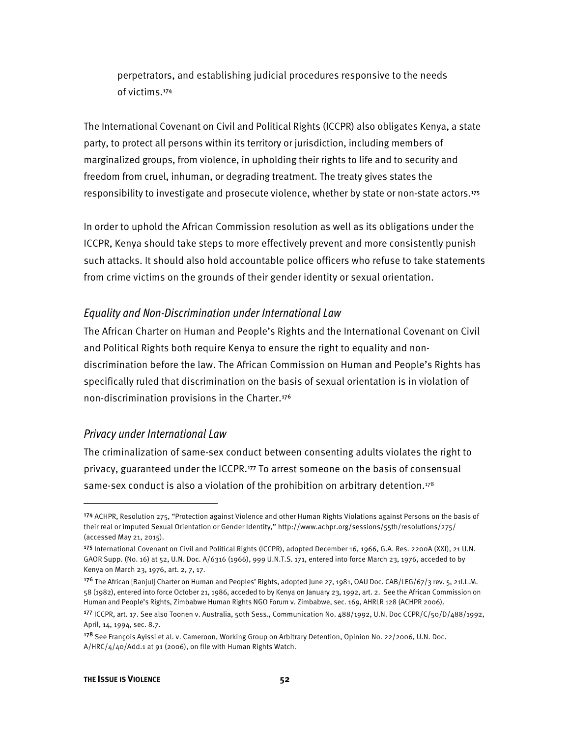perpetrators, and establishing judicial procedures responsive to the needs of victims.<sup>174</sup>

The International Covenant on Civil and Political Rights (ICCPR) also obligates Kenya, a state party, to protect all persons within its territory or jurisdiction, including members of marginalized groups, from violence, in upholding their rights to life and to security and freedom from cruel, inhuman, or degrading treatment. The treaty gives states the responsibility to investigate and prosecute violence, whether by state or non-state actors.<sup>175</sup>

In order to uphold the African Commission resolution as well as its obligations under the ICCPR, Kenya should take steps to more effectively prevent and more consistently punish such attacks. It should also hold accountable police officers who refuse to take statements from crime victims on the grounds of their gender identity or sexual orientation.

#### *Equality and Non-Discrimination under International Law*

The African Charter on Human and People's Rights and the International Covenant on Civil and Political Rights both require Kenya to ensure the right to equality and nondiscrimination before the law. The African Commission on Human and People's Rights has specifically ruled that discrimination on the basis of sexual orientation is in violation of non-discrimination provisions in the Charter.<sup>176</sup>

#### *Privacy under International Law*

The criminalization of same-sex conduct between consenting adults violates the right to privacy, guaranteed under the ICCPR.<sup>177</sup> To arrest someone on the basis of consensual same-sex conduct is also a violation of the prohibition on arbitrary detention.178

<sup>174</sup> ACHPR, Resolution 275, "Protection against Violence and other Human Rights Violations against Persons on the basis of their real or imputed Sexual Orientation or Gender Identity," http://www.achpr.org/sessions/55th/resolutions/275/ (accessed May 21, 2015).

<sup>175</sup> International Covenant on Civil and Political Rights (ICCPR), adopted December 16, 1966, G.A. Res. 2200A (XXI), 21 U.N. GAOR Supp. (No. 16) at 52, U.N. Doc. A/6316 (1966), 999 U.N.T.S. 171, entered into force March 23, 1976, acceded to by Kenya on March 23, 1976, art. 2, 7, 17.

<sup>176</sup> The African [Banjul] Charter on Human and Peoples' Rights, adopted June 27, 1981, OAU Doc. CAB/LEG/67/3 rev. 5, 21I.L.M. 58 (1982), entered into force October 21, 1986, acceded to by Kenya on January 23, 1992, art. 2. See the African Commission on Human and People's Rights, Zimbabwe Human Rights NGO Forum v. Zimbabwe, sec. 169, AHRLR 128 (ACHPR 2006).

<sup>177</sup> ICCPR, art. 17. See also Toonen v. Australia, 50th Sess., Communication No. 488/1992, U.N. Doc CCPR/C/50/D/488/1992, April, 14, 1994, sec. 8.7.

<sup>178</sup> See François Ayissi et al. v. Cameroon, Working Group on Arbitrary Detention, Opinion No. 22/2006, U.N. Doc. A/HRC/4/40/Add.1 at 91 (2006), on file with Human Rights Watch.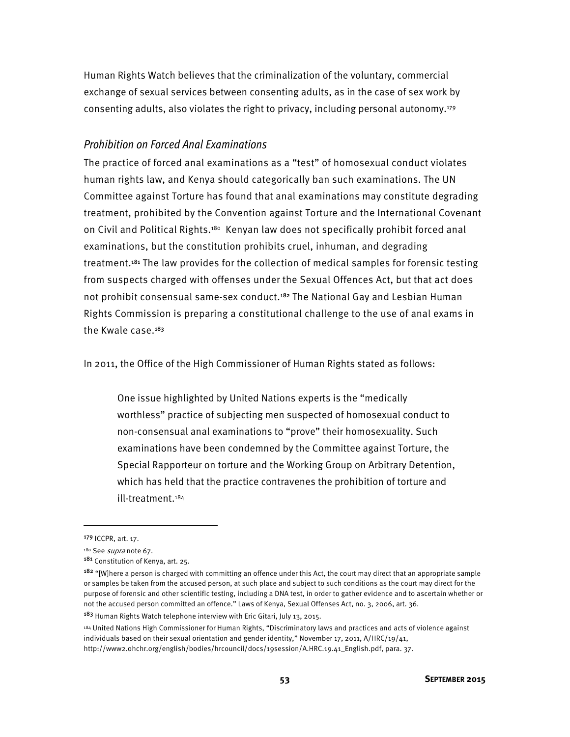Human Rights Watch believes that the criminalization of the voluntary, commercial exchange of sexual services between consenting adults, as in the case of sex work by consenting adults, also violates the right to privacy, including personal autonomy.179

#### *Prohibition on Forced Anal Examinations*

The practice of forced anal examinations as a "test" of homosexual conduct violates human rights law, and Kenya should categorically ban such examinations. The UN Committee against Torture has found that anal examinations may constitute degrading treatment, prohibited by the Convention against Torture and the International Covenant on Civil and Political Rights.<sup>180</sup> Kenyan law does not specifically prohibit forced anal examinations, but the constitution prohibits cruel, inhuman, and degrading treatment.<sup>181</sup> The law provides for the collection of medical samples for forensic testing from suspects charged with offenses under the Sexual Offences Act, but that act does not prohibit consensual same-sex conduct.<sup>182</sup> The National Gay and Lesbian Human Rights Commission is preparing a constitutional challenge to the use of anal exams in the Kwale case.<sup>183</sup>

In 2011, the Office of the High Commissioner of Human Rights stated as follows:

One issue highlighted by United Nations experts is the "medically worthless" practice of subjecting men suspected of homosexual conduct to non-consensual anal examinations to "prove" their homosexuality. Such examinations have been condemned by the Committee against Torture, the Special Rapporteur on torture and the Working Group on Arbitrary Detention, which has held that the practice contravenes the prohibition of torture and ill-treatment.184

 $\overline{\phantom{a}}$ 

<sup>183</sup> Human Rights Watch telephone interview with Eric Gitari, July 13, 2015.

<sup>179</sup> ICCPR, art. 17.

<sup>&</sup>lt;sup>180</sup> See *supra* note 67.<br><sup>181</sup> Constitution of Kenya, art. 25.

<sup>&</sup>lt;sup>182</sup> "[W]here a person is charged with committing an offence under this Act, the court may direct that an appropriate sample or samples be taken from the accused person, at such place and subject to such conditions as the court may direct for the purpose of forensic and other scientific testing, including a DNA test, in order to gather evidence and to ascertain whether or not the accused person committed an offence." Laws of Kenya, Sexual Offenses Act, no. 3, 2006, art. 36.

<sup>&</sup>lt;sup>184</sup> United Nations High Commissioner for Human Rights, "Discriminatory laws and practices and acts of violence against individuals based on their sexual orientation and gender identity," November 17, 2011, A/HRC/19/41, http://www2.ohchr.org/english/bodies/hrcouncil/docs/19session/A.HRC.19.41\_English.pdf, para. 37.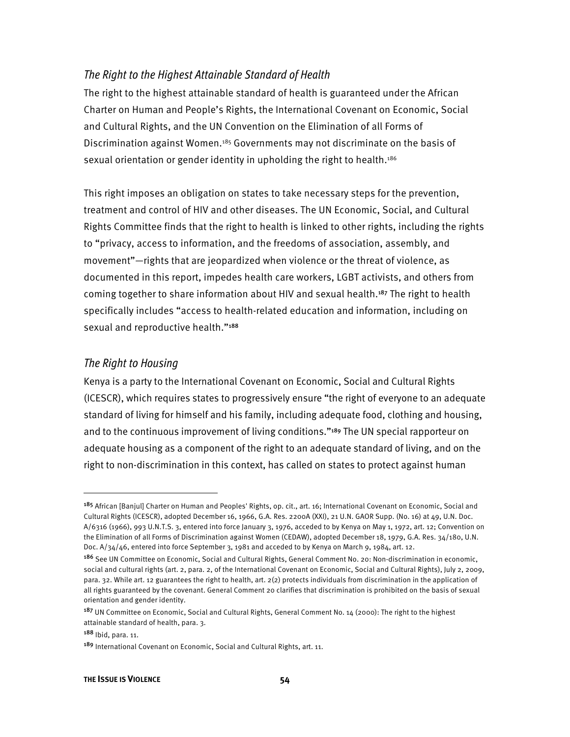#### *The Right to the Highest Attainable Standard of Health*

The right to the highest attainable standard of health is guaranteed under the African Charter on Human and People's Rights, the International Covenant on Economic, Social and Cultural Rights, and the UN Convention on the Elimination of all Forms of Discrimination against Women.<sup>185</sup> Governments may not discriminate on the basis of sexual orientation or gender identity in upholding the right to health.<sup>186</sup>

This right imposes an obligation on states to take necessary steps for the prevention, treatment and control of HIV and other diseases. The UN Economic, Social, and Cultural Rights Committee finds that the right to health is linked to other rights, including the rights to "privacy, access to information, and the freedoms of association, assembly, and movement"—rights that are jeopardized when violence or the threat of violence, as documented in this report, impedes health care workers, LGBT activists, and others from coming together to share information about HIV and sexual health.<sup>187</sup> The right to health specifically includes "access to health-related education and information, including on sexual and reproductive health."<sup>188</sup>

#### *The Right to Housing*

Kenya is a party to the International Covenant on Economic, Social and Cultural Rights (ICESCR), which requires states to progressively ensure "the right of everyone to an adequate standard of living for himself and his family, including adequate food, clothing and housing, and to the continuous improvement of living conditions."<sup>189</sup> The UN special rapporteur on adequate housing as a component of the right to an adequate standard of living, and on the right to non-discrimination in this context, has called on states to protect against human

l

<sup>&</sup>lt;sup>185</sup> African [Banjul] Charter on Human and Peoples' Rights, op. cit., art. 16; International Covenant on Economic, Social and Cultural Rights (ICESCR), adopted December 16, 1966, G.A. Res. 2200A (XXI), 21 U.N. GAOR Supp. (No. 16) at 49, U.N. Doc. A/6316 (1966), 993 U.N.T.S. 3, entered into force January 3, 1976, acceded to by Kenya on May 1, 1972, art. 12; Convention on the Elimination of all Forms of Discrimination against Women (CEDAW), adopted December 18, 1979, G.A. Res. 34/180, U.N. Doc. A/34/46, entered into force September 3, 1981 and acceded to by Kenya on March 9, 1984, art. 12.

<sup>186</sup> See UN Committee on Economic, Social and Cultural Rights, General Comment No. 20: Non-discrimination in economic, social and cultural rights (art. 2, para. 2, of the International Covenant on Economic, Social and Cultural Rights), July 2, 2009, para. 32. While art. 12 guarantees the right to health, art. 2(2) protects individuals from discrimination in the application of all rights guaranteed by the covenant. General Comment 20 clarifies that discrimination is prohibited on the basis of sexual orientation and gender identity.

<sup>&</sup>lt;sup>187</sup> UN Committee on Economic, Social and Cultural Rights, General Comment No. 14 (2000): The right to the highest attainable standard of health, para. 3.

<sup>188</sup> Ibid, para. 11.

<sup>&</sup>lt;sup>189</sup> International Covenant on Economic, Social and Cultural Rights, art. 11.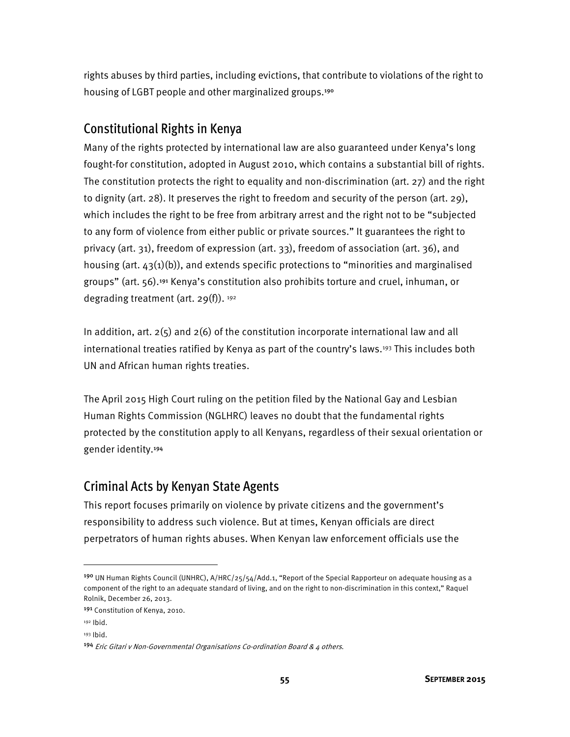rights abuses by third parties, including evictions, that contribute to violations of the right to housing of LGBT people and other marginalized groups.<sup>190</sup>

### Constitutional Rights in Kenya

Many of the rights protected by international law are also guaranteed under Kenya's long fought-for constitution, adopted in August 2010, which contains a substantial bill of rights. The constitution protects the right to equality and non-discrimination (art. 27) and the right to dignity (art. 28). It preserves the right to freedom and security of the person (art. 29), which includes the right to be free from arbitrary arrest and the right not to be "subjected to any form of violence from either public or private sources." It guarantees the right to privacy (art. 31), freedom of expression (art. 33), freedom of association (art. 36), and housing (art.  $43(1)(b)$ ), and extends specific protections to "minorities and marginalised groups" (art. 56).<sup>191</sup> Kenya's constitution also prohibits torture and cruel, inhuman, or degrading treatment (art.  $29(f)$ ).  $192$ 

In addition, art.  $2(5)$  and  $2(6)$  of the constitution incorporate international law and all international treaties ratified by Kenya as part of the country's laws.193 This includes both UN and African human rights treaties.

The April 2015 High Court ruling on the petition filed by the National Gay and Lesbian Human Rights Commission (NGLHRC) leaves no doubt that the fundamental rights protected by the constitution apply to all Kenyans, regardless of their sexual orientation or gender identity.<sup>194</sup>

### Criminal Acts by Kenyan State Agents

This report focuses primarily on violence by private citizens and the government's responsibility to address such violence. But at times, Kenyan officials are direct perpetrators of human rights abuses. When Kenyan law enforcement officials use the

<sup>&</sup>lt;sup>190</sup> UN Human Rights Council (UNHRC), A/HRC/25/54/Add.1, "Report of the Special Rapporteur on adequate housing as a component of the right to an adequate standard of living, and on the right to non-discrimination in this context," Raquel Rolnik, December 26, 2013.

<sup>191</sup> Constitution of Kenya, 2010.

<sup>192</sup> Ibid.

<sup>193</sup> Ibid.

<sup>&</sup>lt;sup>194</sup> Eric Gitari v Non-Governmental Organisations Co-ordination Board & 4 others.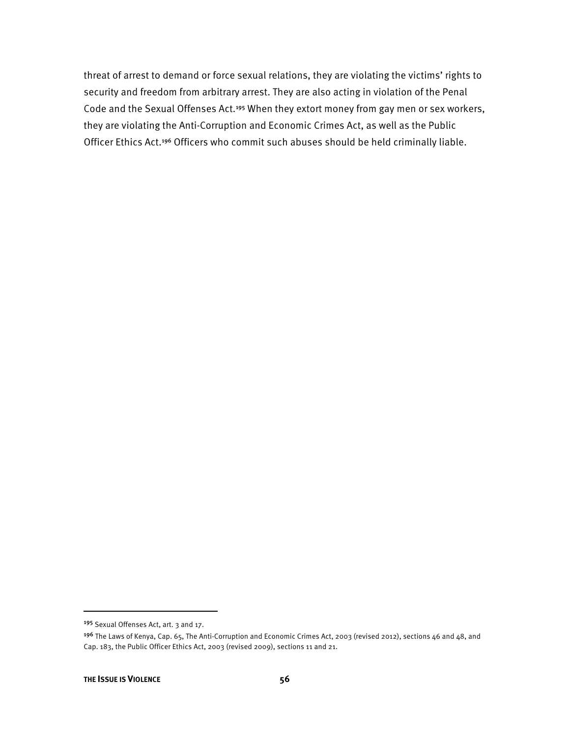threat of arrest to demand or force sexual relations, they are violating the victims' rights to security and freedom from arbitrary arrest. They are also acting in violation of the Penal Code and the Sexual Offenses Act.<sup>195</sup> When they extort money from gay men or sex workers, they are violating the Anti-Corruption and Economic Crimes Act, as well as the Public Officer Ethics Act.<sup>196</sup> Officers who commit such abuses should be held criminally liable.

<sup>195</sup> Sexual Offenses Act, art. 3 and 17.

<sup>&</sup>lt;sup>196</sup> The Laws of Kenya, Cap. 65, The Anti-Corruption and Economic Crimes Act, 2003 (revised 2012), sections 46 and 48, and Cap. 183, the Public Officer Ethics Act, 2003 (revised 2009), sections 11 and 21.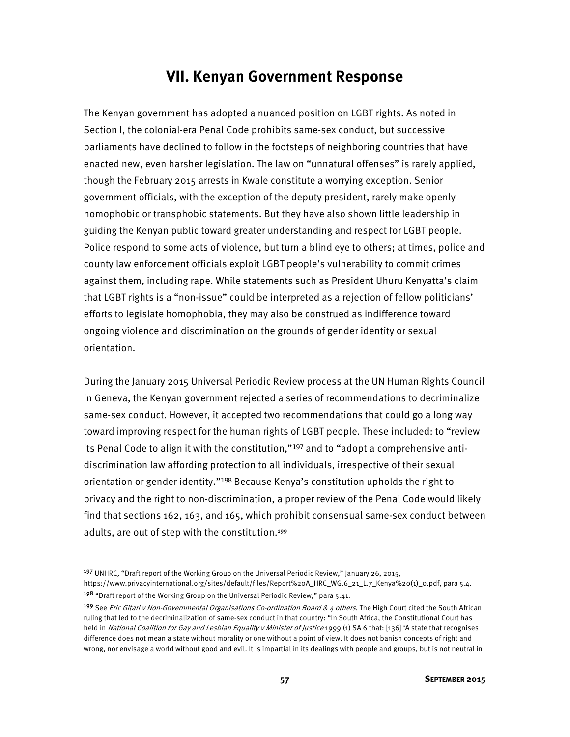## **VII. Kenyan Government Response**

The Kenyan government has adopted a nuanced position on LGBT rights. As noted in Section I, the colonial-era Penal Code prohibits same-sex conduct, but successive parliaments have declined to follow in the footsteps of neighboring countries that have enacted new, even harsher legislation. The law on "unnatural offenses" is rarely applied, though the February 2015 arrests in Kwale constitute a worrying exception. Senior government officials, with the exception of the deputy president, rarely make openly homophobic or transphobic statements. But they have also shown little leadership in guiding the Kenyan public toward greater understanding and respect for LGBT people. Police respond to some acts of violence, but turn a blind eye to others; at times, police and county law enforcement officials exploit LGBT people's vulnerability to commit crimes against them, including rape. While statements such as President Uhuru Kenyatta's claim that LGBT rights is a "non-issue" could be interpreted as a rejection of fellow politicians' efforts to legislate homophobia, they may also be construed as indifference toward ongoing violence and discrimination on the grounds of gender identity or sexual orientation.

During the January 2015 Universal Periodic Review process at the UN Human Rights Council in Geneva, the Kenyan government rejected a series of recommendations to decriminalize same-sex conduct. However, it accepted two recommendations that could go a long way toward improving respect for the human rights of LGBT people. These included: to "review its Penal Code to align it with the constitution,"<sup>197</sup> and to "adopt a comprehensive antidiscrimination law affording protection to all individuals, irrespective of their sexual orientation or gender identity."<sup>198</sup> Because Kenya's constitution upholds the right to privacy and the right to non-discrimination, a proper review of the Penal Code would likely find that sections 162, 163, and 165, which prohibit consensual same-sex conduct between adults, are out of step with the constitution.<sup>199</sup>

l

<sup>197</sup> UNHRC, "Draft report of the Working Group on the Universal Periodic Review," January 26, 2015,

https://www.privacyinternational.org/sites/default/files/Report%20A\_HRC\_WG.6\_21\_L.7\_Kenya%20(1)\_0.pdf, para 5.4. <sup>198</sup> "Draft report of the Working Group on the Universal Periodic Review," para 5.41.

<sup>199</sup> See *Eric Gitari v Non-Governmental Organisations Co-ordination Board & 4 others*. The High Court cited the South African ruling that led to the decriminalization of same-sex conduct in that country: "In South Africa, the Constitutional Court has held in National Coalition for Gay and Lesbian Equality v Minister of Justice 1999 (1) SA 6 that: [136] 'A state that recognises difference does not mean a state without morality or one without a point of view. It does not banish concepts of right and wrong, nor envisage a world without good and evil. It is impartial in its dealings with people and groups, but is not neutral in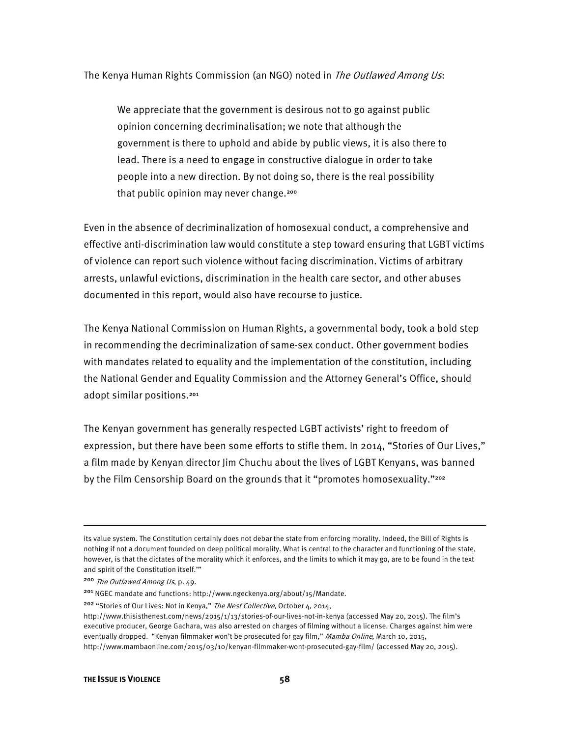The Kenya Human Rights Commission (an NGO) noted in *The Outlawed Among Us*:

We appreciate that the government is desirous not to go against public opinion concerning decriminalisation; we note that although the government is there to uphold and abide by public views, it is also there to lead. There is a need to engage in constructive dialogue in order to take people into a new direction. By not doing so, there is the real possibility that public opinion may never change.<sup>200</sup>

Even in the absence of decriminalization of homosexual conduct, a comprehensive and effective anti-discrimination law would constitute a step toward ensuring that LGBT victims of violence can report such violence without facing discrimination. Victims of arbitrary arrests, unlawful evictions, discrimination in the health care sector, and other abuses documented in this report, would also have recourse to justice.

The Kenya National Commission on Human Rights, a governmental body, took a bold step in recommending the decriminalization of same-sex conduct. Other government bodies with mandates related to equality and the implementation of the constitution, including the National Gender and Equality Commission and the Attorney General's Office, should adopt similar positions.<sup>201</sup>

The Kenyan government has generally respected LGBT activists' right to freedom of expression, but there have been some efforts to stifle them. In 2014, "Stories of Our Lives," a film made by Kenyan director Jim Chuchu about the lives of LGBT Kenyans, was banned by the Film Censorship Board on the grounds that it "promotes homosexuality."<sup>202</sup>

its value system. The Constitution certainly does not debar the state from enforcing morality. Indeed, the Bill of Rights is nothing if not a document founded on deep political morality. What is central to the character and functioning of the state, however, is that the dictates of the morality which it enforces, and the limits to which it may go, are to be found in the text and spirit of the Constitution itself.'"

<sup>200</sup> The Outlawed Among Us, p. 49.

<sup>201</sup> NGEC mandate and functions: http://www.ngeckenya.org/about/15/Mandate.

<sup>&</sup>lt;sup>202</sup> "Stories of Our Lives: Not in Kenya," The Nest Collective, October 4, 2014,

http://www.thisisthenest.com/news/2015/1/13/stories-of-our-lives-not-in-kenya (accessed May 20, 2015). The film's executive producer, George Gachara, was also arrested on charges of filming without a license. Charges against him were eventually dropped. "Kenyan filmmaker won't be prosecuted for gay film." Mamba Online, March 10, 2015, http://www.mambaonline.com/2015/03/10/kenyan-filmmaker-wont-prosecuted-gay-film/ (accessed May 20, 2015).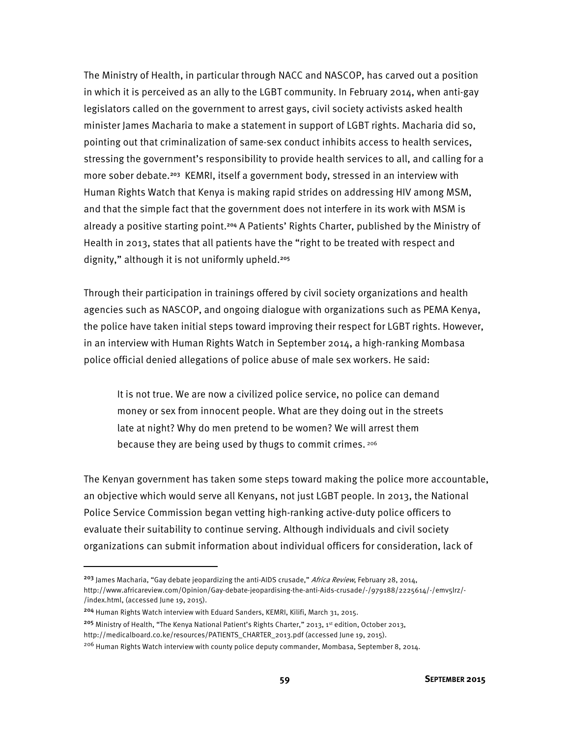The Ministry of Health, in particular through NACC and NASCOP, has carved out a position in which it is perceived as an ally to the LGBT community. In February 2014, when anti-gay legislators called on the government to arrest gays, civil society activists asked health minister James Macharia to make a statement in support of LGBT rights. Macharia did so, pointing out that criminalization of same-sex conduct inhibits access to health services, stressing the government's responsibility to provide health services to all, and calling for a more sober debate.<sup>203</sup> KEMRI, itself a government body, stressed in an interview with Human Rights Watch that Kenya is making rapid strides on addressing HIV among MSM, and that the simple fact that the government does not interfere in its work with MSM is already a positive starting point.<sup>204</sup> A Patients' Rights Charter, published by the Ministry of Health in 2013, states that all patients have the "right to be treated with respect and dignity," although it is not uniformly upheld.<sup>205</sup>

Through their participation in trainings offered by civil society organizations and health agencies such as NASCOP, and ongoing dialogue with organizations such as PEMA Kenya, the police have taken initial steps toward improving their respect for LGBT rights. However, in an interview with Human Rights Watch in September 2014, a high-ranking Mombasa police official denied allegations of police abuse of male sex workers. He said:

It is not true. We are now a civilized police service, no police can demand money or sex from innocent people. What are they doing out in the streets late at night? Why do men pretend to be women? We will arrest them because they are being used by thugs to commit crimes. 206

The Kenyan government has taken some steps toward making the police more accountable, an objective which would serve all Kenyans, not just LGBT people. In 2013, the National Police Service Commission began vetting high-ranking active-duty police officers to evaluate their suitability to continue serving. Although individuals and civil society organizations can submit information about individual officers for consideration, lack of

<sup>204</sup> Human Rights Watch interview with Eduard Sanders, KEMRI, Kilifi, March 31, 2015.

 $\overline{\phantom{a}}$ 

205 Ministry of Health, "The Kenya National Patient's Rights Charter," 2013, 1st edition, October 2013,

<sup>&</sup>lt;sup>203</sup> James Macharia, "Gay debate jeopardizing the anti-AIDS crusade," Africa Review, February 28, 2014, http://www.africareview.com/Opinion/Gay-debate-jeopardising-the-anti-Aids-crusade/-/979188/2225614/-/emv5lrz/- /index.html, (accessed June 19, 2015).

http://medicalboard.co.ke/resources/PATIENTS\_CHARTER\_2013.pdf (accessed June 19, 2015).

<sup>206</sup> Human Rights Watch interview with county police deputy commander, Mombasa, September 8, 2014.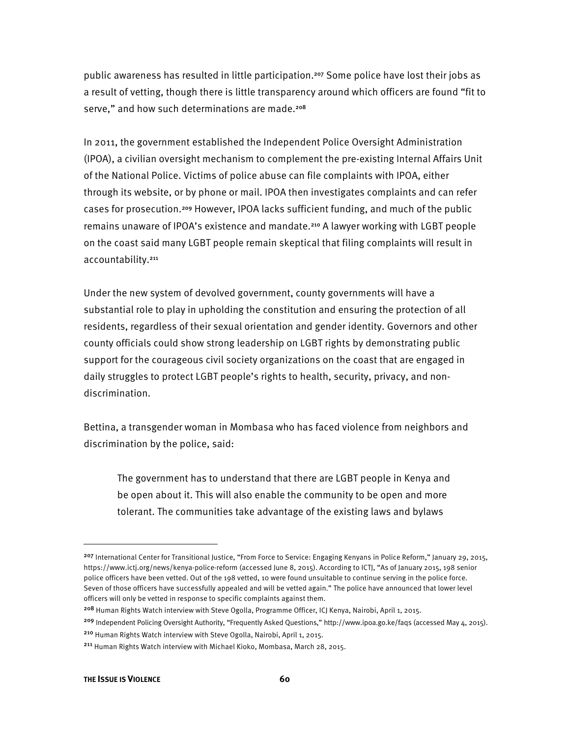public awareness has resulted in little participation.<sup>207</sup> Some police have lost their jobs as a result of vetting, though there is little transparency around which officers are found "fit to serve," and how such determinations are made.<sup>208</sup>

In 2011, the government established the Independent Police Oversight Administration (IPOA), a civilian oversight mechanism to complement the pre-existing Internal Affairs Unit of the National Police. Victims of police abuse can file complaints with IPOA, either through its website, or by phone or mail. IPOA then investigates complaints and can refer cases for prosecution.<sup>209</sup> However, IPOA lacks sufficient funding, and much of the public remains unaware of IPOA's existence and mandate.<sup>210</sup> A lawyer working with LGBT people on the coast said many LGBT people remain skeptical that filing complaints will result in accountability.<sup>211</sup>

Under the new system of devolved government, county governments will have a substantial role to play in upholding the constitution and ensuring the protection of all residents, regardless of their sexual orientation and gender identity. Governors and other county officials could show strong leadership on LGBT rights by demonstrating public support for the courageous civil society organizations on the coast that are engaged in daily struggles to protect LGBT people's rights to health, security, privacy, and nondiscrimination.

Bettina, a transgender woman in Mombasa who has faced violence from neighbors and discrimination by the police, said:

The government has to understand that there are LGBT people in Kenya and be open about it. This will also enable the community to be open and more tolerant. The communities take advantage of the existing laws and bylaws

<sup>&</sup>lt;sup>207</sup> International Center for Transitional Justice, "From Force to Service: Engaging Kenyans in Police Reform," January 29, 2015, https://www.ictj.org/news/kenya-police-reform (accessed June 8, 2015). According to ICTJ, "As of January 2015, 198 senior police officers have been vetted. Out of the 198 vetted, 10 were found unsuitable to continue serving in the police force. Seven of those officers have successfully appealed and will be vetted again." The police have announced that lower level officers will only be vetted in response to specific complaints against them.

<sup>&</sup>lt;sup>208</sup> Human Rights Watch interview with Steve Ogolla, Programme Officer, ICJ Kenya, Nairobi, April 1, 2015.

<sup>&</sup>lt;sup>209</sup> Independent Policing Oversight Authority, "Frequently Asked Questions," http://www.ipoa.go.ke/faqs (accessed May 4, 2015). <sup>210</sup> Human Rights Watch interview with Steve Ogolla, Nairobi, April 1, 2015.

<sup>211</sup> Human Rights Watch interview with Michael Kioko, Mombasa, March 28, 2015.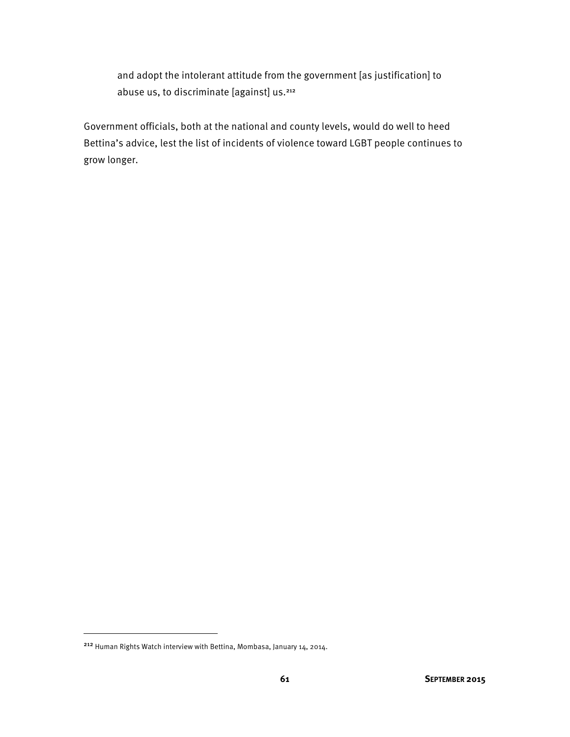and adopt the intolerant attitude from the government [as justification] to abuse us, to discriminate [against] us.<sup>212</sup>

Government officials, both at the national and county levels, would do well to heed Bettina's advice, lest the list of incidents of violence toward LGBT people continues to grow longer.

<sup>212</sup> Human Rights Watch interview with Bettina, Mombasa, January 14, 2014.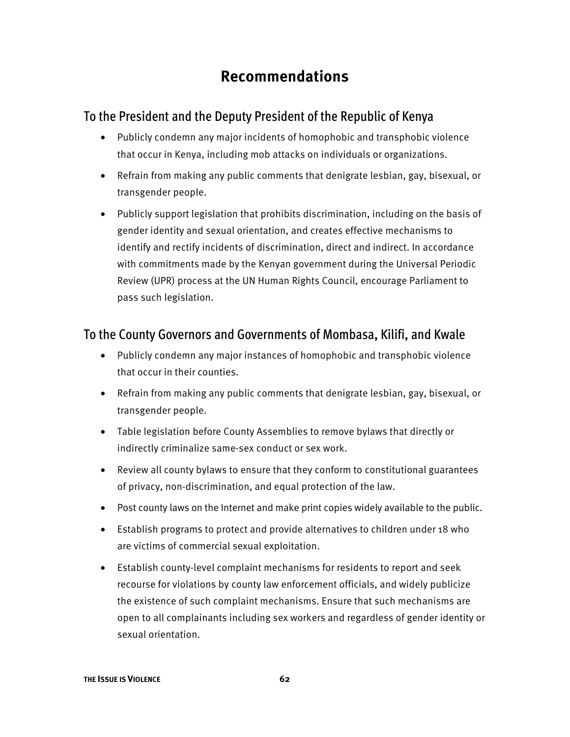# **Recommendations**

### To the President and the Deputy President of the Republic of Kenya

- Publicly condemn any major incidents of homophobic and transphobic violence that occur in Kenya, including mob attacks on individuals or organizations.
- Refrain from making any public comments that denigrate lesbian, gay, bisexual, or transgender people.
- Publicly support legislation that prohibits discrimination, including on the basis of gender identity and sexual orientation, and creates effective mechanisms to identify and rectify incidents of discrimination, direct and indirect. In accordance with commitments made by the Kenyan government during the Universal Periodic Review (UPR) process at the UN Human Rights Council, encourage Parliament to pass such legislation.

## To the County Governors and Governments of Mombasa, Kilifi, and Kwale

- Publicly condemn any major instances of homophobic and transphobic violence that occur in their counties.
- Refrain from making any public comments that denigrate lesbian, gay, bisexual, or transgender people.
- Table legislation before County Assemblies to remove bylaws that directly or indirectly criminalize same-sex conduct or sex work.
- Review all county bylaws to ensure that they conform to constitutional guarantees of privacy, non-discrimination, and equal protection of the law.
- Post county laws on the Internet and make print copies widely available to the public.
- Establish programs to protect and provide alternatives to children under 18 who are victims of commercial sexual exploitation.
- Establish county-level complaint mechanisms for residents to report and seek recourse for violations by county law enforcement officials, and widely publicize the existence of such complaint mechanisms. Ensure that such mechanisms are open to all complainants including sex workers and regardless of gender identity or sexual orientation.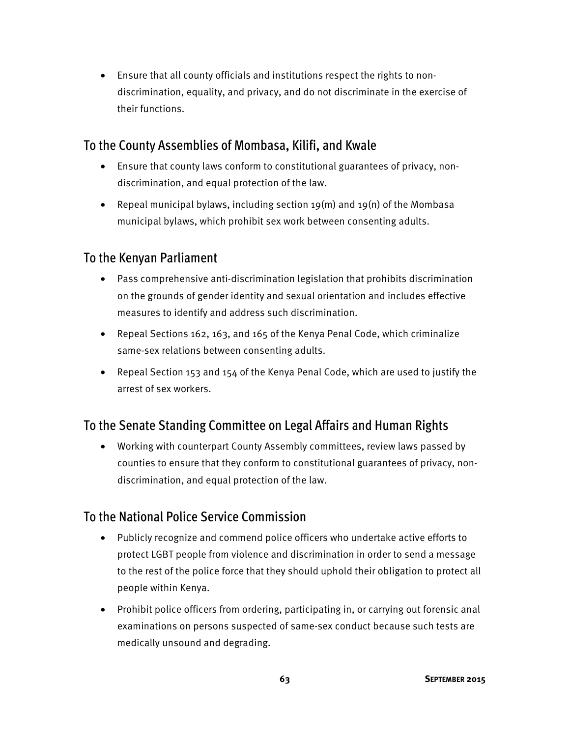• Ensure that all county officials and institutions respect the rights to nondiscrimination, equality, and privacy, and do not discriminate in the exercise of their functions.

### To the County Assemblies of Mombasa, Kilifi, and Kwale

- Ensure that county laws conform to constitutional guarantees of privacy, nondiscrimination, and equal protection of the law.
- Repeal municipal bylaws, including section 19(m) and 19(n) of the Mombasa municipal bylaws, which prohibit sex work between consenting adults.

### To the Kenyan Parliament

- Pass comprehensive anti-discrimination legislation that prohibits discrimination on the grounds of gender identity and sexual orientation and includes effective measures to identify and address such discrimination.
- Repeal Sections 162, 163, and 165 of the Kenya Penal Code, which criminalize same-sex relations between consenting adults.
- Repeal Section 153 and 154 of the Kenya Penal Code, which are used to justify the arrest of sex workers.

## To the Senate Standing Committee on Legal Affairs and Human Rights

• Working with counterpart County Assembly committees, review laws passed by counties to ensure that they conform to constitutional guarantees of privacy, nondiscrimination, and equal protection of the law.

### To the National Police Service Commission

- Publicly recognize and commend police officers who undertake active efforts to protect LGBT people from violence and discrimination in order to send a message to the rest of the police force that they should uphold their obligation to protect all people within Kenya.
- Prohibit police officers from ordering, participating in, or carrying out forensic anal examinations on persons suspected of same-sex conduct because such tests are medically unsound and degrading.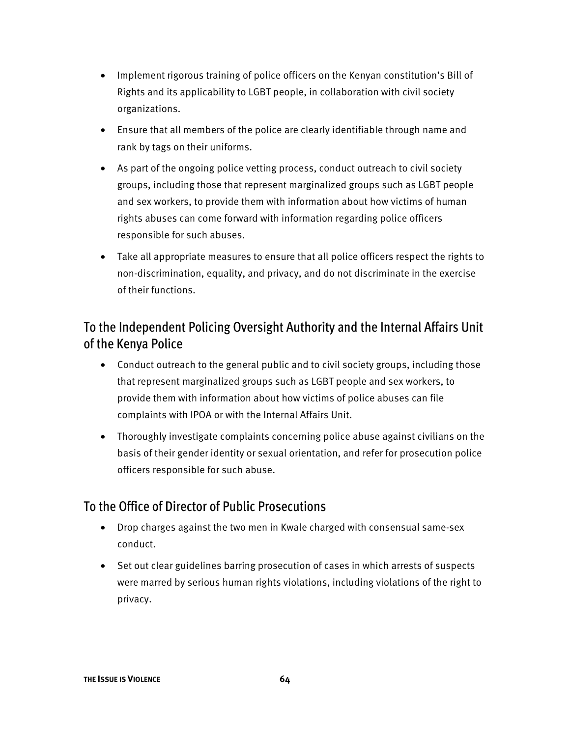- Implement rigorous training of police officers on the Kenyan constitution's Bill of Rights and its applicability to LGBT people, in collaboration with civil society organizations.
- Ensure that all members of the police are clearly identifiable through name and rank by tags on their uniforms.
- As part of the ongoing police vetting process, conduct outreach to civil society groups, including those that represent marginalized groups such as LGBT people and sex workers, to provide them with information about how victims of human rights abuses can come forward with information regarding police officers responsible for such abuses.
- Take all appropriate measures to ensure that all police officers respect the rights to non-discrimination, equality, and privacy, and do not discriminate in the exercise of their functions.

## To the Independent Policing Oversight Authority and the Internal Affairs Unit of the Kenya Police

- Conduct outreach to the general public and to civil society groups, including those that represent marginalized groups such as LGBT people and sex workers, to provide them with information about how victims of police abuses can file complaints with IPOA or with the Internal Affairs Unit.
- Thoroughly investigate complaints concerning police abuse against civilians on the basis of their gender identity or sexual orientation, and refer for prosecution police officers responsible for such abuse.

#### To the Office of Director of Public Prosecutions

- Drop charges against the two men in Kwale charged with consensual same-sex conduct.
- Set out clear guidelines barring prosecution of cases in which arrests of suspects were marred by serious human rights violations, including violations of the right to privacy.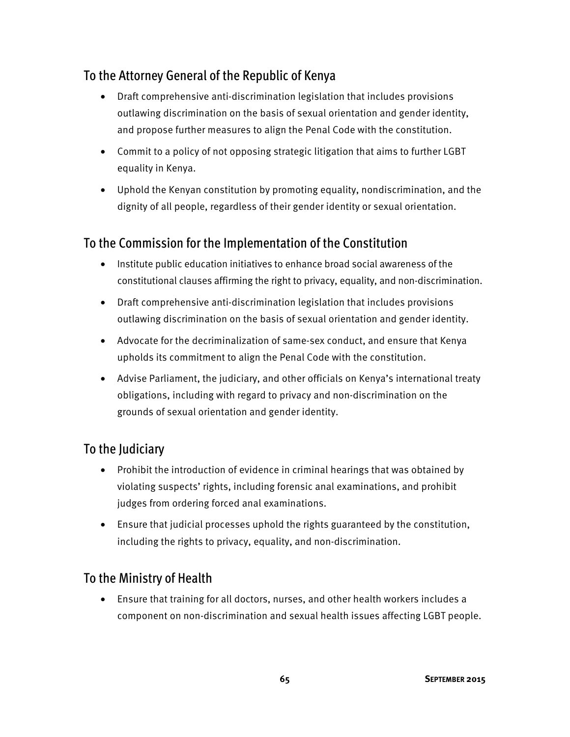### To the Attorney General of the Republic of Kenya

- Draft comprehensive anti-discrimination legislation that includes provisions outlawing discrimination on the basis of sexual orientation and gender identity, and propose further measures to align the Penal Code with the constitution.
- Commit to a policy of not opposing strategic litigation that aims to further LGBT equality in Kenya.
- Uphold the Kenyan constitution by promoting equality, nondiscrimination, and the dignity of all people, regardless of their gender identity or sexual orientation.

#### To the Commission for the Implementation of the Constitution

- Institute public education initiatives to enhance broad social awareness of the constitutional clauses affirming the right to privacy, equality, and non-discrimination.
- Draft comprehensive anti-discrimination legislation that includes provisions outlawing discrimination on the basis of sexual orientation and gender identity.
- Advocate for the decriminalization of same-sex conduct, and ensure that Kenya upholds its commitment to align the Penal Code with the constitution.
- Advise Parliament, the judiciary, and other officials on Kenya's international treaty obligations, including with regard to privacy and non-discrimination on the grounds of sexual orientation and gender identity.

#### To the Judiciary

- Prohibit the introduction of evidence in criminal hearings that was obtained by violating suspects' rights, including forensic anal examinations, and prohibit judges from ordering forced anal examinations.
- Ensure that judicial processes uphold the rights guaranteed by the constitution, including the rights to privacy, equality, and non-discrimination.

#### To the Ministry of Health

• Ensure that training for all doctors, nurses, and other health workers includes a component on non-discrimination and sexual health issues affecting LGBT people.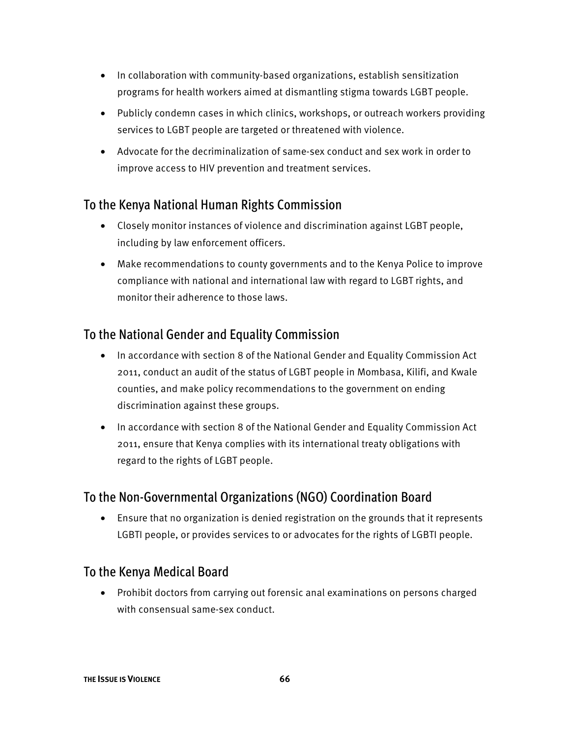- In collaboration with community-based organizations, establish sensitization programs for health workers aimed at dismantling stigma towards LGBT people.
- Publicly condemn cases in which clinics, workshops, or outreach workers providing services to LGBT people are targeted or threatened with violence.
- Advocate for the decriminalization of same-sex conduct and sex work in order to improve access to HIV prevention and treatment services.

#### To the Kenya National Human Rights Commission

- Closely monitor instances of violence and discrimination against LGBT people, including by law enforcement officers.
- Make recommendations to county governments and to the Kenya Police to improve compliance with national and international law with regard to LGBT rights, and monitor their adherence to those laws.

#### To the National Gender and Equality Commission

- In accordance with section 8 of the National Gender and Equality Commission Act 2011, conduct an audit of the status of LGBT people in Mombasa, Kilifi, and Kwale counties, and make policy recommendations to the government on ending discrimination against these groups.
- In accordance with section 8 of the National Gender and Equality Commission Act 2011, ensure that Kenya complies with its international treaty obligations with regard to the rights of LGBT people.

#### To the Non-Governmental Organizations (NGO) Coordination Board

• Ensure that no organization is denied registration on the grounds that it represents LGBTI people, or provides services to or advocates for the rights of LGBTI people.

#### To the Kenya Medical Board

• Prohibit doctors from carrying out forensic anal examinations on persons charged with consensual same-sex conduct.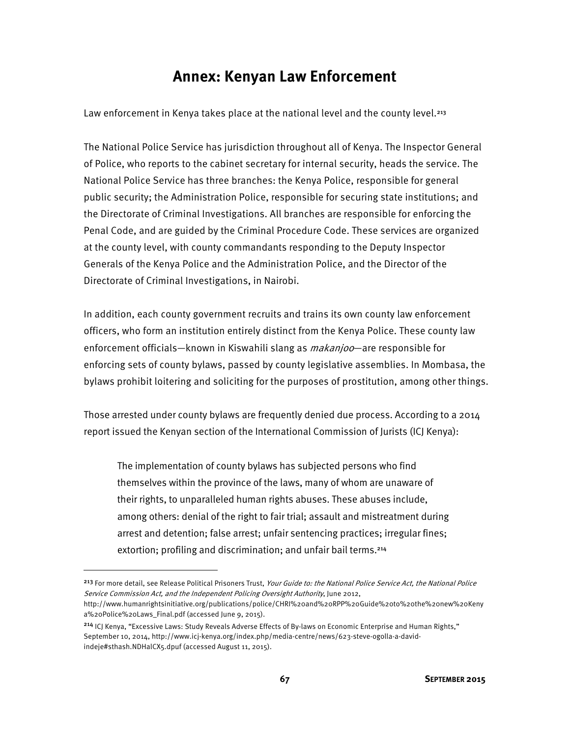## **Annex: Kenyan Law Enforcement**

Law enforcement in Kenya takes place at the national level and the county level.<sup>213</sup>

The National Police Service has jurisdiction throughout all of Kenya. The Inspector General of Police, who reports to the cabinet secretary for internal security, heads the service. The National Police Service has three branches: the Kenya Police, responsible for general public security; the Administration Police, responsible for securing state institutions; and the Directorate of Criminal Investigations. All branches are responsible for enforcing the Penal Code, and are guided by the Criminal Procedure Code. These services are organized at the county level, with county commandants responding to the Deputy Inspector Generals of the Kenya Police and the Administration Police, and the Director of the Directorate of Criminal Investigations, in Nairobi.

In addition, each county government recruits and trains its own county law enforcement officers, who form an institution entirely distinct from the Kenya Police. These county law enforcement officials—known in Kiswahili slang as *makanjoo*—are responsible for enforcing sets of county bylaws, passed by county legislative assemblies. In Mombasa, the bylaws prohibit loitering and soliciting for the purposes of prostitution, among other things.

Those arrested under county bylaws are frequently denied due process. According to a 2014 report issued the Kenyan section of the International Commission of Jurists (ICJ Kenya):

The implementation of county bylaws has subjected persons who find themselves within the province of the laws, many of whom are unaware of their rights, to unparalleled human rights abuses. These abuses include, among others: denial of the right to fair trial; assault and mistreatment during arrest and detention; false arrest; unfair sentencing practices; irregular fines; extortion; profiling and discrimination; and unfair bail terms.<sup>214</sup>

**.** 

<sup>&</sup>lt;sup>213</sup> For more detail, see Release Political Prisoners Trust, Your Guide to: the National Police Service Act, the National Police Service Commission Act, and the Independent Policing Oversight Authority, June 2012, http://www.humanrightsinitiative.org/publications/police/CHRI%20and%20RPP%20Guide%20to%20the%20new%20Keny

a%20Police%20Laws\_Final.pdf (accessed June 9, 2015).

<sup>214</sup> ICJ Kenya, "Excessive Laws: Study Reveals Adverse Effects of By-laws on Economic Enterprise and Human Rights," September 10, 2014, http://www.icj-kenya.org/index.php/media-centre/news/623-steve-ogolla-a-davidindeje#sthash.NDHalCX5.dpuf (accessed August 11, 2015).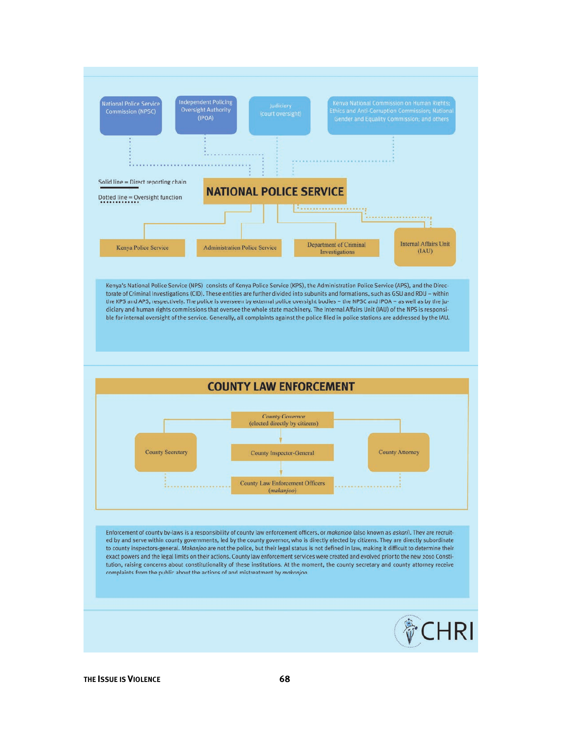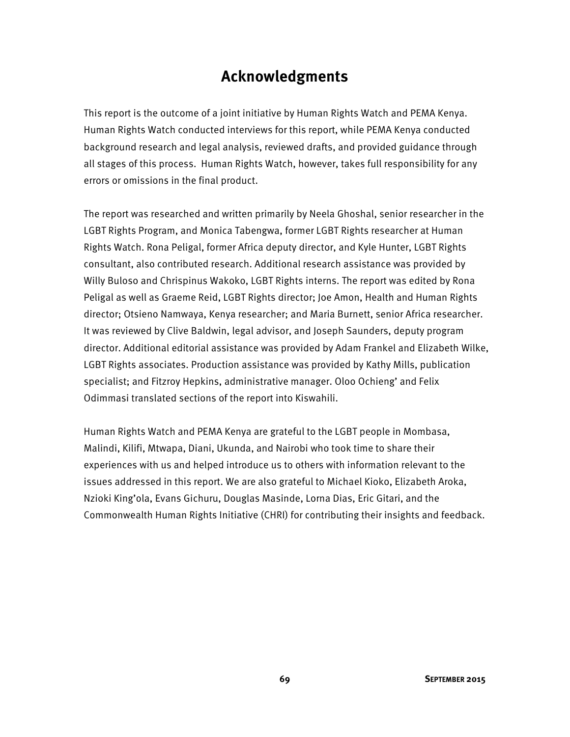## **Acknowledgments**

This report is the outcome of a joint initiative by Human Rights Watch and PEMA Kenya. Human Rights Watch conducted interviews for this report, while PEMA Kenya conducted background research and legal analysis, reviewed drafts, and provided guidance through all stages of this process. Human Rights Watch, however, takes full responsibility for any errors or omissions in the final product.

The report was researched and written primarily by Neela Ghoshal, senior researcher in the LGBT Rights Program, and Monica Tabengwa, former LGBT Rights researcher at Human Rights Watch. Rona Peligal, former Africa deputy director, and Kyle Hunter, LGBT Rights consultant, also contributed research. Additional research assistance was provided by Willy Buloso and Chrispinus Wakoko, LGBT Rights interns. The report was edited by Rona Peligal as well as Graeme Reid, LGBT Rights director; Joe Amon, Health and Human Rights director; Otsieno Namwaya, Kenya researcher; and Maria Burnett, senior Africa researcher. It was reviewed by Clive Baldwin, legal advisor, and Joseph Saunders, deputy program director. Additional editorial assistance was provided by Adam Frankel and Elizabeth Wilke, LGBT Rights associates. Production assistance was provided by Kathy Mills, publication specialist; and Fitzroy Hepkins, administrative manager. Oloo Ochieng' and Felix Odimmasi translated sections of the report into Kiswahili.

Human Rights Watch and PEMA Kenya are grateful to the LGBT people in Mombasa, Malindi, Kilifi, Mtwapa, Diani, Ukunda, and Nairobi who took time to share their experiences with us and helped introduce us to others with information relevant to the issues addressed in this report. We are also grateful to Michael Kioko, Elizabeth Aroka, Nzioki King'ola, Evans Gichuru, Douglas Masinde, Lorna Dias, Eric Gitari, and the Commonwealth Human Rights Initiative (CHRI) for contributing their insights and feedback.